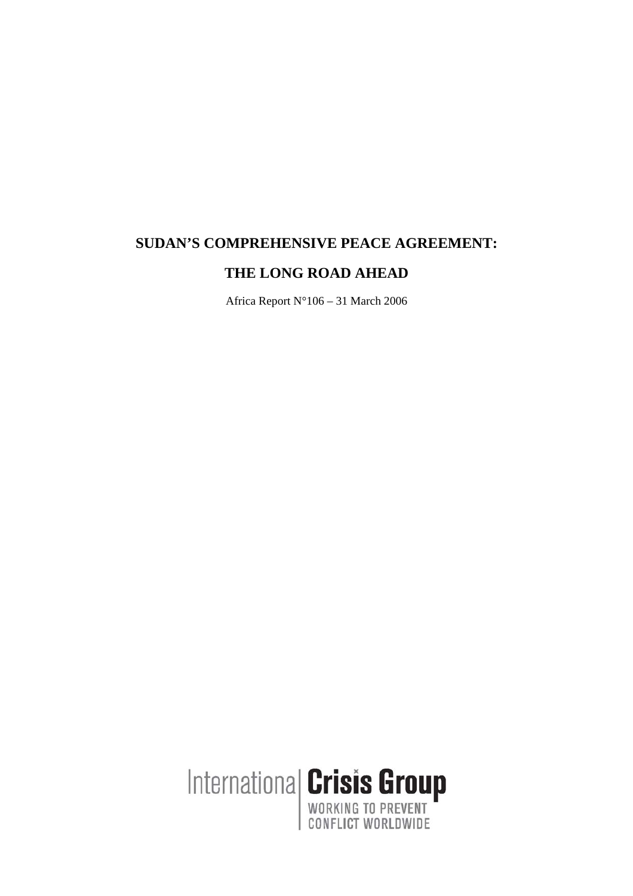# **SUDAN'S COMPREHENSIVE PEACE AGREEMENT:**

## **THE LONG ROAD AHEAD**

Africa Report N°106 – 31 March 2006

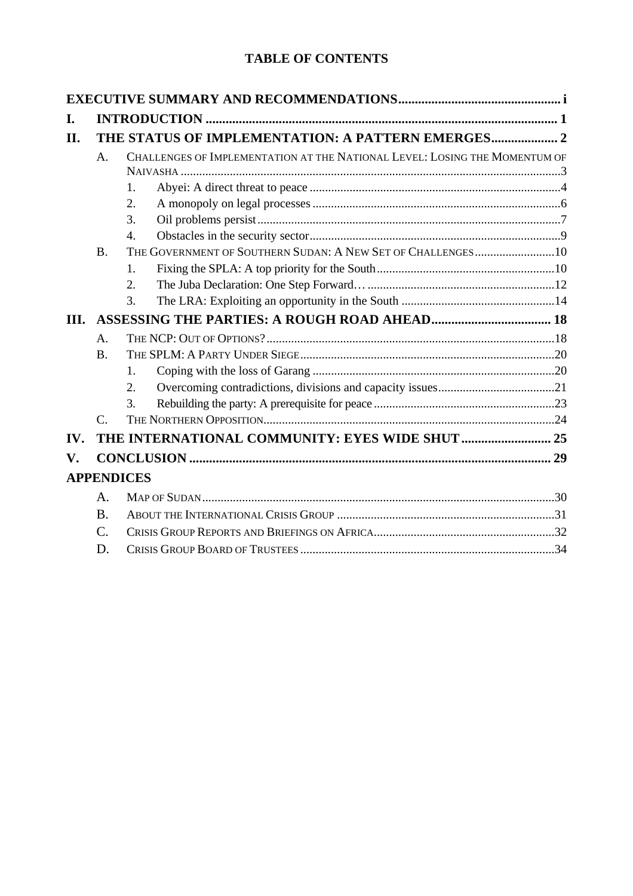## **TABLE OF CONTENTS**

| I.             |                 |                                                                            |  |
|----------------|-----------------|----------------------------------------------------------------------------|--|
| II.            |                 |                                                                            |  |
|                | $A$ .           | CHALLENGES OF IMPLEMENTATION AT THE NATIONAL LEVEL: LOSING THE MOMENTUM OF |  |
|                |                 |                                                                            |  |
|                |                 | 1.                                                                         |  |
|                |                 | 2.                                                                         |  |
|                |                 | 3.                                                                         |  |
|                |                 | 4.                                                                         |  |
|                | <b>B.</b>       | THE GOVERNMENT OF SOUTHERN SUDAN: A NEW SET OF CHALLENGES10                |  |
|                |                 | 1.                                                                         |  |
|                |                 | 2.                                                                         |  |
|                |                 | 3.                                                                         |  |
| III.           |                 |                                                                            |  |
|                | $A$ .           |                                                                            |  |
|                | <b>B.</b>       |                                                                            |  |
|                |                 | 1.                                                                         |  |
|                |                 | 2.                                                                         |  |
|                |                 | 3.                                                                         |  |
|                | $\mathcal{C}$ . |                                                                            |  |
| IV.            |                 |                                                                            |  |
| $\mathbf{V}$ . |                 |                                                                            |  |
|                |                 | <b>APPENDICES</b>                                                          |  |
|                | A.              |                                                                            |  |
|                | <b>B.</b>       |                                                                            |  |
|                | $\mathcal{C}$ . |                                                                            |  |
|                | D.              |                                                                            |  |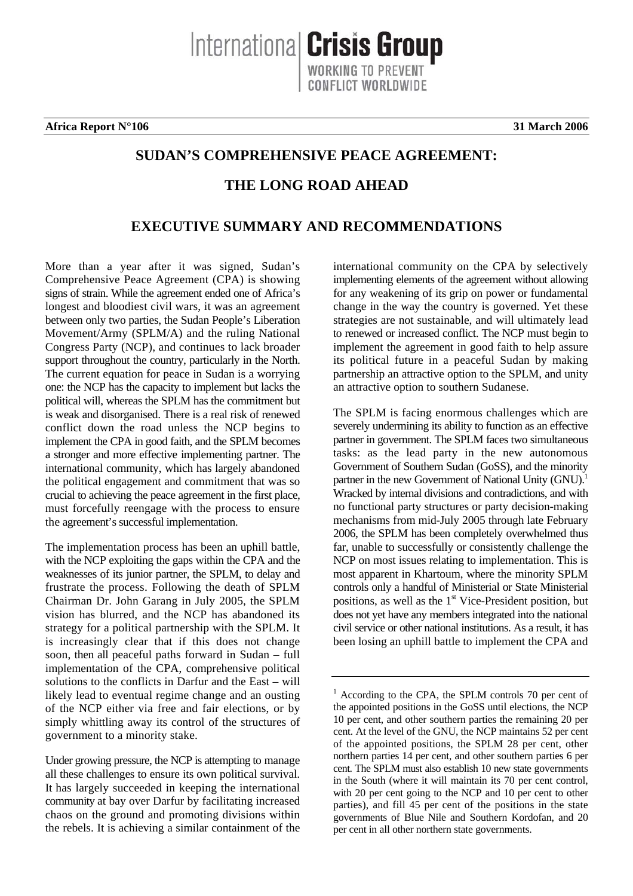**Africa Report N°106 31 March 2006**

## **SUDAN'S COMPREHENSIVE PEACE AGREEMENT:**

Internationa **Crisis Group** 

ONFLICT WORLDWIDE

## **THE LONG ROAD AHEAD**

## **EXECUTIVE SUMMARY AND RECOMMENDATIONS**

More than a year after it was signed, Sudan's Comprehensive Peace Agreement (CPA) is showing signs of strain. While the agreement ended one of Africa's longest and bloodiest civil wars, it was an agreement between only two parties, the Sudan People's Liberation Movement/Army (SPLM/A) and the ruling National Congress Party (NCP), and continues to lack broader support throughout the country, particularly in the North. The current equation for peace in Sudan is a worrying one: the NCP has the capacity to implement but lacks the political will, whereas the SPLM has the commitment but is weak and disorganised. There is a real risk of renewed conflict down the road unless the NCP begins to implement the CPA in good faith, and the SPLM becomes a stronger and more effective implementing partner. The international community, which has largely abandoned the political engagement and commitment that was so crucial to achieving the peace agreement in the first place, must forcefully reengage with the process to ensure the agreement's successful implementation.

The implementation process has been an uphill battle, with the NCP exploiting the gaps within the CPA and the weaknesses of its junior partner, the SPLM, to delay and frustrate the process. Following the death of SPLM Chairman Dr. John Garang in July 2005, the SPLM vision has blurred, and the NCP has abandoned its strategy for a political partnership with the SPLM. It is increasingly clear that if this does not change soon, then all peaceful paths forward in Sudan – full implementation of the CPA, comprehensive political solutions to the conflicts in Darfur and the East – will likely lead to eventual regime change and an ousting of the NCP either via free and fair elections, or by simply whittling away its control of the structures of government to a minority stake.

Under growing pressure, the NCP is attempting to manage all these challenges to ensure its own political survival. It has largely succeeded in keeping the international community at bay over Darfur by facilitating increased chaos on the ground and promoting divisions within the rebels. It is achieving a similar containment of the

international community on the CPA by selectively implementing elements of the agreement without allowing for any weakening of its grip on power or fundamental change in the way the country is governed. Yet these strategies are not sustainable, and will ultimately lead to renewed or increased conflict. The NCP must begin to implement the agreement in good faith to help assure its political future in a peaceful Sudan by making partnership an attractive option to the SPLM, and unity an attractive option to southern Sudanese.

The SPLM is facing enormous challenges which are severely undermining its ability to function as an effective partner in government. The SPLM faces two simultaneous tasks: as the lead party in the new autonomous Government of Southern Sudan (GoSS), and the minority partner in the new Government of National Unity (GNU).<sup>1</sup> Wracked by internal divisions and contradictions, and with no functional party structures or party decision-making mechanisms from mid-July 2005 through late February 2006, the SPLM has been completely overwhelmed thus far, unable to successfully or consistently challenge the NCP on most issues relating to implementation. This is most apparent in Khartoum, where the minority SPLM controls only a handful of Ministerial or State Ministerial positions, as well as the  $1<sup>st</sup>$  Vice-President position, but does not yet have any members integrated into the national civil service or other national institutions. As a result, it has been losing an uphill battle to implement the CPA and

<span id="page-2-0"></span><sup>&</sup>lt;sup>1</sup> According to the CPA, the SPLM controls 70 per cent of the appointed positions in the GoSS until elections, the NCP 10 per cent, and other southern parties the remaining 20 per cent. At the level of the GNU, the NCP maintains 52 per cent of the appointed positions, the SPLM 28 per cent, other northern parties 14 per cent, and other southern parties 6 per cent. The SPLM must also establish 10 new state governments in the South (where it will maintain its 70 per cent control, with 20 per cent going to the NCP and 10 per cent to other parties), and fill 45 per cent of the positions in the state governments of Blue Nile and Southern Kordofan, and 20 per cent in all other northern state governments.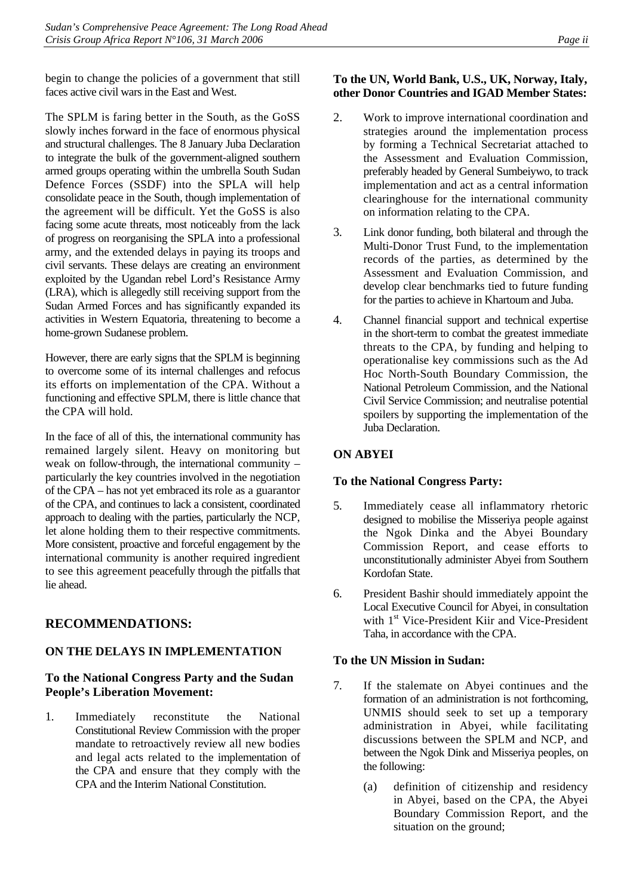begin to change the policies of a government that still faces active civil wars in the East and West.

The SPLM is faring better in the South, as the GoSS slowly inches forward in the face of enormous physical and structural challenges. The 8 January Juba Declaration to integrate the bulk of the government-aligned southern armed groups operating within the umbrella South Sudan Defence Forces (SSDF) into the SPLA will help consolidate peace in the South, though implementation of the agreement will be difficult. Yet the GoSS is also facing some acute threats, most noticeably from the lack of progress on reorganising the SPLA into a professional army, and the extended delays in paying its troops and civil servants. These delays are creating an environment exploited by the Ugandan rebel Lord's Resistance Army (LRA), which is allegedly still receiving support from the Sudan Armed Forces and has significantly expanded its activities in Western Equatoria, threatening to become a home-grown Sudanese problem.

However, there are early signs that the SPLM is beginning to overcome some of its internal challenges and refocus its efforts on implementation of the CPA. Without a functioning and effective SPLM, there is little chance that the CPA will hold.

In the face of all of this, the international community has remained largely silent. Heavy on monitoring but weak on follow-through, the international community – particularly the key countries involved in the negotiation of the CPA – has not yet embraced its role as a guarantor of the CPA, and continues to lack a consistent, coordinated approach to dealing with the parties, particularly the NCP, let alone holding them to their respective commitments. More consistent, proactive and forceful engagement by the international community is another required ingredient to see this agreement peacefully through the pitfalls that lie ahead.

## **RECOMMENDATIONS:**

## **ON THE DELAYS IN IMPLEMENTATION**

### **To the National Congress Party and the Sudan People's Liberation Movement:**

1. Immediately reconstitute the National Constitutional Review Commission with the proper mandate to retroactively review all new bodies and legal acts related to the implementation of the CPA and ensure that they comply with the CPA and the Interim National Constitution.

### **To the UN, World Bank, U.S., UK, Norway, Italy, other Donor Countries and IGAD Member States:**

- 2. Work to improve international coordination and strategies around the implementation process by forming a Technical Secretariat attached to the Assessment and Evaluation Commission, preferably headed by General Sumbeiywo, to track implementation and act as a central information clearinghouse for the international community on information relating to the CPA.
- 3. Link donor funding, both bilateral and through the Multi-Donor Trust Fund, to the implementation records of the parties, as determined by the Assessment and Evaluation Commission, and develop clear benchmarks tied to future funding for the parties to achieve in Khartoum and Juba.
- 4. Channel financial support and technical expertise in the short-term to combat the greatest immediate threats to the CPA, by funding and helping to operationalise key commissions such as the Ad Hoc North-South Boundary Commission, the National Petroleum Commission, and the National Civil Service Commission; and neutralise potential spoilers by supporting the implementation of the Juba Declaration.

## **ON ABYEI**

## **To the National Congress Party:**

- 5. Immediately cease all inflammatory rhetoric designed to mobilise the Misseriya people against the Ngok Dinka and the Abyei Boundary Commission Report, and cease efforts to unconstitutionally administer Abyei from Southern Kordofan State.
- 6. President Bashir should immediately appoint the Local Executive Council for Abyei, in consultation with 1<sup>st</sup> Vice-President Kiir and Vice-President Taha, in accordance with the CPA.

## **To the UN Mission in Sudan:**

- 7. If the stalemate on Abyei continues and the formation of an administration is not forthcoming, UNMIS should seek to set up a temporary administration in Abyei, while facilitating discussions between the SPLM and NCP, and between the Ngok Dink and Misseriya peoples, on the following:
	- (a) definition of citizenship and residency in Abyei, based on the CPA, the Abyei Boundary Commission Report, and the situation on the ground;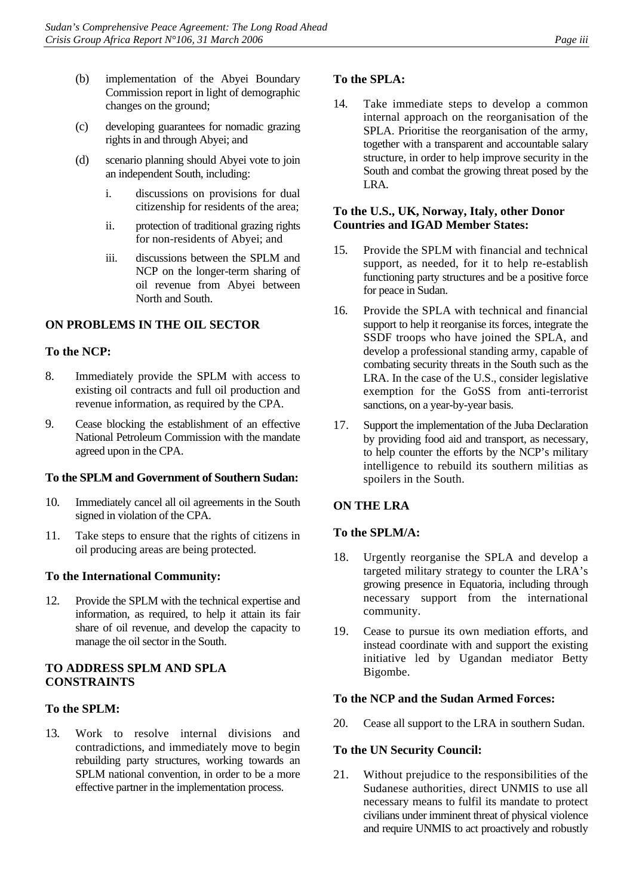- (b) implementation of the Abyei Boundary Commission report in light of demographic changes on the ground;
- (c) developing guarantees for nomadic grazing rights in and through Abyei; and
- (d) scenario planning should Abyei vote to join an independent South, including:
	- i. discussions on provisions for dual citizenship for residents of the area;
	- ii. protection of traditional grazing rights for non-residents of Abyei; and
	- iii. discussions between the SPLM and NCP on the longer-term sharing of oil revenue from Abyei between North and South.

### **ON PROBLEMS IN THE OIL SECTOR**

### **To the NCP:**

- 8. Immediately provide the SPLM with access to existing oil contracts and full oil production and revenue information, as required by the CPA.
- 9. Cease blocking the establishment of an effective National Petroleum Commission with the mandate agreed upon in the CPA.

#### **To the SPLM and Government of Southern Sudan:**

- 10. Immediately cancel all oil agreements in the South signed in violation of the CPA.
- 11. Take steps to ensure that the rights of citizens in oil producing areas are being protected.

### **To the International Community:**

12. Provide the SPLM with the technical expertise and information, as required, to help it attain its fair share of oil revenue, and develop the capacity to manage the oil sector in the South.

### **TO ADDRESS SPLM AND SPLA CONSTRAINTS**

#### **To the SPLM:**

13. Work to resolve internal divisions and contradictions, and immediately move to begin rebuilding party structures, working towards an SPLM national convention, in order to be a more effective partner in the implementation process.

### **To the SPLA:**

14. Take immediate steps to develop a common internal approach on the reorganisation of the SPLA. Prioritise the reorganisation of the army, together with a transparent and accountable salary structure, in order to help improve security in the South and combat the growing threat posed by the LRA.

#### **To the U.S., UK, Norway, Italy, other Donor Countries and IGAD Member States:**

- 15. Provide the SPLM with financial and technical support, as needed, for it to help re-establish functioning party structures and be a positive force for peace in Sudan.
- 16. Provide the SPLA with technical and financial support to help it reorganise its forces, integrate the SSDF troops who have joined the SPLA, and develop a professional standing army, capable of combating security threats in the South such as the LRA. In the case of the U.S., consider legislative exemption for the GoSS from anti-terrorist sanctions, on a year-by-year basis.
- 17. Support the implementation of the Juba Declaration by providing food aid and transport, as necessary, to help counter the efforts by the NCP's military intelligence to rebuild its southern militias as spoilers in the South.

### **ON THE LRA**

#### **To the SPLM/A:**

- 18. Urgently reorganise the SPLA and develop a targeted military strategy to counter the LRA's growing presence in Equatoria, including through necessary support from the international community.
- 19. Cease to pursue its own mediation efforts, and instead coordinate with and support the existing initiative led by Ugandan mediator Betty Bigombe.

#### **To the NCP and the Sudan Armed Forces:**

20. Cease all support to the LRA in southern Sudan.

#### **To the UN Security Council:**

21. Without prejudice to the responsibilities of the Sudanese authorities, direct UNMIS to use all necessary means to fulfil its mandate to protect civilians under imminent threat of physical violence and require UNMIS to act proactively and robustly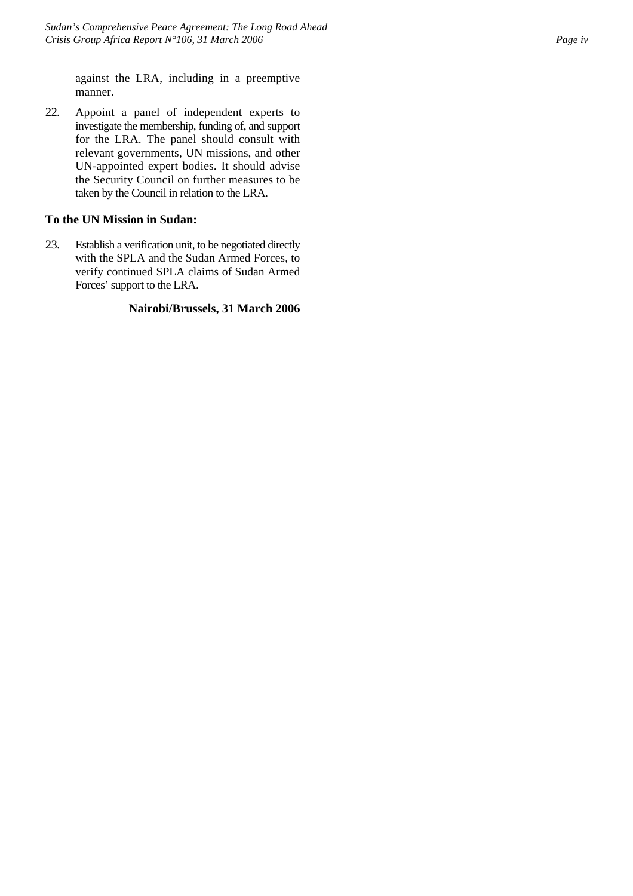against the LRA, including in a preemptive manner.

22. Appoint a panel of independent experts to investigate the membership, funding of, and support for the LRA. The panel should consult with relevant governments, UN missions, and other UN-appointed expert bodies. It should advise the Security Council on further measures to be taken by the Council in relation to the LRA.

### **To the UN Mission in Sudan:**

23. Establish a verification unit, to be negotiated directly with the SPLA and the Sudan Armed Forces, to verify continued SPLA claims of Sudan Armed Forces' support to the LRA.

### **Nairobi/Brussels, 31 March 2006**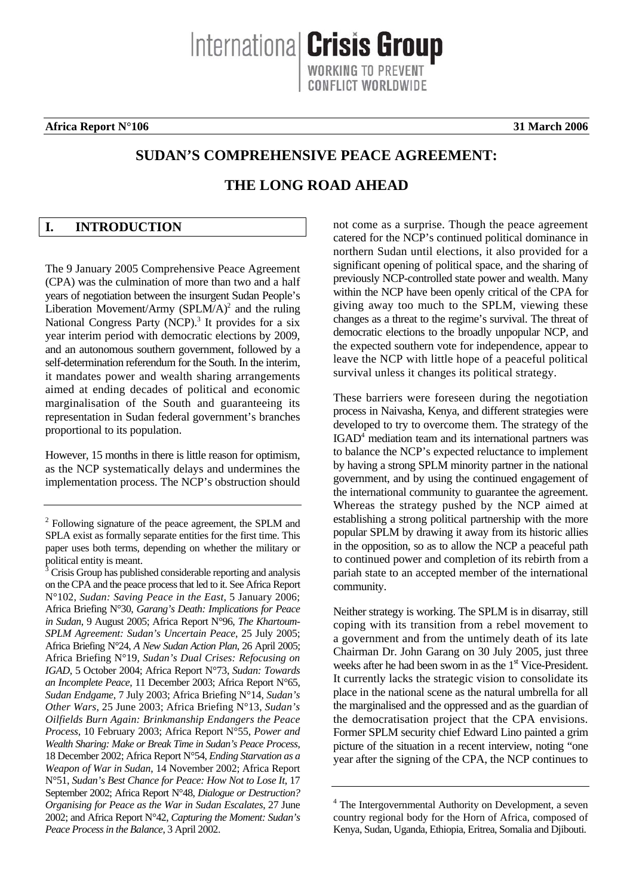**Africa Report N°106 31 March 2006**

## **SUDAN'S COMPREHENSIVE PEACE AGREEMENT:**

Internationa **Crisis Group** 

ONFLICT WORLDWIDE

## **THE LONG ROAD AHEAD**

## <span id="page-6-0"></span>**I. INTRODUCTION**

The 9 January 2005 Comprehensive Peace Agreement (CPA) was the culmination of more than two and a half years of negotiation between the insurgent Sudan People's Liberation Movement/Army (SPLM/A)<sup>[2](#page-6-1)</sup> and the ruling NationalCongress Party (NCP).<sup>3</sup> It provides for a six year interim period with democratic elections by 2009, and an autonomous southern government, followed by a self-determination referendum for the South. In the interim, it mandates power and wealth sharing arrangements aimed at ending decades of political and economic marginalisation of the South and guaranteeing its representation in Sudan federal government's branches proportional to its population.

However, 15 months in there is little reason for optimism, as the NCP systematically delays and undermines the implementation process. The NCP's obstruction should not come as a surprise. Though the peace agreement catered for the NCP's continued political dominance in northern Sudan until elections, it also provided for a significant opening of political space, and the sharing of previously NCP-controlled state power and wealth. Many within the NCP have been openly critical of the CPA for giving away too much to the SPLM, viewing these changes as a threat to the regime's survival. The threat of democratic elections to the broadly unpopular NCP, and the expected southern vote for independence, appear to leave the NCP with little hope of a peaceful political survival unless it changes its political strategy.

These barriers were foreseen during the negotiation process in Naivasha, Kenya, and different strategies were developed to try to overcome them. The strategy of the IGAD<sup>4</sup>mediation team and its international partners was to balance the NCP's expected reluctance to implement by having a strong SPLM minority partner in the national government, and by using the continued engagement of the international community to guarantee the agreement. Whereas the strategy pushed by the NCP aimed at establishing a strong political partnership with the more popular SPLM by drawing it away from its historic allies in the opposition, so as to allow the NCP a peaceful path to continued power and completion of its rebirth from a pariah state to an accepted member of the international community.

Neither strategy is working. The SPLM is in disarray, still coping with its transition from a rebel movement to a government and from the untimely death of its late Chairman Dr. John Garang on 30 July 2005, just three weeks after he had been sworn in as the  $1<sup>st</sup>$  Vice-President. It currently lacks the strategic vision to consolidate its place in the national scene as the natural umbrella for all the marginalised and the oppressed and as the guardian of the democratisation project that the CPA envisions. Former SPLM security chief Edward Lino painted a grim picture of the situation in a recent interview, noting "one year after the signing of the CPA, the NCP continues to

<span id="page-6-1"></span><sup>&</sup>lt;sup>2</sup> Following signature of the peace agreement, the SPLM and SPLA exist as formally separate entities for the first time. This paper uses both terms, depending on whether the military or political entity is meant.

<span id="page-6-2"></span><sup>3</sup> Crisis Group has published considerable reporting and analysis on the CPA and the peace process that led to it. See Africa Report N°102, *Sudan: Saving Peace in the East*, 5 January 2006; Africa Briefing N°30, *Garang's Death: Implications for Peace in Sudan*, 9 August 2005; Africa Report N°96, *The Khartoum-SPLM Agreement: Sudan's Uncertain Peace*, 25 July 2005; Africa Briefing N°24, *A New Sudan Action Plan*, 26 April 2005; Africa Briefing N°19, *Sudan's Dual Crises: Refocusing on IGAD*, 5 October 2004; Africa Report N°73, *Sudan: Towards an Incomplete Peace*, 11 December 2003; Africa Report N°65, *Sudan Endgame*, 7 July 2003; Africa Briefing N°14, *Sudan's Other Wars*, 25 June 2003; Africa Briefing N°13, *Sudan's Oilfields Burn Again: Brinkmanship Endangers the Peace Process*, 10 February 2003; Africa Report N°55, *Power and Wealth Sharing: Make or Break Time in Sudan's Peace Process*, 18 December 2002; Africa Report N°54, *Ending Starvation as a Weapon of War in Sudan*, 14 November 2002; Africa Report N°51, *Sudan's Best Chance for Peace: How Not to Lose It*, 17 September 2002; Africa Report N°48, *Dialogue or Destruction? Organising for Peace as the War in Sudan Escalates*, 27 June 2002; and Africa Report N°42, *Capturing the Moment: Sudan's Peace Process in the Balance*, 3 April 2002.

<span id="page-6-3"></span><sup>&</sup>lt;sup>4</sup> The Intergovernmental Authority on Development, a seven country regional body for the Horn of Africa, composed of Kenya, Sudan, Uganda, Ethiopia, Eritrea, Somalia and Djibouti.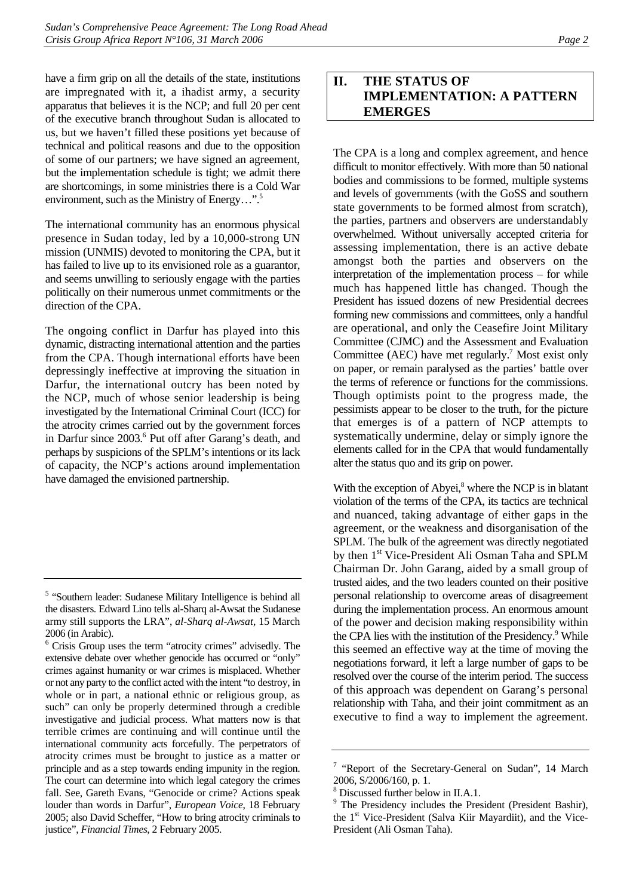have a firm grip on all the details of the state, institutions are impregnated with it, a ihadist army, a security apparatus that believes it is the NCP; and full 20 per cent of the executive branch throughout Sudan is allocated to us, but we haven't filled these positions yet because of technical and political reasons and due to the opposition of some of our partners; we have signed an agreement, but the implementation schedule is tight; we admit there are shortcomings, in some ministries there is a Cold War environment, such as the Ministry of Energy...".<sup>5</sup>

The international community has an enormous physical presence in Sudan today, led by a 10,000-strong UN mission (UNMIS) devoted to monitoring the CPA, but it has failed to live up to its envisioned role as a guarantor, and seems unwilling to seriously engage with the parties politically on their numerous unmet commitments or the direction of the CPA.

The ongoing conflict in Darfur has played into this dynamic, distracting international attention and the parties from the CPA. Though international efforts have been depressingly ineffective at improving the situation in Darfur, the international outcry has been noted by the NCP, much of whose senior leadership is being investigated by the International Criminal Court (ICC) for the atrocity crimes carried out by the government forces in Darfur since 2003.<sup>6</sup> Put off after Garang's death, and perhaps by suspicions of the SPLM's intentions or its lack of capacity, the NCP's actions around implementation have damaged the envisioned partnership.

## <span id="page-7-0"></span>**II. THE STATUS OF IMPLEMENTATION: A PATTERN EMERGES**

The CPA is a long and complex agreement, and hence difficult to monitor effectively. With more than 50 national bodies and commissions to be formed, multiple systems and levels of governments (with the GoSS and southern state governments to be formed almost from scratch), the parties, partners and observers are understandably overwhelmed. Without universally accepted criteria for assessing implementation, there is an active debate amongst both the parties and observers on the interpretation of the implementation process – for while much has happened little has changed. Though the President has issued dozens of new Presidential decrees forming new commissions and committees, only a handful are operational, and only the Ceasefire Joint Military Committee (CJMC) and the Assessment and Evaluation Committee (AEC) have met regularly.<sup>7</sup> Most exist only on paper, or remain paralysed as the parties' battle over the terms of reference or functions for the commissions. Though optimists point to the progress made, the pessimists appear to be closer to the truth, for the picture that emerges is of a pattern of NCP attempts to systematically undermine, delay or simply ignore the elements called for in the CPA that would fundamentally alter the status quo and its grip on power.

With the exception of Abyei,<sup>[8](#page-7-4)</sup> where the NCP is in blatant violation of the terms of the CPA, its tactics are technical and nuanced, taking advantage of either gaps in the agreement, or the weakness and disorganisation of the SPLM. The bulk of the agreement was directly negotiated by then 1<sup>st</sup> Vice-President Ali Osman Taha and SPLM Chairman Dr. John Garang, aided by a small group of trusted aides, and the two leaders counted on their positive personal relationship to overcome areas of disagreement during the implementation process. An enormous amount of the power and decision making responsibility within the CPA lies with the institution of the Presidency.<sup>9</sup> [W](#page-7-5)hile this seemed an effective way at the time of moving the negotiations forward, it left a large number of gaps to be resolved over the course of the interim period. The success of this approach was dependent on Garang's personal relationship with Taha, and their joint commitment as an executive to find a way to implement the agreement.

<span id="page-7-1"></span><sup>&</sup>lt;sup>5</sup> "Southern leader: Sudanese Military Intelligence is behind all the disasters. Edward Lino tells al-Sharq al-Awsat the Sudanese army still supports the LRA", *al-Sharq al-Awsat*, 15 March 2006 (in Arabic).

<span id="page-7-2"></span><sup>6</sup> Crisis Group uses the term "atrocity crimes" advisedly. The extensive debate over whether genocide has occurred or "only" crimes against humanity or war crimes is misplaced. Whether or not any party to the conflict acted with the intent "to destroy, in whole or in part, a national ethnic or religious group, as such" can only be properly determined through a credible investigative and judicial process. What matters now is that terrible crimes are continuing and will continue until the international community acts forcefully. The perpetrators of atrocity crimes must be brought to justice as a matter or principle and as a step towards ending impunity in the region. The court can determine into which legal category the crimes fall. See, Gareth Evans, "Genocide or crime? Actions speak louder than words in Darfur", *European Voice*, 18 February 2005; also David Scheffer, "How to bring atrocity criminals to justice", *Financial Times*, 2 February 2005.

<span id="page-7-3"></span><sup>&</sup>lt;sup>7</sup> "Report of the Secretary-General on Sudan", 14 March 2006, S/2006/160, p. 1.

<span id="page-7-4"></span><sup>8</sup> Discussed further below in II.A.1.

<span id="page-7-5"></span><sup>&</sup>lt;sup>9</sup> The Presidency includes the President (President Bashir), the 1<sup>st</sup> Vice-President (Salva Kiir Mayardiit), and the Vice-President (Ali Osman Taha).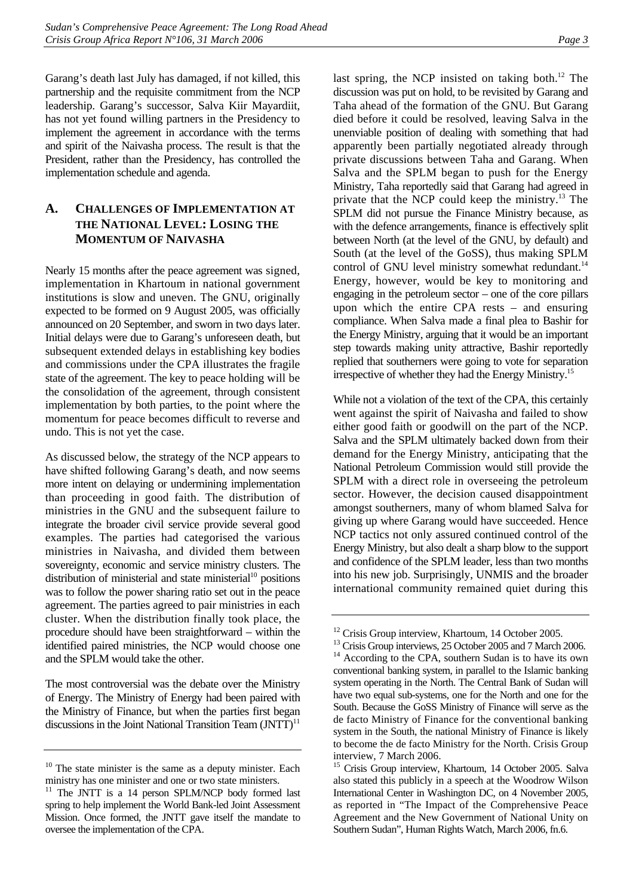Garang's death last July has damaged, if not killed, this partnership and the requisite commitment from the NCP leadership. Garang's successor, Salva Kiir Mayardiit, has not yet found willing partners in the Presidency to implement the agreement in accordance with the terms and spirit of the Naivasha process. The result is that the President, rather than the Presidency, has controlled the implementation schedule and agenda.

## <span id="page-8-0"></span>**A. CHALLENGES OF IMPLEMENTATION AT THE NATIONAL LEVEL: LOSING THE MOMENTUM OF NAIVASHA**

Nearly 15 months after the peace agreement was signed, implementation in Khartoum in national government institutions is slow and uneven. The GNU, originally expected to be formed on 9 August 2005, was officially announced on 20 September, and sworn in two days later. Initial delays were due to Garang's unforeseen death, but subsequent extended delays in establishing key bodies and commissions under the CPA illustrates the fragile state of the agreement. The key to peace holding will be the consolidation of the agreement, through consistent implementation by both parties, to the point where the momentum for peace becomes difficult to reverse and undo. This is not yet the case.

As discussed below, the strategy of the NCP appears to have shifted following Garang's death, and now seems more intent on delaying or undermining implementation than proceeding in good faith. The distribution of ministries in the GNU and the subsequent failure to integrate the broader civil service provide several good examples. The parties had categorised the various ministries in Naivasha, and divided them between sovereignty, economic and service ministry clusters. The distribution of ministerial and state ministerial<sup>10</sup> positions was to follow the power sharing ratio set out in the peace agreement. The parties agreed to pair ministries in each cluster. When the distribution finally took place, the procedure should have been straightforward – within the identified paired ministries, the NCP would choose one and the SPLM would take the other.

The most controversial was the debate over the Ministry of Energy. The Ministry of Energy had been paired with the Ministry of Finance, but when the parties first began discussions in the Joint National Transition Team  $(JNTT)^{11}$ 

last spring, the NCP insisted on taking both. $12$  The discussion was put on hold, to be revisited by Garang and Taha ahead of the formation of the GNU. But Garang died before it could be resolved, leaving Salva in the unenviable position of dealing with something that had apparently been partially negotiated already through private discussions between Taha and Garang. When Salva and the SPLM began to push for the Energy Ministry, Taha reportedly said that Garang had agreed in private that the NCP could keep the ministry.<sup>13</sup> The SPLM did not pursue the Finance Ministry because, as with the defence arrangements, finance is effectively split between North (at the level of the GNU, by default) and South (at the level of the GoSS), thus making SPLM control of GNU level ministry somewhat redundant.<sup>14</sup> Energy, however, would be key to monitoring and engaging in the petroleum sector – one of the core pillars upon which the entire CPA rests – and ensuring compliance. When Salva made a final plea to Bashir for the Energy Ministry, arguing that it would be an important step towards making unity attractive, Bashir reportedly replied that southerners were going to vote for separation irrespective of whether they had the Energy Ministry.<sup>15</sup>

While not a violation of the text of the CPA, this certainly went against the spirit of Naivasha and failed to show either good faith or goodwill on the part of the NCP. Salva and the SPLM ultimately backed down from their demand for the Energy Ministry, anticipating that the National Petroleum Commission would still provide the SPLM with a direct role in overseeing the petroleum sector. However, the decision caused disappointment amongst southerners, many of whom blamed Salva for giving up where Garang would have succeeded. Hence NCP tactics not only assured continued control of the Energy Ministry, but also dealt a sharp blow to the support and confidence of the SPLM leader, less than two months into his new job. Surprisingly, UNMIS and the broader international community remained quiet during this

<span id="page-8-1"></span> $10$  The state minister is the same as a deputy minister. Each ministry has one minister and one or two state ministers.

<span id="page-8-2"></span><sup>&</sup>lt;sup>11</sup> The JNTT is a 14 person SPLM/NCP body formed last spring to help implement the World Bank-led Joint Assessment Mission. Once formed, the JNTT gave itself the mandate to oversee the implementation of the CPA.

<span id="page-8-3"></span><sup>&</sup>lt;sup>12</sup> Crisis Group interview, Khartoum, 14 October 2005.

<span id="page-8-5"></span><span id="page-8-4"></span><sup>&</sup>lt;sup>13</sup> Crisis Group interviews, 25 October 2005 and 7 March 2006. <sup>14</sup> According to the CPA, southern Sudan is to have its own conventional banking system, in parallel to the Islamic banking system operating in the North. The Central Bank of Sudan will have two equal sub-systems, one for the North and one for the South. Because the GoSS Ministry of Finance will serve as the de facto Ministry of Finance for the conventional banking system in the South, the national Ministry of Finance is likely to become the de facto Ministry for the North. Crisis Group interview, 7 March 2006.

<span id="page-8-6"></span><sup>&</sup>lt;sup>15</sup> Crisis Group interview, Khartoum, 14 October 2005. Salva also stated this publicly in a speech at the Woodrow Wilson International Center in Washington DC, on 4 November 2005, as reported in "The Impact of the Comprehensive Peace Agreement and the New Government of National Unity on Southern Sudan", Human Rights Watch, March 2006, fn.6.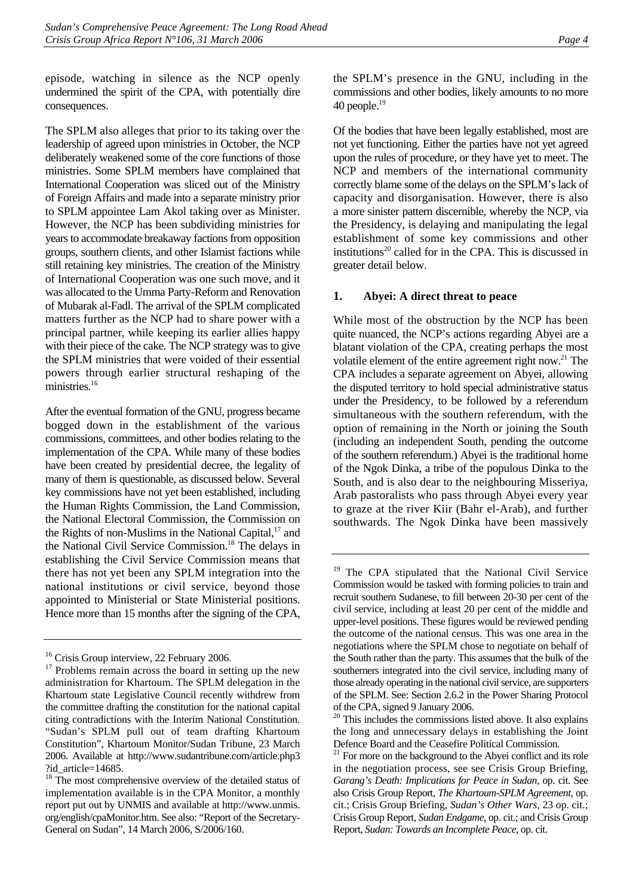episode, watching in silence as the NCP openly undermined the spirit of the CPA, with potentially dire consequences.

The SPLM also alleges that prior to its taking over the leadership of agreed upon ministries in October, the NCP deliberately weakened some of the core functions of those ministries. Some SPLM members have complained that International Cooperation was sliced out of the Ministry of Foreign Affairs and made into a separate ministry prior to SPLM appointee Lam Akol taking over as Minister. However, the NCP has been subdividing ministries for years to accommodate breakaway factions from opposition groups, southern clients, and other Islamist factions while still retaining key ministries. The creation of the Ministry of International Cooperation was one such move, and it was allocated to the Umma Party-Reform and Renovation of Mubarak al-Fadl. The arrival of the SPLM complicated matters further as the NCP had to share power with a principal partner, while keeping its earlier allies happy with their piece of the cake. The NCP strategy was to give the SPLM ministries that were voided of their essential powers through earlier structural reshaping of the ministries.<sup>16</sup>

After the eventual formation of the GNU, progress became bogged down in the establishment of the various commissions, committees, and other bodies relating to the implementation of the CPA. While many of these bodies have been created by presidential decree, the legality of many of them is questionable, as discussed below. Several key commissions have not yet been established, including the Human Rights Commission, the Land Commission, the National Electoral Commission, the Commission on the Rights of non-Muslims in the National Capital,<sup>17</sup> and the National Civil Service Commission.<sup>18</sup> The delays in establishing the Civil Service Commission means that there has not yet been any SPLM integration into the national institutions or civil service, beyond those appointed to Ministerial or State Ministerial positions. Hence more than 15 months after the signing of the CPA,

the SPLM's presence in the GNU, including in the commissions and other bodies, likely amounts to no more 40 people. $19$ 

Of the bodies that have been legally established, most are not yet functioning. Either the parties have not yet agreed upon the rules of procedure, or they have yet to meet. The NCP and members of the international community correctly blame some of the delays on the SPLM's lack of capacity and disorganisation. However, there is also a more sinister pattern discernible, whereby the NCP, via the Presidency, is delaying and manipulating the legal establishment of some key commissions and other institutions $^{20}$  called for in the CPA. This is discussed in greater detail below.

#### <span id="page-9-0"></span>**1. Abyei: A direct threat to peace**

While most of the obstruction by the NCP has been quite nuanced, the NCP's actions regarding Abyei are a blatant violation of the CPA, creating perhaps the most volatile element of the entire agreement right now.<sup>21</sup> The CPA includes a separate agreement on Abyei, allowing the disputed territory to hold special administrative status under the Presidency, to be followed by a referendum simultaneous with the southern referendum, with the option of remaining in the North or joining the South (including an independent South, pending the outcome of the southern referendum.) Abyei is the traditional home of the Ngok Dinka, a tribe of the populous Dinka to the South, and is also dear to the neighbouring Misseriya, Arab pastoralists who pass through Abyei every year to graze at the river Kiir (Bahr el-Arab), and further southwards. The Ngok Dinka have been massively

<span id="page-9-1"></span><sup>&</sup>lt;sup>16</sup> Crisis Group interview, 22 February 2006.

<span id="page-9-2"></span><sup>&</sup>lt;sup>17</sup> Problems remain across the board in setting up the new administration for Khartoum. The SPLM delegation in the Khartoum state Legislative Council recently withdrew from the committee drafting the constitution for the national capital citing contradictions with the Interim National Constitution. "Sudan's SPLM pull out of team drafting Khartoum Constitution", Khartoum Monitor/Sudan Tribune, 23 March 2006. Available at http://www.sudantribune.com/article.php3 ?id\_article=14685.

<span id="page-9-3"></span><sup>&</sup>lt;sup>18</sup> The most comprehensive overview of the detailed status of implementation available is in the CPA Monitor, a monthly report put out by UNMIS and available at http://www.unmis. org/english/cpaMonitor.htm. See also: "Report of the Secretary-General on Sudan", 14 March 2006, S/2006/160.

<span id="page-9-4"></span><sup>&</sup>lt;sup>19</sup> The CPA stipulated that the National Civil Service Commission would be tasked with forming policies to train and recruit southern Sudanese, to fill between 20-30 per cent of the civil service, including at least 20 per cent of the middle and upper-level positions. These figures would be reviewed pending the outcome of the national census. This was one area in the negotiations where the SPLM chose to negotiate on behalf of the South rather than the party. This assumes that the bulk of the southerners integrated into the civil service, including many of those already operating in the national civil service, are supporters of the SPLM. See: Section 2.6.2 in the Power Sharing Protocol of the CPA, signed 9 January 2006.

<span id="page-9-5"></span><sup>&</sup>lt;sup>20</sup> This includes the commissions listed above. It also explains the long and unnecessary delays in establishing the Joint Defence Board and the Ceasefire Political Commission.

<span id="page-9-6"></span> $21$  For more on the background to the Abyei conflict and its role in the negotiation process, see see Crisis Group Briefing, *Garang's Death: Implications for Peace in Sudan,* op. cit. See also Crisis Group Report, *The Khartoum-SPLM Agreement,* op. cit.; Crisis Group Briefing, *Sudan's Other Wars*, 23 op. cit.; Crisis Group Report, *Sudan Endgame,* op. cit.; and Crisis Group Report, *Sudan: Towards an Incomplete Peace*, op. cit.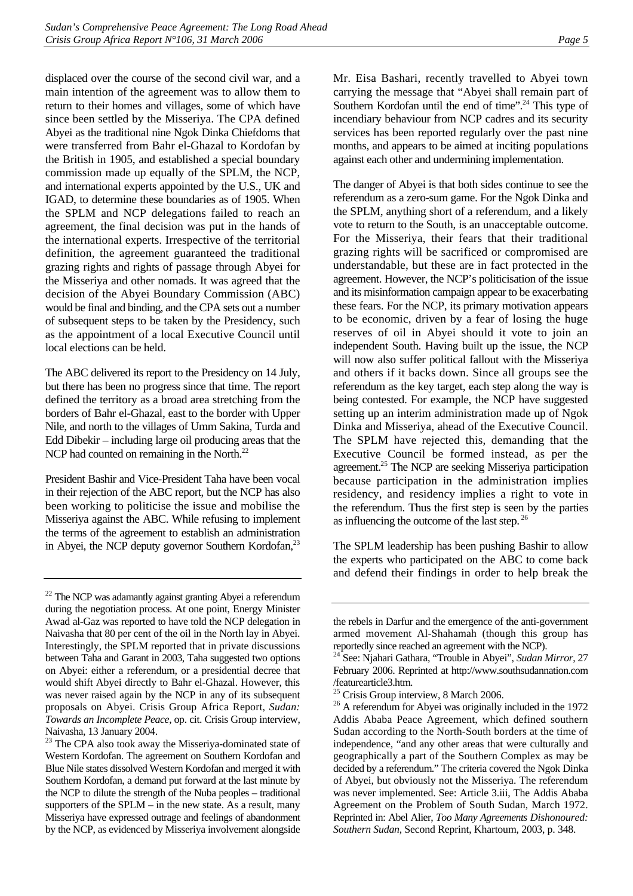displaced over the course of the second civil war, and a main intention of the agreement was to allow them to return to their homes and villages, some of which have since been settled by the Misseriya. The CPA defined Abyei as the traditional nine Ngok Dinka Chiefdoms that were transferred from Bahr el-Ghazal to Kordofan by the British in 1905, and established a special boundary commission made up equally of the SPLM, the NCP, and international experts appointed by the U.S., UK and IGAD, to determine these boundaries as of 1905. When the SPLM and NCP delegations failed to reach an agreement, the final decision was put in the hands of the international experts. Irrespective of the territorial definition, the agreement guaranteed the traditional grazing rights and rights of passage through Abyei for the Misseriya and other nomads. It was agreed that the decision of the Abyei Boundary Commission (ABC) would be final and binding, and the CPA sets out a number of subsequent steps to be taken by the Presidency, such as the appointment of a local Executive Council until local elections can be held.

The ABC delivered its report to the Presidency on 14 July, but there has been no progress since that time. The report defined the territory as a broad area stretching from the borders of Bahr el-Ghazal, east to the border with Upper Nile, and north to the villages of Umm Sakina, Turda and Edd Dibekir – including large oil producing areas that the NCP had counted on remaining in the North.<sup>22</sup>

President Bashir and Vice-President Taha have been vocal in their rejection of the ABC report, but the NCP has also been working to politicise the issue and mobilise the Misseriya against the ABC. While refusing to implement the terms of the agreement to establish an administration in Abyei, the NCP deputy governor Southern Kordofan, $^{23}$ 

Mr. Eisa Bashari, recently travelled to Abyei town carrying the message that "Abyei shall remain part of Southern Kordofan until the end of time".<sup>24</sup> This type of incendiary behaviour from NCP cadres and its security services has been reported regularly over the past nine months, and appears to be aimed at inciting populations against each other and undermining implementation.

The danger of Abyei is that both sides continue to see the referendum as a zero-sum game. For the Ngok Dinka and the SPLM, anything short of a referendum, and a likely vote to return to the South, is an unacceptable outcome. For the Misseriya, their fears that their traditional grazing rights will be sacrificed or compromised are understandable, but these are in fact protected in the agreement. However, the NCP's politicisation of the issue and its misinformation campaign appear to be exacerbating these fears. For the NCP, its primary motivation appears to be economic, driven by a fear of losing the huge reserves of oil in Abyei should it vote to join an independent South. Having built up the issue, the NCP will now also suffer political fallout with the Misseriya and others if it backs down. Since all groups see the referendum as the key target, each step along the way is being contested. For example, the NCP have suggested setting up an interim administration made up of Ngok Dinka and Misseriya, ahead of the Executive Council. The SPLM have rejected this, demanding that the Executive Council be formed instead, as per the agreement.<sup>25</sup> The NCP are seeking Misseriya participation because participation in the administration implies residency, and residency implies a right to vote in the referendum. Thus the first step is seen by the parties as influencing the outcome of the last step. [26](#page-10-4)

The SPLM leadership has been pushing Bashir to allow the experts who participated on the ABC to come back and defend their findings in order to help break the

<span id="page-10-0"></span> $22$  The NCP was adamantly against granting Abyei a referendum during the negotiation process. At one point, Energy Minister Awad al-Gaz was reported to have told the NCP delegation in Naivasha that 80 per cent of the oil in the North lay in Abyei. Interestingly, the SPLM reported that in private discussions between Taha and Garant in 2003, Taha suggested two options on Abyei: either a referendum, or a presidential decree that would shift Abyei directly to Bahr el-Ghazal. However, this was never raised again by the NCP in any of its subsequent proposals on Abyei. Crisis Group Africa Report, *Sudan: Towards an Incomplete Peace*, op. cit. Crisis Group interview, Naivasha, 13 January 2004.

<span id="page-10-1"></span><sup>&</sup>lt;sup>23</sup> The CPA also took away the Misseriya-dominated state of Western Kordofan. The agreement on Southern Kordofan and Blue Nile states dissolved Western Kordofan and merged it with Southern Kordofan, a demand put forward at the last minute by the NCP to dilute the strength of the Nuba peoples – traditional supporters of the  $SPLM - in$  the new state. As a result, many Misseriya have expressed outrage and feelings of abandonment by the NCP, as evidenced by Misseriya involvement alongside

the rebels in Darfur and the emergence of the anti-government armed movement Al-Shahamah (though this group has reportedly since reached an agreement with the NCP). 24 See: Njahari Gathara, "Trouble in Abyei", *Sudan Mirror*, 27

<span id="page-10-2"></span>February 2006. Reprinted at http://www.southsudannation.com /featurearticle3.htm.

<span id="page-10-3"></span><sup>&</sup>lt;sup>25</sup> Crisis Group interview, 8 March 2006.

<span id="page-10-4"></span><sup>&</sup>lt;sup>26</sup> A referendum for Abyei was originally included in the 1972 Addis Ababa Peace Agreement, which defined southern Sudan according to the North-South borders at the time of independence, "and any other areas that were culturally and geographically a part of the Southern Complex as may be decided by a referendum." The criteria covered the Ngok Dinka of Abyei, but obviously not the Misseriya. The referendum was never implemented. See: Article 3.iii, The Addis Ababa Agreement on the Problem of South Sudan, March 1972. Reprinted in: Abel Alier, *Too Many Agreements Dishonoured: Southern Sudan*, Second Reprint, Khartoum, 2003, p. 348.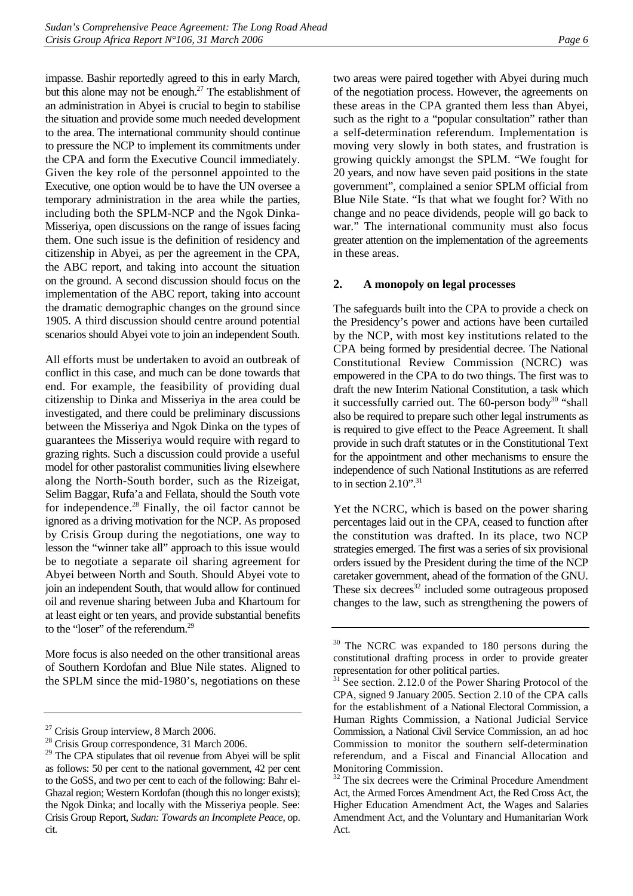impasse. Bashir reportedly agreed to this in early March, but this alone may not be enough.<sup>27</sup> The establishment of an administration in Abyei is crucial to begin to stabilise the situation and provide some much needed development to the area. The international community should continue to pressure the NCP to implement its commitments under the CPA and form the Executive Council immediately. Given the key role of the personnel appointed to the Executive, one option would be to have the UN oversee a temporary administration in the area while the parties, including both the SPLM-NCP and the Ngok Dinka-Misseriya, open discussions on the range of issues facing them. One such issue is the definition of residency and citizenship in Abyei, as per the agreement in the CPA, the ABC report, and taking into account the situation on the ground. A second discussion should focus on the implementation of the ABC report, taking into account the dramatic demographic changes on the ground since 1905. A third discussion should centre around potential scenarios should Abyei vote to join an independent South.

All efforts must be undertaken to avoid an outbreak of conflict in this case, and much can be done towards that end. For example, the feasibility of providing dual citizenship to Dinka and Misseriya in the area could be investigated, and there could be preliminary discussions between the Misseriya and Ngok Dinka on the types of guarantees the Misseriya would require with regard to grazing rights. Such a discussion could provide a useful model for other pastoralist communities living elsewhere along the North-South border, such as the Rizeigat, Selim Baggar, Rufa'a and Fellata, should the South vote for independence.<sup>28</sup> Finally, the oil factor cannot be ignored as a driving motivation for the NCP. As proposed by Crisis Group during the negotiations, one way to lesson the "winner take all" approach to this issue would be to negotiate a separate oil sharing agreement for Abyei between North and South. Should Abyei vote to join an independent South, that would allow for continued oil and revenue sharing between Juba and Khartoum for at least eight or ten years, and provide substantial benefits to the "loser" of the referendum.<sup>29</sup>

More focus is also needed on the other transitional areas of Southern Kordofan and Blue Nile states. Aligned to the SPLM since the mid-1980's, negotiations on these two areas were paired together with Abyei during much of the negotiation process. However, the agreements on these areas in the CPA granted them less than Abyei, such as the right to a "popular consultation" rather than a self-determination referendum. Implementation is moving very slowly in both states, and frustration is growing quickly amongst the SPLM. "We fought for 20 years, and now have seven paid positions in the state government", complained a senior SPLM official from Blue Nile State. "Is that what we fought for? With no change and no peace dividends, people will go back to war." The international community must also focus greater attention on the implementation of the agreements in these areas.

#### <span id="page-11-0"></span>**2. A monopoly on legal processes**

The safeguards built into the CPA to provide a check on the Presidency's power and actions have been curtailed by the NCP, with most key institutions related to the CPA being formed by presidential decree. The National Constitutional Review Commission (NCRC) was empowered in the CPA to do two things. The first was to draft the new Interim National Constitution, a task which it successfully carried out. The  $60$ -person body<sup>30</sup> "shall also be required to prepare such other legal instruments as is required to give effect to the Peace Agreement. It shall provide in such draft statutes or in the Constitutional Text for the appointment and other mechanisms to ensure the independence of such National Institutions as are referred to in section  $2.10$ ".<sup>31</sup>

Yet the NCRC, which is based on the power sharing percentages laid out in the CPA, ceased to function after the constitution was drafted. In its place, two NCP strategies emerged. The first was a series of six provisional orders issued by the President during the time of the NCP caretaker government, ahead of the formation of the GNU. These six decrees $32$  included some outrageous proposed changes to the law, such as strengthening the powers of

<span id="page-11-1"></span><sup>&</sup>lt;sup>27</sup> Crisis Group interview, 8 March 2006.

<span id="page-11-2"></span><sup>&</sup>lt;sup>28</sup> Crisis Group correspondence, 31 March 2006.

<span id="page-11-3"></span><sup>&</sup>lt;sup>29</sup> The CPA stipulates that oil revenue from Abyei will be split as follows: 50 per cent to the national government, 42 per cent to the GoSS, and two per cent to each of the following: Bahr el-Ghazal region; Western Kordofan (though this no longer exists); the Ngok Dinka; and locally with the Misseriya people. See: Crisis Group Report, *Sudan: Towards an Incomplete Peace*, op. cit.

<span id="page-11-4"></span><sup>&</sup>lt;sup>30</sup> The NCRC was expanded to 180 persons during the constitutional drafting process in order to provide greater representation for other political parties.

<span id="page-11-5"></span><sup>&</sup>lt;sup>31</sup> See section. 2.12.0 of the Power Sharing Protocol of the CPA, signed 9 January 2005. Section 2.10 of the CPA calls for the establishment of a National Electoral Commission, a Human Rights Commission, a National Judicial Service Commission, a National Civil Service Commission, an ad hoc Commission to monitor the southern self-determination referendum, and a Fiscal and Financial Allocation and Monitoring Commission.

<span id="page-11-6"></span><sup>&</sup>lt;sup>32</sup> The six decrees were the Criminal Procedure Amendment Act, the Armed Forces Amendment Act, the Red Cross Act, the Higher Education Amendment Act, the Wages and Salaries Amendment Act, and the Voluntary and Humanitarian Work Act.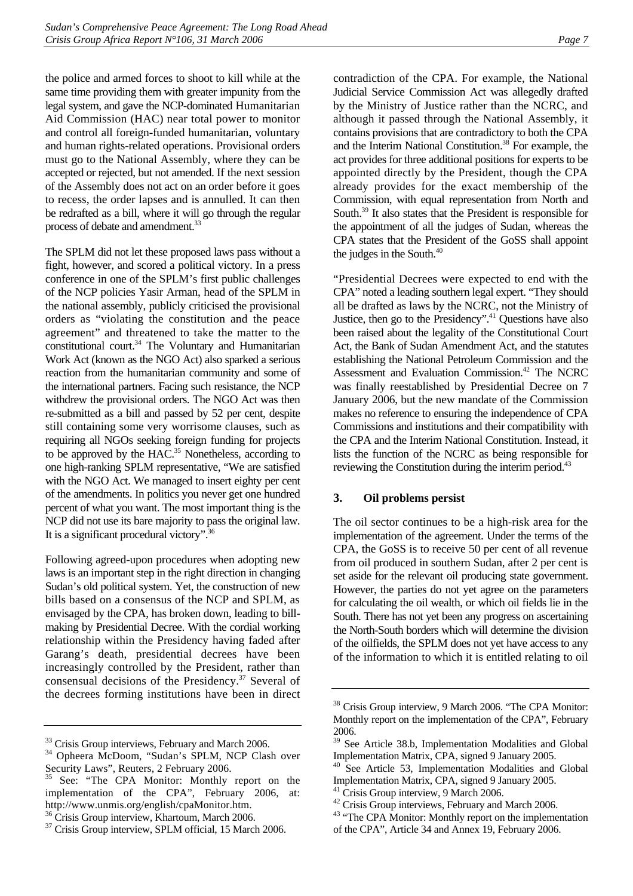the police and armed forces to shoot to kill while at the same time providing them with greater impunity from the legal system, and gave the NCP-dominated Humanitarian Aid Commission (HAC) near total power to monitor and control all foreign-funded humanitarian, voluntary and human rights-related operations. Provisional orders must go to the National Assembly, where they can be accepted or rejected, but not amended. If the next session of the Assembly does not act on an order before it goes to recess, the order lapses and is annulled. It can then be redrafted as a bill, where it will go through the regular process of debate and amendment.<sup>33</sup>

The SPLM did not let these proposed laws pass without a fight, however, and scored a political victory. In a press conference in one of the SPLM's first public challenges of the NCP policies Yasir Arman, head of the SPLM in the national assembly, publicly criticised the provisional orders as "violating the constitution and the peace agreement" and threatened to take the matter to the constitutional court.<sup>34</sup> The Voluntary and Humanitarian Work Act (known as the NGO Act) also sparked a serious reaction from the humanitarian community and some of the international partners. Facing such resistance, the NCP withdrew the provisional orders. The NGO Act was then re-submitted as a bill and passed by 52 per cent, despite still containing some very worrisome clauses, such as requiring all NGOs seeking foreign funding for projects to be approved by the HAC.<sup>35</sup> Nonetheless, according to one high-ranking SPLM representative, "We are satisfied with the NGO Act. We managed to insert eighty per cent of the amendments. In politics you never get one hundred percent of what you want. The most important thing is the NCP did not use its bare majority to pass the original law. It is a significant procedural victory".[36](#page-12-4)

Following agreed-upon procedures when adopting new laws is an important step in the right direction in changing Sudan's old political system. Yet, the construction of new bills based on a consensus of the NCP and SPLM, as envisaged by the CPA, has broken down, leading to billmaking by Presidential Decree. With the cordial working relationship within the Presidency having faded after Garang's death, presidential decrees have been increasingly controlled by the President, rather than consensual decisions of the Presidency.<sup>37</sup> Several of the decrees forming institutions have been in direct

contradiction of the CPA. For example, the National Judicial Service Commission Act was allegedly drafted by the Ministry of Justice rather than the NCRC, and although it passed through the National Assembly, it contains provisions that are contradictory to both the CPA and the Interim National Constitution.<sup>38</sup> For example, the act provides for three additional positions for experts to be appointed directly by the President, though the CPA already provides for the exact membership of the Commission, with equal representation from North and South.<sup>39</sup> It also states that the President is responsible for the appointment of all the judges of Sudan, whereas the CPA states that the President of the GoSS shall appoint the judges in the South. $40$ 

"Presidential Decrees were expected to end with the CPA" noted a leading southern legal expert. "They should all be drafted as laws by the NCRC, not the Ministry of Justice, then go to the Presidency".<sup>41</sup> Questions have also been raised about the legality of the Constitutional Court Act, the Bank of Sudan Amendment Act, and the statutes establishing the National Petroleum Commission and the Assessment and Evaluation Commission.<sup>42</sup> The NCRC was finally reestablished by Presidential Decree on 7 January 2006, but the new mandate of the Commission makes no reference to ensuring the independence of CPA Commissions and institutions and their compatibility with the CPA and the Interim National Constitution. Instead, it lists the function of the NCRC as being responsible for reviewing the Constitution during the interim period.<sup>[43](#page-12-11)</sup>

#### <span id="page-12-0"></span>**3. Oil problems persist**

The oil sector continues to be a high-risk area for the implementation of the agreement. Under the terms of the CPA, the GoSS is to receive 50 per cent of all revenue from oil produced in southern Sudan, after 2 per cent is set aside for the relevant oil producing state government. However, the parties do not yet agree on the parameters for calculating the oil wealth, or which oil fields lie in the South. There has not yet been any progress on ascertaining the North-South borders which will determine the division of the oilfields, the SPLM does not yet have access to any of the information to which it is entitled relating to oil

<span id="page-12-1"></span><sup>&</sup>lt;sup>33</sup> Crisis Group interviews, February and March 2006.

<span id="page-12-2"></span><sup>34</sup> Opheera McDoom, "Sudan's SPLM, NCP Clash over Security Laws", Reuters, 2 February 2006.

<span id="page-12-3"></span>See: "The CPA Monitor: Monthly report on the implementation of the CPA", February 2006, at: http://www.unmis.org/english/cpaMonitor.htm.

<span id="page-12-4"></span><sup>&</sup>lt;sup>36</sup> Crisis Group interview, Khartoum, March 2006.

<span id="page-12-5"></span><sup>&</sup>lt;sup>37</sup> Crisis Group interview, SPLM official, 15 March 2006.

<span id="page-12-6"></span><sup>38</sup> Crisis Group interview, 9 March 2006. "The CPA Monitor: Monthly report on the implementation of the CPA", February 2006.

<span id="page-12-7"></span><sup>39</sup> See Article 38.b, Implementation Modalities and Global Implementation Matrix, CPA, signed 9 January 2005.

<span id="page-12-8"></span>See Article 53, Implementation Modalities and Global Implementation Matrix, CPA, signed 9 January 2005.

<span id="page-12-9"></span><sup>&</sup>lt;sup>41</sup> Crisis Group interview, 9 March 2006.

<span id="page-12-10"></span><sup>&</sup>lt;sup>42</sup> Crisis Group interviews, February and March 2006.

<span id="page-12-11"></span><sup>&</sup>lt;sup>43</sup> "The CPA Monitor: Monthly report on the implementation of the CPA", Article 34 and Annex 19, February 2006.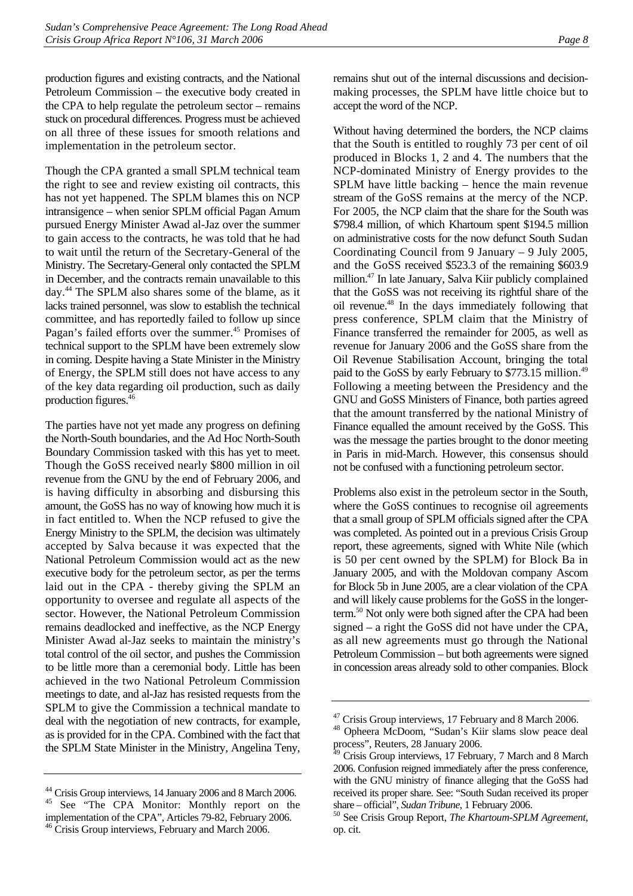production figures and existing contracts, and the National Petroleum Commission – the executive body created in the CPA to help regulate the petroleum sector – remains stuck on procedural differences. Progress must be achieved on all three of these issues for smooth relations and implementation in the petroleum sector.

Though the CPA granted a small SPLM technical team the right to see and review existing oil contracts, this has not yet happened. The SPLM blames this on NCP intransigence – when senior SPLM official Pagan Amum pursued Energy Minister Awad al-Jaz over the summer to gain access to the contracts, he was told that he had to wait until the return of the Secretary-General of the Ministry. The Secretary-General only contacted the SPLM in December, and the contracts remain unavailable to this day.[44 T](#page-13-0)he SPLM also shares some of the blame, as it lacks trained personnel, was slow to establish the technical committee, and has reportedly failed to follow up since Pagan's failed efforts over the summer.<sup>45</sup> Promises of technical support to the SPLM have been extremely slow in coming. Despite having a State Minister in the Ministry of Energy, the SPLM still does not have access to any of the key data regarding oil production, such as daily production figures.[46](#page-13-2)

The parties have not yet made any progress on defining the North-South boundaries, and the Ad Hoc North-South Boundary Commission tasked with this has yet to meet. Though the GoSS received nearly \$800 million in oil revenue from the GNU by the end of February 2006, and is having difficulty in absorbing and disbursing this amount, the GoSS has no way of knowing how much it is in fact entitled to. When the NCP refused to give the Energy Ministry to the SPLM, the decision was ultimately accepted by Salva because it was expected that the National Petroleum Commission would act as the new executive body for the petroleum sector, as per the terms laid out in the CPA - thereby giving the SPLM an opportunity to oversee and regulate all aspects of the sector. However, the National Petroleum Commission remains deadlocked and ineffective, as the NCP Energy Minister Awad al-Jaz seeks to maintain the ministry's total control of the oil sector, and pushes the Commission to be little more than a ceremonial body. Little has been achieved in the two National Petroleum Commission meetings to date, and al-Jaz has resisted requests from the SPLM to give the Commission a technical mandate to deal with the negotiation of new contracts, for example, as is provided for in the CPA. Combined with the fact that the SPLM State Minister in the Ministry, Angelina Teny,

<span id="page-13-1"></span><span id="page-13-0"></span>44 Crisis Group interviews, 14 January 2006 and 8 March 2006. <sup>45</sup> See "The CPA Monitor: Monthly report on the

<span id="page-13-2"></span>implementation of the CPA", Articles 79-82, February 2006. <sup>46</sup> Crisis Group interviews, February and March 2006.

remains shut out of the internal discussions and decisionmaking processes, the SPLM have little choice but to accept the word of the NCP.

Without having determined the borders, the NCP claims that the South is entitled to roughly 73 per cent of oil produced in Blocks 1, 2 and 4. The numbers that the NCP-dominated Ministry of Energy provides to the SPLM have little backing – hence the main revenue stream of the GoSS remains at the mercy of the NCP. For 2005, the NCP claim that the share for the South was \$798.4 million, of which Khartoum spent \$194.5 million on administrative costs for the now defunct South Sudan Coordinating Council from 9 January – 9 July 2005, and the GoSS received \$523.3 of the remaining \$603.9 million.[47 I](#page-13-3)n late January, Salva Kiir publicly complained that the GoSS was not receiving its rightful share of the oil revenue[.48](#page-13-4) In the days immediately following that press conference, SPLM claim that the Ministry of Finance transferred the remainder for 2005, as well as revenue for January 2006 and the GoSS share from the Oil Revenue Stabilisation Account, bringing the total paid to the GoSS by early February to \$773.15 million.<sup>49</sup> Following a meeting between the Presidency and the GNU and GoSS Ministers of Finance, both parties agreed that the amount transferred by the national Ministry of Finance equalled the amount received by the GoSS. This was the message the parties brought to the donor meeting in Paris in mid-March. However, this consensus should not be confused with a functioning petroleum sector.

Problems also exist in the petroleum sector in the South, where the GoSS continues to recognise oil agreements that a small group of SPLM officials signed after the CPA was completed. As pointed out in a previous Crisis Group report, these agreements, signed with White Nile (which is 50 per cent owned by the SPLM) for Block Ba in January 2005, and with the Moldovan company Ascom for Block 5b in June 2005, are a clear violation of the CPA and will likely cause problems for the GoSS in the longerterm.<sup>50</sup> Not only were both signed after the CPA had been signed – a right the GoSS did not have under the CPA, as all new agreements must go through the National Petroleum Commission – but both agreements were signed in concession areas already sold to other companies. Block

<span id="page-13-3"></span><sup>&</sup>lt;sup>47</sup> Crisis Group interviews, 17 February and 8 March 2006.

<span id="page-13-4"></span><sup>48</sup> Opheera McDoom, "Sudan's Kiir slams slow peace deal process", Reuters, 28 January 2006.

<span id="page-13-5"></span><sup>49</sup> Crisis Group interviews, 17 February, 7 March and 8 March 2006. Confusion reigned immediately after the press conference, with the GNU ministry of finance alleging that the GoSS had received its proper share. See: "South Sudan received its proper

<span id="page-13-6"></span>share – official", *Sudan Tribune*, 1 February 2006. 50 See Crisis Group Report, *The Khartoum-SPLM Agreement,*  op. cit.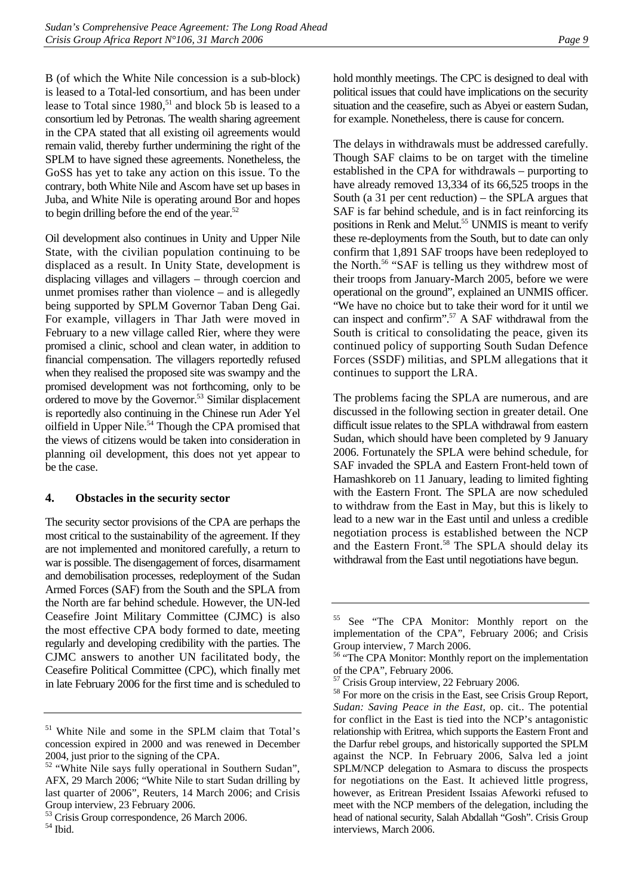B (of which the White Nile concession is a sub-block) is leased to a Total-led consortium, and has been under lease to Total since  $1980$ ,<sup>51</sup> and block 5b is leased to a consortium led by Petronas. The wealth sharing agreement in the CPA stated that all existing oil agreements would remain valid, thereby further undermining the right of the SPLM to have signed these agreements. Nonetheless, the GoSS has yet to take any action on this issue. To the contrary, both White Nile and Ascom have set up bases in Juba, and White Nile is operating around Bor and hopes to begin drilling before the end of the year. $52$ 

Oil development also continues in Unity and Upper Nile State, with the civilian population continuing to be displaced as a result. In Unity State, development is displacing villages and villagers – through coercion and unmet promises rather than violence – and is allegedly being supported by SPLM Governor Taban Deng Gai. For example, villagers in Thar Jath were moved in February to a new village called Rier, where they were promised a clinic, school and clean water, in addition to financial compensation. The villagers reportedly refused when they realised the proposed site was swampy and the promised development was not forthcoming, only to be ordered to move by the Governor.<sup>53</sup> Similar displacement is reportedly also continuing in the Chinese run Ader Yel oilfield in Upper Nile.<sup>54</sup> Though the CPA promised that the views of citizens would be taken into consideration in planning oil development, this does not yet appear to be the case.

#### <span id="page-14-0"></span>**4. Obstacles in the security sector**

The security sector provisions of the CPA are perhaps the most critical to the sustainability of the agreement. If they are not implemented and monitored carefully, a return to war is possible. The disengagement of forces, disarmament and demobilisation processes, redeployment of the Sudan Armed Forces (SAF) from the South and the SPLA from the North are far behind schedule. However, the UN-led Ceasefire Joint Military Committee (CJMC) is also the most effective CPA body formed to date, meeting regularly and developing credibility with the parties. The CJMC answers to another UN facilitated body, the Ceasefire Political Committee (CPC), which finally met in late February 2006 for the first time and is scheduled to hold monthly meetings. The CPC is designed to deal with political issues that could have implications on the security situation and the ceasefire, such as Abyei or eastern Sudan, for example. Nonetheless, there is cause for concern.

The delays in withdrawals must be addressed carefully. Though SAF claims to be on target with the timeline established in the CPA for withdrawals – purporting to have already removed 13,334 of its 66,525 troops in the South (a 31 per cent reduction) – the SPLA argues that SAF is far behind schedule, and is in fact reinforcing its positions in Renk and Melut.<sup>55</sup> UNMIS is meant to verify these re-deployments from the South, but to date can only confirm that 1,891 SAF troops have been redeployed to the North.[56](#page-14-6) "SAF is telling us they withdrew most of their troops from January-March 2005, before we were operational on the ground", explained an UNMIS officer. "We have no choice but to take their word for it until we can inspect and confirm".<sup>57</sup> A SAF withdrawal from the South is critical to consolidating the peace, given its continued policy of supporting South Sudan Defence Forces (SSDF) militias, and SPLM allegations that it continues to support the LRA.

The problems facing the SPLA are numerous, and are discussed in the following section in greater detail. One difficult issue relates to the SPLA withdrawal from eastern Sudan, which should have been completed by 9 January 2006. Fortunately the SPLA were behind schedule, for SAF invaded the SPLA and Eastern Front-held town of Hamashkoreb on 11 January, leading to limited fighting with the Eastern Front. The SPLA are now scheduled to withdraw from the East in May, but this is likely to lead to a new war in the East until and unless a credible negotiation process is established between the NCP and the Eastern Front.<sup>58</sup> The SPLA should delay its withdrawal from the East until negotiations have begun.

<span id="page-14-1"></span><sup>51</sup> White Nile and some in the SPLM claim that Total's concession expired in 2000 and was renewed in December 2004, just prior to the signing of the CPA.

<span id="page-14-2"></span> $\frac{52}{52}$  "White Nile says fully operational in Southern Sudan", AFX, 29 March 2006; "White Nile to start Sudan drilling by last quarter of 2006", Reuters, 14 March 2006; and Crisis Group interview, 23 February 2006.

<span id="page-14-4"></span><span id="page-14-3"></span><sup>&</sup>lt;sup>53</sup> Crisis Group correspondence, 26 March 2006.  $54$  Ibid.

<span id="page-14-5"></span><sup>55</sup> See "The CPA Monitor: Monthly report on the implementation of the CPA", February 2006; and Crisis Group interview, 7 March 2006.

<span id="page-14-6"></span><sup>&</sup>lt;sup>56</sup> "The CPA Monitor: Monthly report on the implementation of the CPA", February 2006.

<span id="page-14-7"></span><sup>&</sup>lt;sup>7</sup> Crisis Group interview, 22 February 2006.

<span id="page-14-8"></span><sup>&</sup>lt;sup>58</sup> For more on the crisis in the East, see Crisis Group Report, *Sudan: Saving Peace in the East*, op. cit.. The potential for conflict in the East is tied into the NCP's antagonistic relationship with Eritrea, which supports the Eastern Front and the Darfur rebel groups, and historically supported the SPLM against the NCP. In February 2006, Salva led a joint SPLM/NCP delegation to Asmara to discuss the prospects for negotiations on the East. It achieved little progress, however, as Eritrean President Issaias Afeworki refused to meet with the NCP members of the delegation, including the head of national security, Salah Abdallah "Gosh". Crisis Group interviews, March 2006.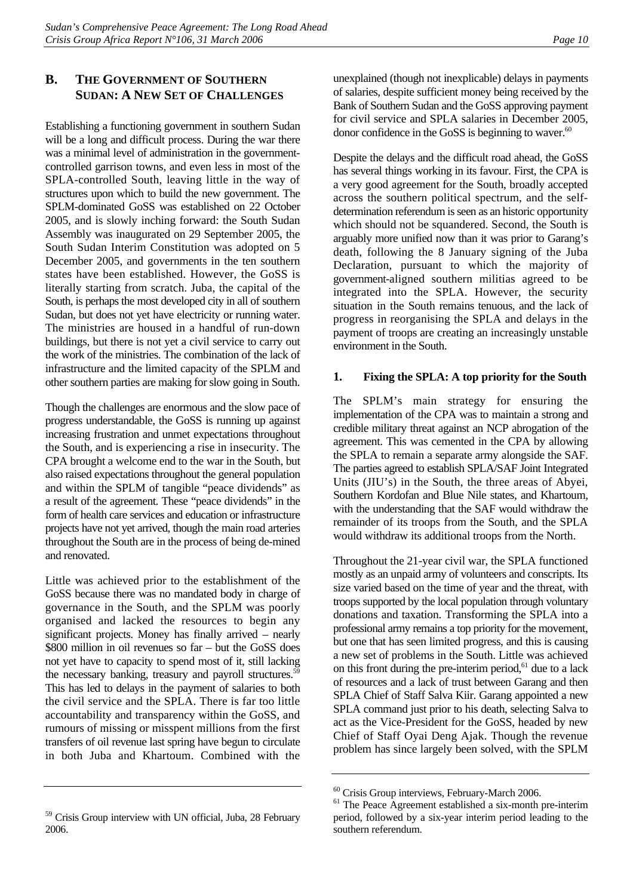## <span id="page-15-0"></span>**B. THE GOVERNMENT OF SOUTHERN SUDAN: A NEW SET OF CHALLENGES**

Establishing a functioning government in southern Sudan will be a long and difficult process. During the war there was a minimal level of administration in the governmentcontrolled garrison towns, and even less in most of the SPLA-controlled South, leaving little in the way of structures upon which to build the new government. The SPLM-dominated GoSS was established on 22 October 2005, and is slowly inching forward: the South Sudan Assembly was inaugurated on 29 September 2005, the South Sudan Interim Constitution was adopted on 5 December 2005, and governments in the ten southern states have been established. However, the GoSS is literally starting from scratch. Juba, the capital of the South, is perhaps the most developed city in all of southern Sudan, but does not yet have electricity or running water. The ministries are housed in a handful of run-down buildings, but there is not yet a civil service to carry out the work of the ministries. The combination of the lack of infrastructure and the limited capacity of the SPLM and other southern parties are making for slow going in South.

Though the challenges are enormous and the slow pace of progress understandable, the GoSS is running up against increasing frustration and unmet expectations throughout the South, and is experiencing a rise in insecurity. The CPA brought a welcome end to the war in the South, but also raised expectations throughout the general population and within the SPLM of tangible "peace dividends" as a result of the agreement. These "peace dividends" in the form of health care services and education or infrastructure projects have not yet arrived, though the main road arteries throughout the South are in the process of being de-mined and renovated.

Little was achieved prior to the establishment of the GoSS because there was no mandated body in charge of governance in the South, and the SPLM was poorly organised and lacked the resources to begin any significant projects. Money has finally arrived – nearly \$800 million in oil revenues so far – but the GoSS does not yet have to capacity to spend most of it, still lacking the necessary banking, treasury and payroll structures.<sup>59</sup> This has led to delays in the payment of salaries to both the civil service and the SPLA. There is far too little accountability and transparency within the GoSS, and rumours of missing or misspent millions from the first transfers of oil revenue last spring have begun to circulate in both Juba and Khartoum. Combined with the

<span id="page-15-2"></span><sup>59</sup> Crisis Group interview with UN official, Juba, 28 February 2006.

unexplained (though not inexplicable) delays in payments of salaries, despite sufficient money being received by the Bank of Southern Sudan and the GoSS approving payment for civil service and SPLA salaries in December 2005, donor confidence in the GoSS is beginning to waver. $60$ 

Despite the delays and the difficult road ahead, the GoSS has several things working in its favour. First, the CPA is a very good agreement for the South, broadly accepted across the southern political spectrum, and the selfdetermination referendum is seen as an historic opportunity which should not be squandered. Second, the South is arguably more unified now than it was prior to Garang's death, following the 8 January signing of the Juba Declaration, pursuant to which the majority of government-aligned southern militias agreed to be integrated into the SPLA. However, the security situation in the South remains tenuous, and the lack of progress in reorganising the SPLA and delays in the payment of troops are creating an increasingly unstable environment in the South.

### <span id="page-15-1"></span>**1. Fixing the SPLA: A top priority for the South**

The SPLM's main strategy for ensuring the implementation of the CPA was to maintain a strong and credible military threat against an NCP abrogation of the agreement. This was cemented in the CPA by allowing the SPLA to remain a separate army alongside the SAF. The parties agreed to establish SPLA/SAF Joint Integrated Units (JIU's) in the South, the three areas of Abyei, Southern Kordofan and Blue Nile states, and Khartoum, with the understanding that the SAF would withdraw the remainder of its troops from the South, and the SPLA would withdraw its additional troops from the North.

Throughout the 21-year civil war, the SPLA functioned mostly as an unpaid army of volunteers and conscripts. Its size varied based on the time of year and the threat, with troops supported by the local population through voluntary donations and taxation. Transforming the SPLA into a professional army remains a top priority for the movement, but one that has seen limited progress, and this is causing a new set of problems in the South. Little was achieved on this front during the pre-interim period, $61$  due to a lack of resources and a lack of trust between Garang and then SPLA Chief of Staff Salva Kiir. Garang appointed a new SPLA command just prior to his death, selecting Salva to act as the Vice-President for the GoSS, headed by new Chief of Staff Oyai Deng Ajak. Though the revenue problem has since largely been solved, with the SPLM

<span id="page-15-3"></span><sup>60</sup> Crisis Group interviews, February-March 2006.

<span id="page-15-4"></span><sup>&</sup>lt;sup>61</sup> The Peace Agreement established a six-month pre-interim period, followed by a six-year interim period leading to the southern referendum.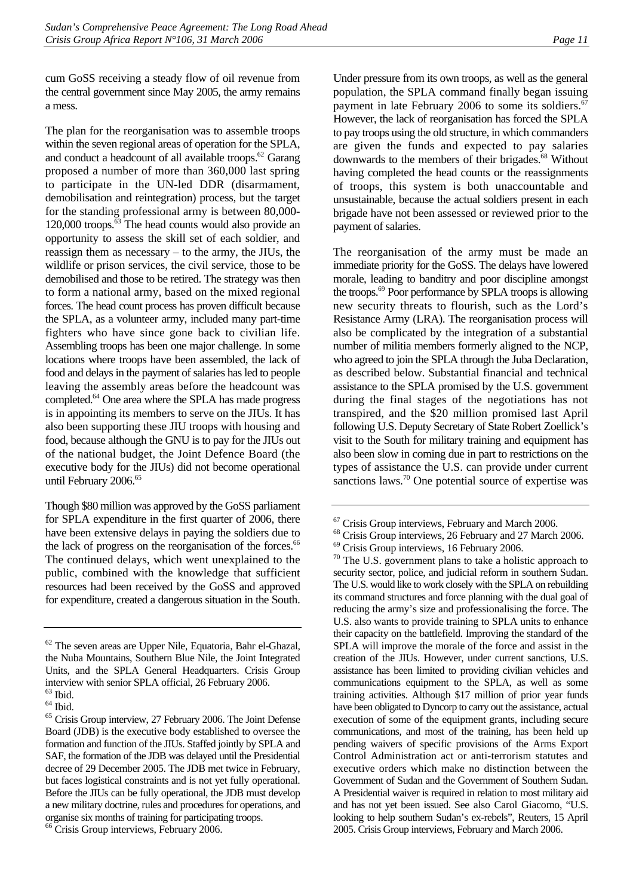cum GoSS receiving a steady flow of oil revenue from the central government since May 2005, the army remains a mess.

The plan for the reorganisation was to assemble troops within the seven regional areas of operation for the SPLA, and conduct a headcount of all available troops.<sup>62</sup> Garang proposed a number of more than 360,000 last spring to participate in the UN-led DDR (disarmament, demobilisation and reintegration) process, but the target for the standing professional army is between 80,000- 120,000 troops.[63 T](#page-16-1)he head counts would also provide an opportunity to assess the skill set of each soldier, and reassign them as necessary – to the army, the JIUs, the wildlife or prison services, the civil service, those to be demobilised and those to be retired. The strategy was then to form a national army, based on the mixed regional forces. The head count process has proven difficult because the SPLA, as a volunteer army, included many part-time fighters who have since gone back to civilian life. Assembling troops has been one major challenge. In some locations where troops have been assembled, the lack of food and delays in the payment of salaries has led to people leaving the assembly areas before the headcount was completed[.64 O](#page-16-2)ne area where the SPLA has made progress is in appointing its members to serve on the JIUs. It has also been supporting these JIU troops with housing and food, because although the GNU is to pay for the JIUs out of the national budget, the Joint Defence Board (the executive body for the JIUs) did not become operational until February 2006.<sup>[65](#page-16-3)</sup>

Though \$80 million was approved by the GoSS parliament for SPLA expenditure in the first quarter of 2006, there have been extensive delays in paying the soldiers due to the lack of progress on the reorganisation of the forces.<sup>66</sup> The continued delays, which went unexplained to the public, combined with the knowledge that sufficient resources had been received by the GoSS and approved for expenditure, created a dangerous situation in the South.

Under pressure from its own troops, as well as the general population, the SPLA command finally began issuing payment in late February 2006 to some its soldiers.<sup>67</sup> However, the lack of reorganisation has forced the SPLA to pay troops using the old structure, in which commanders are given the funds and expected to pay salaries downwards to the members of their brigades.<sup>68</sup> Without having completed the head counts or the reassignments of troops, this system is both unaccountable and unsustainable, because the actual soldiers present in each brigade have not been assessed or reviewed prior to the payment of salaries.

The reorganisation of the army must be made an immediate priority for the GoSS. The delays have lowered morale, leading to banditry and poor discipline amongst the troops.[69 P](#page-16-7)oor performance by SPLA troops is allowing new security threats to flourish, such as the Lord's Resistance Army (LRA). The reorganisation process will also be complicated by the integration of a substantial number of militia members formerly aligned to the NCP, who agreed to join the SPLA through the Juba Declaration, as described below. Substantial financial and technical assistance to the SPLA promised by the U.S. government during the final stages of the negotiations has not transpired, and the \$20 million promised last April following U.S. Deputy Secretary of State Robert Zoellick's visit to the South for military training and equipment has also been slow in coming due in part to restrictions on the types of assistance the U.S. can provide under current sanctions laws.<sup>70</sup> One potential source of expertise was

<span id="page-16-0"></span><sup>62</sup> The seven areas are Upper Nile, Equatoria, Bahr el-Ghazal, the Nuba Mountains, Southern Blue Nile, the Joint Integrated Units, and the SPLA General Headquarters. Crisis Group interview with senior SPLA official, 26 February 2006.

<span id="page-16-1"></span> $^{63}$  Ibid.

<span id="page-16-2"></span> $64$  Ibid.

<span id="page-16-3"></span><sup>65</sup> Crisis Group interview, 27 February 2006. The Joint Defense Board (JDB) is the executive body established to oversee the formation and function of the JIUs. Staffed jointly by SPLA and SAF, the formation of the JDB was delayed until the Presidential decree of 29 December 2005. The JDB met twice in February, but faces logistical constraints and is not yet fully operational. Before the JIUs can be fully operational, the JDB must develop a new military doctrine, rules and procedures for operations, and organise six months of training for participating troops.

<span id="page-16-4"></span><sup>&</sup>lt;sup>66</sup> Crisis Group interviews, February 2006.

<span id="page-16-5"></span><sup>67</sup> Crisis Group interviews, February and March 2006.

<span id="page-16-6"></span><sup>68</sup> Crisis Group interviews, 26 February and 27 March 2006.

<span id="page-16-7"></span><sup>69</sup> Crisis Group interviews, 16 February 2006.

<span id="page-16-8"></span> $70$  The U.S. government plans to take a holistic approach to security sector, police, and judicial reform in southern Sudan. The U.S. would like to work closely with the SPLA on rebuilding its command structures and force planning with the dual goal of reducing the army's size and professionalising the force. The U.S. also wants to provide training to SPLA units to enhance their capacity on the battlefield. Improving the standard of the SPLA will improve the morale of the force and assist in the creation of the JIUs. However, under current sanctions, U.S. assistance has been limited to providing civilian vehicles and communications equipment to the SPLA, as well as some training activities. Although \$17 million of prior year funds have been obligated to Dyncorp to carry out the assistance, actual execution of some of the equipment grants, including secure communications, and most of the training, has been held up pending waivers of specific provisions of the Arms Export Control Administration act or anti-terrorism statutes and executive orders which make no distinction between the Government of Sudan and the Government of Southern Sudan. A Presidential waiver is required in relation to most military aid and has not yet been issued. See also Carol Giacomo, "U.S. looking to help southern Sudan's ex-rebels", Reuters, 15 April 2005. Crisis Group interviews, February and March 2006.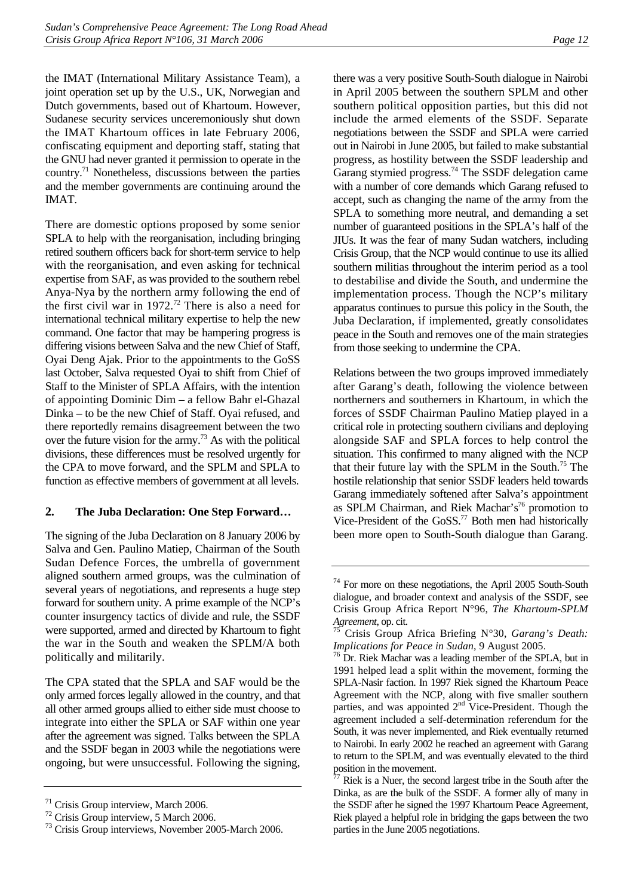the IMAT (International Military Assistance Team), a joint operation set up by the U.S., UK, Norwegian and Dutch governments, based out of Khartoum. However, Sudanese security services unceremoniously shut down the IMAT Khartoum offices in late February 2006, confiscating equipment and deporting staff, stating that the GNU had never granted it permission to operate in the country[.71](#page-17-1) Nonetheless, discussions between the parties and the member governments are continuing around the IMAT.

There are domestic options proposed by some senior SPLA to help with the reorganisation, including bringing retired southern officers back for short-term service to help with the reorganisation, and even asking for technical expertise from SAF, as was provided to the southern rebel Anya-Nya by the northern army following the end of the first civil war in  $1972<sup>72</sup>$  There is also a need for international technical military expertise to help the new command. One factor that may be hampering progress is differing visions between Salva and the new Chief of Staff, Oyai Deng Ajak. Prior to the appointments to the GoSS last October, Salva requested Oyai to shift from Chief of Staff to the Minister of SPLA Affairs, with the intention of appointing Dominic Dim – a fellow Bahr el-Ghazal Dinka – to be the new Chief of Staff. Oyai refused, and there reportedly remains disagreement between the two over the future vision for the army.<sup>73</sup> As with the political divisions, these differences must be resolved urgently for the CPA to move forward, and the SPLM and SPLA to function as effective members of government at all levels.

#### <span id="page-17-0"></span>**2. The Juba Declaration: One Step Forward…**

The signing of the Juba Declaration on 8 January 2006 by Salva and Gen. Paulino Matiep, Chairman of the South Sudan Defence Forces, the umbrella of government aligned southern armed groups, was the culmination of several years of negotiations, and represents a huge step forward for southern unity. A prime example of the NCP's counter insurgency tactics of divide and rule, the SSDF were supported, armed and directed by Khartoum to fight the war in the South and weaken the SPLM/A both politically and militarily.

The CPA stated that the SPLA and SAF would be the only armed forces legally allowed in the country, and that all other armed groups allied to either side must choose to integrate into either the SPLA or SAF within one year after the agreement was signed. Talks between the SPLA and the SSDF began in 2003 while the negotiations were ongoing, but were unsuccessful. Following the signing,

there was a very positive South-South dialogue in Nairobi in April 2005 between the southern SPLM and other southern political opposition parties, but this did not include the armed elements of the SSDF. Separate negotiations between the SSDF and SPLA were carried out in Nairobi in June 2005, but failed to make substantial progress, as hostility between the SSDF leadership and Garang stymied progress.<sup>74</sup> The SSDF delegation came with a number of core demands which Garang refused to accept, such as changing the name of the army from the SPLA to something more neutral, and demanding a set number of guaranteed positions in the SPLA's half of the JIUs. It was the fear of many Sudan watchers, including Crisis Group, that the NCP would continue to use its allied southern militias throughout the interim period as a tool to destabilise and divide the South, and undermine the implementation process. Though the NCP's military apparatus continues to pursue this policy in the South, the Juba Declaration, if implemented, greatly consolidates peace in the South and removes one of the main strategies from those seeking to undermine the CPA.

Relations between the two groups improved immediately after Garang's death, following the violence between northerners and southerners in Khartoum, in which the forces of SSDF Chairman Paulino Matiep played in a critical role in protecting southern civilians and deploying alongside SAF and SPLA forces to help control the situation. This confirmed to many aligned with the NCP that their future lay with the SPLM in the South.[75 T](#page-17-5)he hostile relationship that senior SSDF leaders held towards Garang immediately softened after Salva's appointment as SPLM Chairman, and Riek Machar's<sup>76</sup> promotion to Vice-President of the GoSS.<sup>77</sup> Both men had historically been more open to South-South dialogue than Garang.

<span id="page-17-1"></span><sup>71</sup> Crisis Group interview, March 2006.

<span id="page-17-2"></span><sup>72</sup> Crisis Group interview, 5 March 2006.

<span id="page-17-3"></span><sup>73</sup> Crisis Group interviews, November 2005-March 2006.

<span id="page-17-4"></span> $74$  For more on these negotiations, the April 2005 South-South dialogue, and broader context and analysis of the SSDF, see Crisis Group Africa Report N°96, *The Khartoum-SPLM Agreement*, op. cit.<br><sup>75</sup> Crisis Group Africa Briefing N°30, *Garang's Death:* 

<span id="page-17-5"></span>*Implications for Peace in Sudan*, 9 August 2005.<br><sup>76</sup> Dr. Riek Machar was a leading member of the SPLA, but in

<span id="page-17-6"></span><sup>1991</sup> helped lead a split within the movement, forming the SPLA-Nasir faction. In 1997 Riek signed the Khartoum Peace Agreement with the NCP, along with five smaller southern parties, and was appointed 2<sup>nd</sup> Vice-President. Though the agreement included a self-determination referendum for the South, it was never implemented, and Riek eventually returned to Nairobi. In early 2002 he reached an agreement with Garang to return to the SPLM, and was eventually elevated to the third position in the movement.

<span id="page-17-7"></span>Riek is a Nuer, the second largest tribe in the South after the Dinka, as are the bulk of the SSDF. A former ally of many in the SSDF after he signed the 1997 Khartoum Peace Agreement, Riek played a helpful role in bridging the gaps between the two parties in the June 2005 negotiations.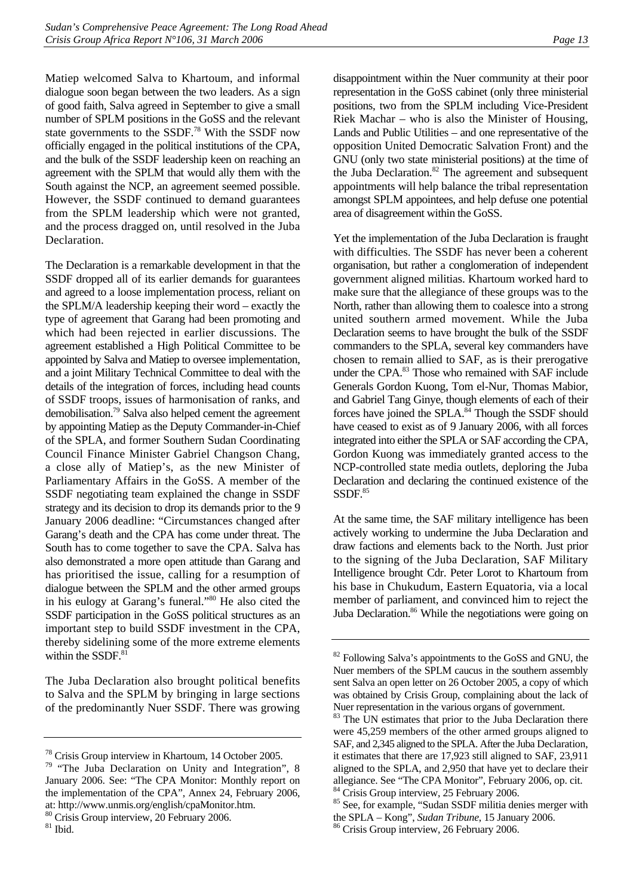Matiep welcomed Salva to Khartoum, and informal dialogue soon began between the two leaders. As a sign of good faith, Salva agreed in September to give a small number of SPLM positions in the GoSS and the relevant state governments to the SSDF[.78](#page-18-0) With the SSDF now officially engaged in the political institutions of the CPA, and the bulk of the SSDF leadership keen on reaching an agreement with the SPLM that would ally them with the South against the NCP, an agreement seemed possible. However, the SSDF continued to demand guarantees from the SPLM leadership which were not granted, and the process dragged on, until resolved in the Juba Declaration.

The Declaration is a remarkable development in that the SSDF dropped all of its earlier demands for guarantees and agreed to a loose implementation process, reliant on the SPLM/A leadership keeping their word – exactly the type of agreement that Garang had been promoting and which had been rejected in earlier discussions. The agreement established a High Political Committee to be appointed by Salva and Matiep to oversee implementation, and a joint Military Technical Committee to deal with the details of the integration of forces, including head counts of SSDF troops, issues of harmonisation of ranks, and demobilisation.[79 S](#page-18-1)alva also helped cement the agreement by appointing Matiep as the Deputy Commander-in-Chief of the SPLA, and former Southern Sudan Coordinating Council Finance Minister Gabriel Changson Chang, a close ally of Matiep's, as the new Minister of Parliamentary Affairs in the GoSS. A member of the SSDF negotiating team explained the change in SSDF strategy and its decision to drop its demands prior to the 9 January 2006 deadline: "Circumstances changed after Garang's death and the CPA has come under threat. The South has to come together to save the CPA. Salva has also demonstrated a more open attitude than Garang and has prioritised the issue, calling for a resumption of dialogue between the SPLM and the other armed groups in his eulogy at Garang's funeral."[80 H](#page-18-2)e also cited the SSDF participation in the GoSS political structures as an important step to build SSDF investment in the CPA, thereby sidelining some of the more extreme elements within the  $SSDF<sup>81</sup>$ 

The Juba Declaration also brought political benefits to Salva and the SPLM by bringing in large sections of the predominantly Nuer SSDF. There was growing disappointment within the Nuer community at their poor representation in the GoSS cabinet (only three ministerial positions, two from the SPLM including Vice-President Riek Machar – who is also the Minister of Housing, Lands and Public Utilities – and one representative of the opposition United Democratic Salvation Front) and the GNU (only two state ministerial positions) at the time of the Juba Declaration. $82$  The agreement and subsequent appointments will help balance the tribal representation amongst SPLM appointees, and help defuse one potential area of disagreement within the GoSS.

Yet the implementation of the Juba Declaration is fraught with difficulties. The SSDF has never been a coherent organisation, but rather a conglomeration of independent government aligned militias. Khartoum worked hard to make sure that the allegiance of these groups was to the North, rather than allowing them to coalesce into a strong united southern armed movement. While the Juba Declaration seems to have brought the bulk of the SSDF commanders to the SPLA, several key commanders have chosen to remain allied to SAF, as is their prerogative under the CPA.<sup>83</sup> Those who remained with SAF include Generals Gordon Kuong, Tom el-Nur, Thomas Mabior, and Gabriel Tang Ginye, though elements of each of their forces have joined the SPLA.<sup>84</sup> Though the SSDF should have ceased to exist as of 9 January 2006, with all forces integrated into either the SPLA or SAF according the CPA, Gordon Kuong was immediately granted access to the NCP-controlled state media outlets, deploring the Juba Declaration and declaring the continued existence of the SSDF.85

At the same time, the SAF military intelligence has been actively working to undermine the Juba Declaration and draw factions and elements back to the North. Just prior to the signing of the Juba Declaration, SAF Military Intelligence brought Cdr. Peter Lorot to Khartoum from his base in Chukudum, Eastern Equatoria, via a local member of parliament, and convinced him to reject the Juba Declaration.<sup>86</sup> While the negotiations were going on

<span id="page-18-0"></span><sup>78</sup> Crisis Group interview in Khartoum, 14 October 2005.

<span id="page-18-1"></span><sup>&</sup>lt;sup>79</sup> "The Juba Declaration on Unity and Integration", 8 January 2006. See: "The CPA Monitor: Monthly report on the implementation of the CPA", Annex 24, February 2006, at: http://www.unmis.org/english/cpaMonitor.htm. 80 Crisis Group interview, 20 February 2006.

<span id="page-18-3"></span><span id="page-18-2"></span> $81$  Ibid.

<span id="page-18-4"></span><sup>&</sup>lt;sup>82</sup> Following Salva's appointments to the GoSS and GNU, the Nuer members of the SPLM caucus in the southern assembly sent Salva an open letter on 26 October 2005, a copy of which was obtained by Crisis Group, complaining about the lack of Nuer representation in the various organs of government.

<span id="page-18-5"></span><sup>&</sup>lt;sup>83</sup> The UN estimates that prior to the Juba Declaration there were 45,259 members of the other armed groups aligned to SAF, and 2,345 aligned to the SPLA. After the Juba Declaration, it estimates that there are 17,923 still aligned to SAF, 23,911 aligned to the SPLA, and 2,950 that have yet to declare their allegiance. See "The CPA Monitor", February 2006, op. cit. <sup>84</sup> Crisis Group interview, 25 February 2006.

<span id="page-18-7"></span><span id="page-18-6"></span><sup>&</sup>lt;sup>85</sup> See, for example, "Sudan SSDF militia denies merger with the SPLA – Kong", *Sudan Tribune*, 15 January 2006. 86 Crisis Group interview, 26 February 2006.

<span id="page-18-8"></span>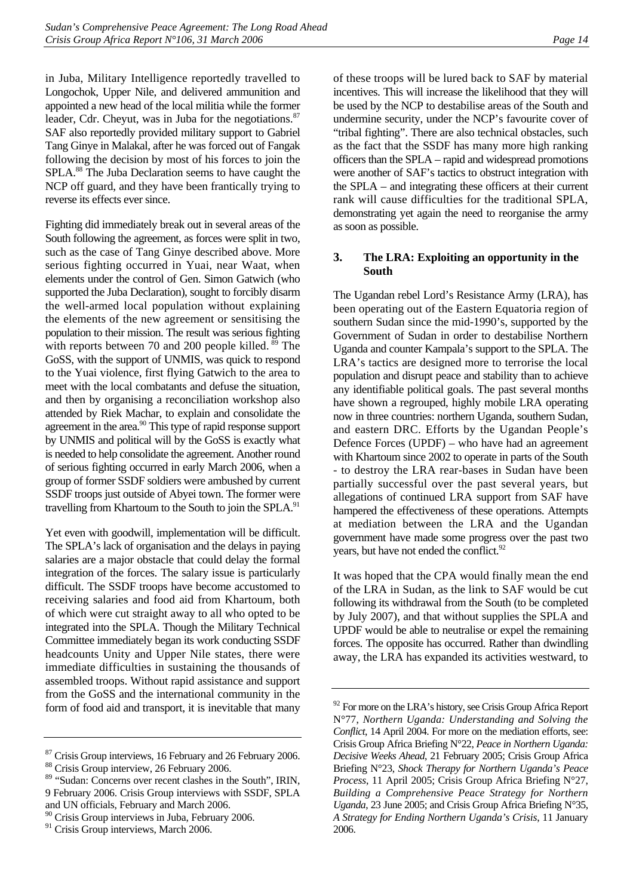in Juba, Military Intelligence reportedly travelled to Longochok, Upper Nile, and delivered ammunition and appointed a new head of the local militia while the former leader, Cdr. Cheyut, was in Juba for the negotiations. $87$ SAF also reportedly provided military support to Gabriel Tang Ginye in Malakal, after he was forced out of Fangak following the decision by most of his forces to join the SPLA.<sup>88</sup> The Juba Declaration seems to have caught the NCP off guard, and they have been frantically trying to reverse its effects ever since.

Fighting did immediately break out in several areas of the South following the agreement, as forces were split in two, such as the case of Tang Ginye described above. More serious fighting occurred in Yuai, near Waat, when elements under the control of Gen. Simon Gatwich (who supported the Juba Declaration), sought to forcibly disarm the well-armed local population without explaining the elements of the new agreement or sensitising the population to their mission. The result was serious fighting with reports between 70 and 200 people killed. <sup>89</sup> The GoSS, with the support of UNMIS, was quick to respond to the Yuai violence, first flying Gatwich to the area to meet with the local combatants and defuse the situation, and then by organising a reconciliation workshop also attended by Riek Machar, to explain and consolidate the agreement in the area.<sup>90</sup> This type of rapid response support by UNMIS and political will by the GoSS is exactly what is needed to help consolidate the agreement. Another round of serious fighting occurred in early March 2006, when a group of former SSDF soldiers were ambushed by current SSDF troops just outside of Abyei town. The former were travelling from Khartoum to the South to join the SPLA.<sup>91</sup>

Yet even with goodwill, implementation will be difficult. The SPLA's lack of organisation and the delays in paying salaries are a major obstacle that could delay the formal integration of the forces. The salary issue is particularly difficult. The SSDF troops have become accustomed to receiving salaries and food aid from Khartoum, both of which were cut straight away to all who opted to be integrated into the SPLA. Though the Military Technical Committee immediately began its work conducting SSDF headcounts Unity and Upper Nile states, there were immediate difficulties in sustaining the thousands of assembled troops. Without rapid assistance and support from the GoSS and the international community in the form of food aid and transport, it is inevitable that many of these troops will be lured back to SAF by material incentives. This will increase the likelihood that they will be used by the NCP to destabilise areas of the South and undermine security, under the NCP's favourite cover of "tribal fighting". There are also technical obstacles, such as the fact that the SSDF has many more high ranking officers than the SPLA – rapid and widespread promotions were another of SAF's tactics to obstruct integration with the SPLA – and integrating these officers at their current rank will cause difficulties for the traditional SPLA, demonstrating yet again the need to reorganise the army as soon as possible.

### <span id="page-19-0"></span>**3. The LRA: Exploiting an opportunity in the South**

The Ugandan rebel Lord's Resistance Army (LRA), has been operating out of the Eastern Equatoria region of southern Sudan since the mid-1990's, supported by the Government of Sudan in order to destabilise Northern Uganda and counter Kampala's support to the SPLA. The LRA's tactics are designed more to terrorise the local population and disrupt peace and stability than to achieve any identifiable political goals. The past several months have shown a regrouped, highly mobile LRA operating now in three countries: northern Uganda, southern Sudan, and eastern DRC. Efforts by the Ugandan People's Defence Forces (UPDF) – who have had an agreement with Khartoum since 2002 to operate in parts of the South - to destroy the LRA rear-bases in Sudan have been partially successful over the past several years, but allegations of continued LRA support from SAF have hampered the effectiveness of these operations. Attempts at mediation between the LRA and the Ugandan government have made some progress over the past two years, but have not ended the conflict.<sup>92</sup>

It was hoped that the CPA would finally mean the end of the LRA in Sudan, as the link to SAF would be cut following its withdrawal from the South (to be completed by July 2007), and that without supplies the SPLA and UPDF would be able to neutralise or expel the remaining forces. The opposite has occurred. Rather than dwindling away, the LRA has expanded its activities westward, to

<span id="page-19-1"></span><sup>&</sup>lt;sup>87</sup> Crisis Group interviews, 16 February and 26 February 2006.

<span id="page-19-2"></span><sup>88</sup> Crisis Group interview, 26 February 2006.

<span id="page-19-3"></span><sup>89 &</sup>quot;Sudan: Concerns over recent clashes in the South", IRIN, 9 February 2006. Crisis Group interviews with SSDF, SPLA and UN officials, February and March 2006.

<span id="page-19-4"></span><sup>90</sup> Crisis Group interviews in Juba, February 2006.

<span id="page-19-5"></span><sup>&</sup>lt;sup>91</sup> Crisis Group interviews, March 2006.

<span id="page-19-6"></span> $92$  For more on the LRA's history, see Crisis Group Africa Report N°77, *Northern Uganda: Understanding and Solving the Conflict*, 14 April 2004. For more on the mediation efforts, see: Crisis Group Africa Briefing N°22, *Peace in Northern Uganda: Decisive Weeks Ahead*, 21 February 2005; Crisis Group Africa Briefing N°23, *Shock Therapy for Northern Uganda's Peace Process*, 11 April 2005; Crisis Group Africa Briefing N°27, *Building a Comprehensive Peace Strategy for Northern Uganda*, 23 June 2005; and Crisis Group Africa Briefing N°35, *A Strategy for Ending Northern Uganda's Crisis*, 11 January 2006.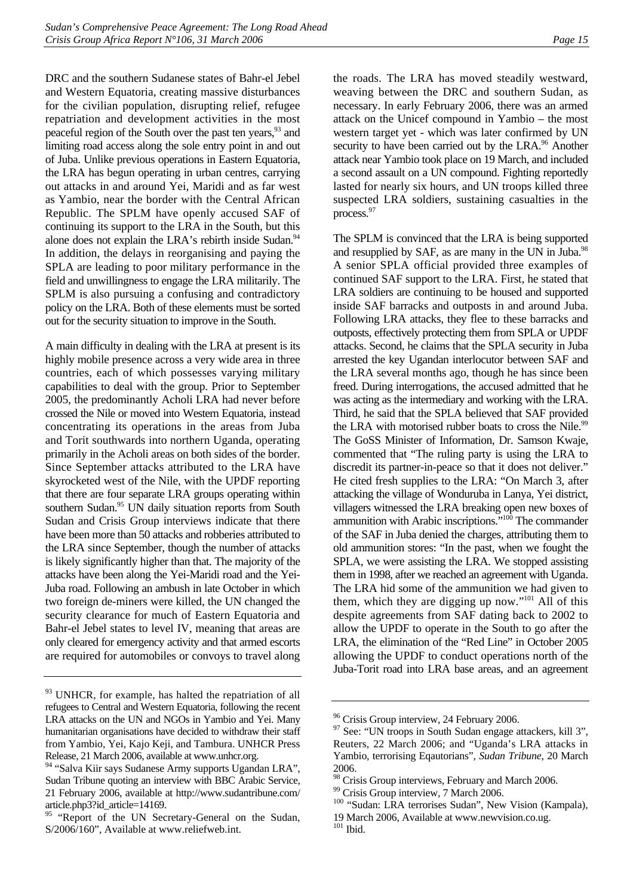DRC and the southern Sudanese states of Bahr-el Jebel and Western Equatoria, creating massive disturbances for the civilian population, disrupting relief, refugee repatriation and development activities in the most peaceful region of the South over the past ten years,<sup>93</sup> and limiting road access along the sole entry point in and out of Juba. Unlike previous operations in Eastern Equatoria, the LRA has begun operating in urban centres, carrying out attacks in and around Yei, Maridi and as far west as Yambio, near the border with the Central African Republic. The SPLM have openly accused SAF of continuing its support to the LRA in the South, but this alone does not explain the LRA's rebirth inside Sudan.<sup>94</sup> In addition, the delays in reorganising and paying the SPLA are leading to poor military performance in the field and unwillingness to engage the LRA militarily. The SPLM is also pursuing a confusing and contradictory policy on the LRA. Both of these elements must be sorted out for the security situation to improve in the South.

A main difficulty in dealing with the LRA at present is its highly mobile presence across a very wide area in three countries, each of which possesses varying military capabilities to deal with the group. Prior to September 2005, the predominantly Acholi LRA had never before crossed the Nile or moved into Western Equatoria, instead concentrating its operations in the areas from Juba and Torit southwards into northern Uganda, operating primarily in the Acholi areas on both sides of the border. Since September attacks attributed to the LRA have skyrocketed west of the Nile, with the UPDF reporting that there are four separate LRA groups operating within southern Sudan.<sup>95</sup> UN daily situation reports from South Sudan and Crisis Group interviews indicate that there have been more than 50 attacks and robberies attributed to the LRA since September, though the number of attacks is likely significantly higher than that. The majority of the attacks have been along the Yei-Maridi road and the Yei-Juba road. Following an ambush in late October in which two foreign de-miners were killed, the UN changed the security clearance for much of Eastern Equatoria and Bahr-el Jebel states to level IV, meaning that areas are only cleared for emergency activity and that armed escorts are required for automobiles or convoys to travel along

the roads. The LRA has moved steadily westward, weaving between the DRC and southern Sudan, as necessary. In early February 2006, there was an armed attack on the Unicef compound in Yambio – the most western target yet - which was later confirmed by UN security to have been carried out by the LRA.<sup>96</sup> Another attack near Yambio took place on 19 March, and included a second assault on a UN compound. Fighting reportedly lasted for nearly six hours, and UN troops killed three suspected LRA soldiers, sustaining casualties in the process.<sup>[97](#page-20-4)</sup>

The SPLM is convinced that the LRA is being supported and resupplied by SAF, as are many in the UN in Juba.<sup>98</sup> A senior SPLA official provided three examples of continued SAF support to the LRA. First, he stated that LRA soldiers are continuing to be housed and supported inside SAF barracks and outposts in and around Juba. Following LRA attacks, they flee to these barracks and outposts, effectively protecting them from SPLA or UPDF attacks. Second, he claims that the SPLA security in Juba arrested the key Ugandan interlocutor between SAF and the LRA several months ago, though he has since been freed. During interrogations, the accused admitted that he was acting as the intermediary and working with the LRA. Third, he said that the SPLA believed that SAF provided the LRA with motorised rubber boats to cross the Nile.<sup>99</sup> The GoSS Minister of Information, Dr. Samson Kwaje, commented that "The ruling party is using the LRA to discredit its partner-in-peace so that it does not deliver." He cited fresh supplies to the LRA: "On March 3, after attacking the village of Wonduruba in Lanya, Yei district, villagers witnessed the LRA breaking open new boxes of ammunition with Arabic inscriptions.<sup>"100</sup> The commander of the SAF in Juba denied the charges, attributing them to old ammunition stores: "In the past, when we fought the SPLA, we were assisting the LRA. We stopped assisting them in 1998, after we reached an agreement with Uganda. The LRA hid some of the ammunition we had given to them, which they are digging up now." $101$  All of this despite agreements from SAF dating back to 2002 to allow the UPDF to operate in the South to go after the LRA, the elimination of the "Red Line" in October 2005 allowing the UPDF to conduct operations north of the Juba-Torit road into LRA base areas, and an agreement

<span id="page-20-0"></span><sup>&</sup>lt;sup>93</sup> UNHCR, for example, has halted the repatriation of all refugees to Central and Western Equatoria, following the recent LRA attacks on the UN and NGOs in Yambio and Yei. Many humanitarian organisations have decided to withdraw their staff from Yambio, Yei, Kajo Keji, and Tambura. UNHCR Press Release, 21 March 2006, available at www.unhcr.org.

<span id="page-20-1"></span><sup>94 &</sup>quot;Salva Kiir says Sudanese Army supports Ugandan LRA", Sudan Tribune quoting an interview with BBC Arabic Service, 21 February 2006, available at http://www.sudantribune.com/ article.php3?id\_article=14169.

<span id="page-20-2"></span><sup>&</sup>lt;sup>95</sup> "Report of the UN Secretary-General on the Sudan, S/2006/160", Available at www.reliefweb.int.

<span id="page-20-3"></span><sup>&</sup>lt;sup>96</sup> Crisis Group interview, 24 February 2006.

<span id="page-20-4"></span><sup>&</sup>lt;sup>97</sup> See: "UN troops in South Sudan engage attackers, kill 3", Reuters, 22 March 2006; and "Uganda's LRA attacks in Yambio, terrorising Eqautorians", *Sudan Tribune*, 20 March 2006.

<span id="page-20-5"></span><sup>&</sup>lt;sup>98</sup> Crisis Group interviews, February and March 2006.

<span id="page-20-6"></span><sup>&</sup>lt;sup>99</sup> Crisis Group interview, 7 March 2006.

<span id="page-20-7"></span><sup>100 &</sup>quot;Sudan: LRA terrorises Sudan", New Vision (Kampala),

<span id="page-20-8"></span><sup>19</sup> March 2006, Available at www.newvision.co.ug.  $101$  Ibid.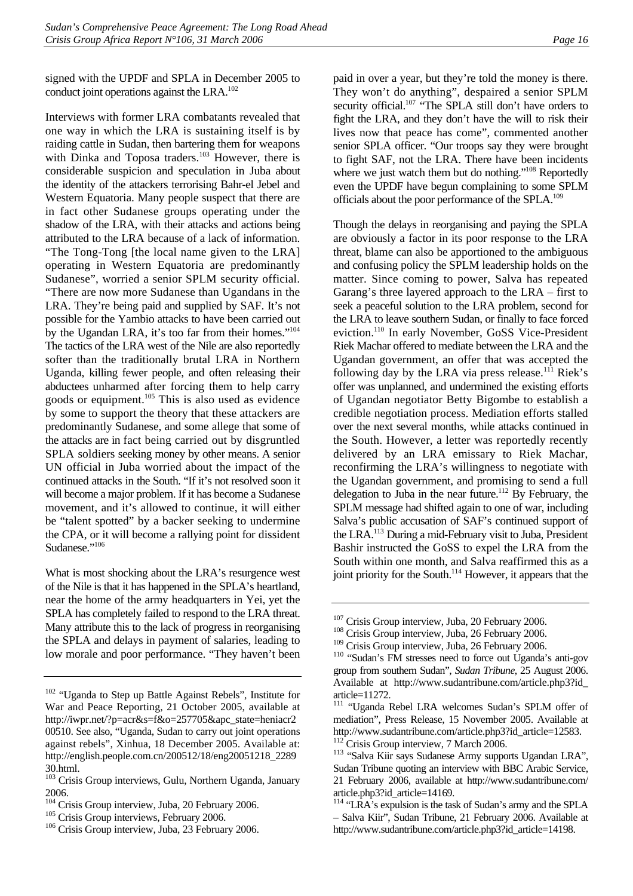signed with the UPDF and SPLA in December 2005 to conduct joint operations against the LRA.<sup>102</sup>

Interviews with former LRA combatants revealed that one way in which the LRA is sustaining itself is by raiding cattle in Sudan, then bartering them for weapons with Dinka and Toposa traders.<sup>103</sup> However, there is considerable suspicion and speculation in Juba about the identity of the attackers terrorising Bahr-el Jebel and Western Equatoria. Many people suspect that there are in fact other Sudanese groups operating under the shadow of the LRA, with their attacks and actions being attributed to the LRA because of a lack of information. "The Tong-Tong [the local name given to the LRA] operating in Western Equatoria are predominantly Sudanese", worried a senior SPLM security official. "There are now more Sudanese than Ugandans in the LRA. They're being paid and supplied by SAF. It's not possible for the Yambio attacks to have been carried out by the Ugandan LRA, it's too far from their homes.["104](#page-21-2) The tactics of the LRA west of the Nile are also reportedly softer than the traditionally brutal LRA in Northern Uganda, killing fewer people, and often releasing their abductees unharmed after forcing them to help carry goods or equipment. $105$  This is also used as evidence by some to support the theory that these attackers are predominantly Sudanese, and some allege that some of the attacks are in fact being carried out by disgruntled SPLA soldiers seeking money by other means. A senior UN official in Juba worried about the impact of the continued attacks in the South. "If it's not resolved soon it will become a major problem. If it has become a Sudanese movement, and it's allowed to continue, it will either be "talent spotted" by a backer seeking to undermine the CPA, or it will become a rallying point for dissident Sudanese."<sup>[106](#page-21-4)</sup>

What is most shocking about the LRA's resurgence west of the Nile is that it has happened in the SPLA's heartland, near the home of the army headquarters in Yei, yet the SPLA has completely failed to respond to the LRA threat. Many attribute this to the lack of progress in reorganising the SPLA and delays in payment of salaries, leading to low morale and poor performance. "They haven't been paid in over a year, but they're told the money is there. They won't do anything", despaired a senior SPLM security official.<sup>107</sup> "The SPLA still don't have orders to fight the LRA, and they don't have the will to risk their lives now that peace has come", commented another senior SPLA officer. "Our troops say they were brought to fight SAF, not the LRA. There have been incidents where we just watch them but do nothing."<sup>108</sup> Reportedly even the UPDF have begun complaining to some SPLM officials about the poor performance of the SPLA[.109](#page-21-7)

Though the delays in reorganising and paying the SPLA are obviously a factor in its poor response to the LRA threat, blame can also be apportioned to the ambiguous and confusing policy the SPLM leadership holds on the matter. Since coming to power, Salva has repeated Garang's three layered approach to the LRA – first to seek a peaceful solution to the LRA problem, second for the LRA to leave southern Sudan, or finally to face forced eviction.<sup>110</sup> In early November, GoSS Vice-President Riek Machar offered to mediate between the LRA and the Ugandan government, an offer that was accepted the following day by the LRA via press release.<sup>111</sup> Riek's offer was unplanned, and undermined the existing efforts of Ugandan negotiator Betty Bigombe to establish a credible negotiation process. Mediation efforts stalled over the next several months, while attacks continued in the South. However, a letter was reportedly recently delivered by an LRA emissary to Riek Machar, reconfirming the LRA's willingness to negotiate with the Ugandan government, and promising to send a full delegation to Juba in the near future.<sup>112</sup> By February, the SPLM message had shifted again to one of war, including Salva's public accusation of SAF's continued support of the LRA.[113 D](#page-21-11)uring a mid-February visit to Juba, President Bashir instructed the GoSS to expel the LRA from the South within one month, and Salva reaffirmed this as a joint priority for the South.<sup>114</sup> However, it appears that the

<span id="page-21-0"></span><sup>&</sup>lt;sup>102</sup> "Uganda to Step up Battle Against Rebels", Institute for War and Peace Reporting, 21 October 2005, available at http://iwpr.net/?p=acr&s=f&o=257705&apc\_state=heniacr2 00510. See also, "Uganda, Sudan to carry out joint operations against rebels", Xinhua, 18 December 2005. Available at: http://english.people.com.cn/200512/18/eng20051218\_2289 30.html.

<span id="page-21-1"></span><sup>103</sup> Crisis Group interviews, Gulu, Northern Uganda, January 2006.

<span id="page-21-2"></span><sup>&</sup>lt;sup>104</sup> Crisis Group interview, Juba, 20 February 2006.<br><sup>105</sup> Crisis Group interviews, February 2006.<br><sup>106</sup> Crisis Group interview, Juba, 23 February 2006.

<span id="page-21-3"></span>

<span id="page-21-4"></span>

<span id="page-21-6"></span><span id="page-21-5"></span>

<sup>&</sup>lt;sup>107</sup> Crisis Group interview, Juba, 20 February 2006.<br><sup>108</sup> Crisis Group interview, Juba, 26 February 2006.<br><sup>109</sup> Crisis Group interview, Juba, 26 February 2006.

<span id="page-21-7"></span>

<span id="page-21-8"></span> $110$  "Sudan's FM stresses need to force out Uganda's anti-gov group from southern Sudan", *Sudan Tribune*, 25 August 2006. Available at http://www.sudantribune.com/article.php3?id\_ article=11272.

<span id="page-21-9"></span><sup>111 &</sup>quot;Uganda Rebel LRA welcomes Sudan's SPLM offer of mediation", Press Release, 15 November 2005. Available at http://www.sudantribune.com/article.php3?id\_article=12583.<br><sup>112</sup> Crisis Group interview, 7 March 2006.<br><sup>113</sup> "Salva Kiir says Sudanese Army supports Ugandan LRA",

<span id="page-21-11"></span><span id="page-21-10"></span>Sudan Tribune quoting an interview with BBC Arabic Service, 21 February 2006, available at http://www.sudantribune.com/ article.php3?id\_article=14169.

<span id="page-21-12"></span><sup>&</sup>lt;sup>114</sup> "LRA's expulsion is the task of Sudan's army and the SPLA – Salva Kiir", Sudan Tribune, 21 February 2006. Available at http://www.sudantribune.com/article.php3?id\_article=14198.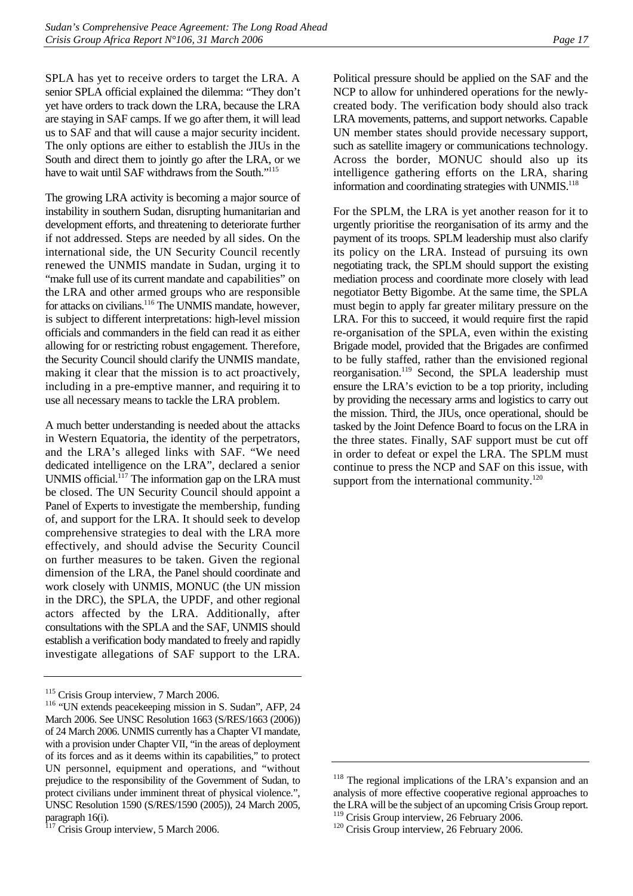SPLA has yet to receive orders to target the LRA. A senior SPLA official explained the dilemma: "They don't yet have orders to track down the LRA, because the LRA are staying in SAF camps. If we go after them, it will lead us to SAF and that will cause a major security incident. The only options are either to establish the JIUs in the South and direct them to jointly go after the LRA, or we have to wait until SAF withdraws from the South."<sup>115</sup>

The growing LRA activity is becoming a major source of instability in southern Sudan, disrupting humanitarian and development efforts, and threatening to deteriorate further if not addressed. Steps are needed by all sides. On the international side, the UN Security Council recently renewed the UNMIS mandate in Sudan, urging it to "make full use of its current mandate and capabilities" on the LRA and other armed groups who are responsible for attacks on civilians.<sup>116</sup> The UNMIS mandate, however, is subject to different interpretations: high-level mission officials and commanders in the field can read it as either allowing for or restricting robust engagement. Therefore, the Security Council should clarify the UNMIS mandate, making it clear that the mission is to act proactively, including in a pre-emptive manner, and requiring it to use all necessary means to tackle the LRA problem.

A much better understanding is needed about the attacks in Western Equatoria, the identity of the perpetrators, and the LRA's alleged links with SAF. "We need dedicated intelligence on the LRA", declared a senior UNMIS official.<sup>117</sup> The information gap on the LRA must be closed. The UN Security Council should appoint a Panel of Experts to investigate the membership, funding of, and support for the LRA. It should seek to develop comprehensive strategies to deal with the LRA more effectively, and should advise the Security Council on further measures to be taken. Given the regional dimension of the LRA, the Panel should coordinate and work closely with UNMIS, MONUC (the UN mission in the DRC), the SPLA, the UPDF, and other regional actors affected by the LRA. Additionally, after consultations with the SPLA and the SAF, UNMIS should establish a verification body mandated to freely and rapidly investigate allegations of SAF support to the LRA.

Political pressure should be applied on the SAF and the NCP to allow for unhindered operations for the newlycreated body. The verification body should also track LRA movements, patterns, and support networks. Capable UN member states should provide necessary support, such as satellite imagery or communications technology. Across the border, MONUC should also up its intelligence gathering efforts on the LRA, sharing information and coordinating strategies with UNMIS.<sup>[118](#page-22-3)</sup>

For the SPLM, the LRA is yet another reason for it to urgently prioritise the reorganisation of its army and the payment of its troops. SPLM leadership must also clarify its policy on the LRA. Instead of pursuing its own negotiating track, the SPLM should support the existing mediation process and coordinate more closely with lead negotiator Betty Bigombe. At the same time, the SPLA must begin to apply far greater military pressure on the LRA. For this to succeed, it would require first the rapid re-organisation of the SPLA, even within the existing Brigade model, provided that the Brigades are confirmed to be fully staffed, rather than the envisioned regional reorganisation.<sup>119</sup> Second, the SPLA leadership must ensure the LRA's eviction to be a top priority, including by providing the necessary arms and logistics to carry out the mission. Third, the JIUs, once operational, should be tasked by the Joint Defence Board to focus on the LRA in the three states. Finally, SAF support must be cut off in order to defeat or expel the LRA. The SPLM must continue to press the NCP and SAF on this issue, with support from the international community. $120$ 

<span id="page-22-1"></span><span id="page-22-0"></span>

<sup>&</sup>lt;sup>115</sup> Crisis Group interview, 7 March 2006.<br><sup>116</sup> "UN extends peacekeeping mission in S. Sudan", AFP, 24 March 2006. See UNSC Resolution 1663 (S/RES/1663 (2006)) of 24 March 2006. UNMIS currently has a Chapter VI mandate, with a provision under Chapter VII, "in the areas of deployment of its forces and as it deems within its capabilities," to protect UN personnel, equipment and operations, and "without prejudice to the responsibility of the Government of Sudan, to protect civilians under imminent threat of physical violence.", UNSC Resolution 1590 (S/RES/1590 (2005)), 24 March 2005, paragraph 16(i).

<span id="page-22-2"></span><sup>&</sup>lt;sup>117</sup> Crisis Group interview, 5 March 2006.

<span id="page-22-3"></span><sup>&</sup>lt;sup>118</sup> The regional implications of the LRA's expansion and an analysis of more effective cooperative regional approaches to the LRA will be the subject of an upcoming Crisis Group report. <sup>119</sup> Crisis Group interview, 26 February 2006.<br><sup>120</sup> Crisis Group interview, 26 February 2006.

<span id="page-22-5"></span><span id="page-22-4"></span>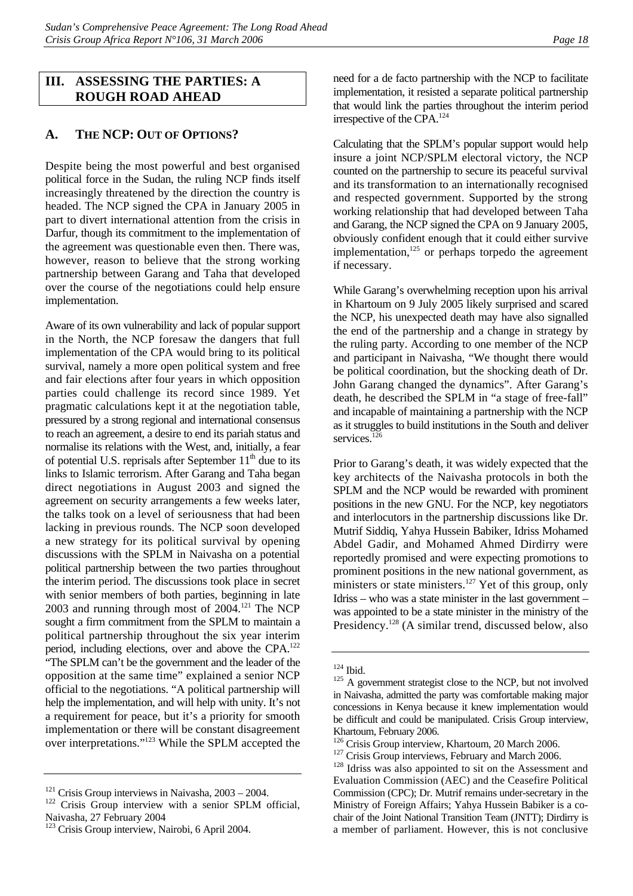### <span id="page-23-0"></span>**III. ASSESSING THE PARTIES: A ROUGH ROAD AHEAD**

## <span id="page-23-1"></span>**A. THE NCP: OUT OF OPTIONS?**

Despite being the most powerful and best organised political force in the Sudan, the ruling NCP finds itself increasingly threatened by the direction the country is headed. The NCP signed the CPA in January 2005 in part to divert international attention from the crisis in Darfur, though its commitment to the implementation of the agreement was questionable even then. There was, however, reason to believe that the strong working partnership between Garang and Taha that developed over the course of the negotiations could help ensure implementation.

Aware of its own vulnerability and lack of popular support in the North, the NCP foresaw the dangers that full implementation of the CPA would bring to its political survival, namely a more open political system and free and fair elections after four years in which opposition parties could challenge its record since 1989. Yet pragmatic calculations kept it at the negotiation table, pressured by a strong regional and international consensus to reach an agreement, a desire to end its pariah status and normalise its relations with the West, and, initially, a fear of potential U.S. reprisals after September  $11<sup>th</sup>$  due to its links to Islamic terrorism. After Garang and Taha began direct negotiations in August 2003 and signed the agreement on security arrangements a few weeks later, the talks took on a level of seriousness that had been lacking in previous rounds. The NCP soon developed a new strategy for its political survival by opening discussions with the SPLM in Naivasha on a potential political partnership between the two parties throughout the interim period. The discussions took place in secret with senior members of both parties, beginning in late  $2003$  and running through most of  $2004$ .<sup>121</sup> The NCP sought a firm commitment from the SPLM to maintain a political partnership throughout the six year interim period, including elections, over and above the CPA[.122](#page-23-3) "The SPLM can't be the government and the leader of the opposition at the same time" explained a senior NCP official to the negotiations. "A political partnership will help the implementation, and will help with unity. It's not a requirement for peace, but it's a priority for smooth implementation or there will be constant disagreement over interpretations."[123 W](#page-23-4)hile the SPLM accepted the need for a de facto partnership with the NCP to facilitate implementation, it resisted a separate political partnership that would link the parties throughout the interim period irrespective of the CPA.[124](#page-23-5)

Calculating that the SPLM's popular support would help insure a joint NCP/SPLM electoral victory, the NCP counted on the partnership to secure its peaceful survival and its transformation to an internationally recognised and respected government. Supported by the strong working relationship that had developed between Taha and Garang, the NCP signed the CPA on 9 January 2005, obviously confident enough that it could either survive implementation, $125$  or perhaps torpedo the agreement if necessary.

While Garang's overwhelming reception upon his arrival in Khartoum on 9 July 2005 likely surprised and scared the NCP, his unexpected death may have also signalled the end of the partnership and a change in strategy by the ruling party. According to one member of the NCP and participant in Naivasha, "We thought there would be political coordination, but the shocking death of Dr. John Garang changed the dynamics". After Garang's death, he described the SPLM in "a stage of free-fall" and incapable of maintaining a partnership with the NCP as it struggles to build institutions in the South and deliver services.<sup>126</sup>

Prior to Garang's death, it was widely expected that the key architects of the Naivasha protocols in both the SPLM and the NCP would be rewarded with prominent positions in the new GNU. For the NCP, key negotiators and interlocutors in the partnership discussions like Dr. Mutrif Siddiq, Yahya Hussein Babiker, Idriss Mohamed Abdel Gadir, and Mohamed Ahmed Dirdirry were reportedly promised and were expecting promotions to prominent positions in the new national government, as ministers or state ministers.<sup>127</sup> Yet of this group, only Idriss – who was a state minister in the last government – was appointed to be a state minister in the ministry of the Presidency.<sup>128</sup> (A similar trend, discussed below, also

<span id="page-23-3"></span><span id="page-23-2"></span>

<sup>&</sup>lt;sup>121</sup> Crisis Group interviews in Naivasha,  $2003 - 2004$ .<br><sup>122</sup> Crisis Group interview with a senior SPLM official, Naivasha, 27 February 2004

<span id="page-23-4"></span><sup>&</sup>lt;sup>123</sup> Crisis Group interview, Nairobi, 6 April 2004.

<span id="page-23-6"></span><span id="page-23-5"></span>

 $124$  Ibid.<br> $125$  A government strategist close to the NCP, but not involved in Naivasha, admitted the party was comfortable making major concessions in Kenya because it knew implementation would be difficult and could be manipulated. Crisis Group interview, Khartoum, February 2006.<br><sup>126</sup> Crisis Group interview, Khartoum, 20 March 2006.

<span id="page-23-7"></span>

<span id="page-23-9"></span><span id="page-23-8"></span>

<sup>&</sup>lt;sup>127</sup> Crisis Group interviews, February and March 2006. <sup>128</sup> Idriss was also appointed to sit on the Assessment and Evaluation Commission (AEC) and the Ceasefire Political Commission (CPC); Dr. Mutrif remains under-secretary in the Ministry of Foreign Affairs; Yahya Hussein Babiker is a cochair of the Joint National Transition Team (JNTT); Dirdirry is a member of parliament. However, this is not conclusive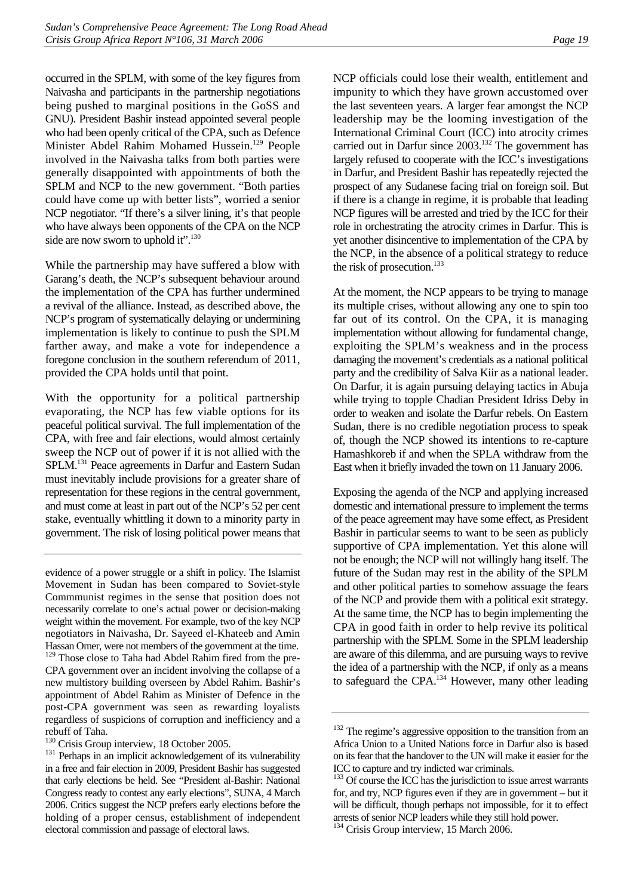occurred in the SPLM, with some of the key figures from Naivasha and participants in the partnership negotiations being pushed to marginal positions in the GoSS and GNU). President Bashir instead appointed several people who had been openly critical of the CPA, such as Defence Minister Abdel Rahim Mohamed Hussein.[129](#page-24-0) People involved in the Naivasha talks from both parties were generally disappointed with appointments of both the SPLM and NCP to the new government. "Both parties could have come up with better lists", worried a senior NCP negotiator. "If there's a silver lining, it's that people who have always been opponents of the CPA on the NCP side are now sworn to uphold it".<sup>130</sup>

While the partnership may have suffered a blow with Garang's death, the NCP's subsequent behaviour around the implementation of the CPA has further undermined a revival of the alliance. Instead, as described above, the NCP's program of systematically delaying or undermining implementation is likely to continue to push the SPLM farther away, and make a vote for independence a foregone conclusion in the southern referendum of 2011, provided the CPA holds until that point.

With the opportunity for a political partnership evaporating, the NCP has few viable options for its peaceful political survival. The full implementation of the CPA, with free and fair elections, would almost certainly sweep the NCP out of power if it is not allied with the SPLM.[131 P](#page-24-2)eace agreements in Darfur and Eastern Sudan must inevitably include provisions for a greater share of representation for these regions in the central government, and must come at least in part out of the NCP's 52 per cent stake, eventually whittling it down to a minority party in government. The risk of losing political power means that

<span id="page-24-0"></span>evidence of a power struggle or a shift in policy. The Islamist Movement in Sudan has been compared to Soviet-style Commmunist regimes in the sense that position does not necessarily correlate to one's actual power or decision-making weight within the movement. For example, two of the key NCP negotiators in Naivasha, Dr. Sayeed el-Khateeb and Amin Hassan Omer, were not members of the government at the time. <sup>129</sup> Those close to Taha had Abdel Rahim fired from the pre-CPA government over an incident involving the collapse of a new multistory building overseen by Abdel Rahim. Bashir's appointment of Abdel Rahim as Minister of Defence in the post-CPA government was seen as rewarding loyalists regardless of suspicions of corruption and inefficiency and a rebuff of Taha.<br><sup>130</sup> Crisis Group interview, 18 October 2005.

<span id="page-24-1"></span>

NCP officials could lose their wealth, entitlement and impunity to which they have grown accustomed over the last seventeen years. A larger fear amongst the NCP leadership may be the looming investigation of the International Criminal Court (ICC) into atrocity crimes carried out in Darfur since 2003.<sup>132</sup> The government has largely refused to cooperate with the ICC's investigations in Darfur, and President Bashir has repeatedly rejected the prospect of any Sudanese facing trial on foreign soil. But if there is a change in regime, it is probable that leading NCP figures will be arrested and tried by the ICC for their role in orchestrating the atrocity crimes in Darfur. This is yet another disincentive to implementation of the CPA by the NCP, in the absence of a political strategy to reduce the risk of prosecution.<sup>133</sup>

At the moment, the NCP appears to be trying to manage its multiple crises, without allowing any one to spin too far out of its control. On the CPA, it is managing implementation without allowing for fundamental change, exploiting the SPLM's weakness and in the process damaging the movement's credentials as a national political party and the credibility of Salva Kiir as a national leader. On Darfur, it is again pursuing delaying tactics in Abuja while trying to topple Chadian President Idriss Deby in order to weaken and isolate the Darfur rebels. On Eastern Sudan, there is no credible negotiation process to speak of, though the NCP showed its intentions to re-capture Hamashkoreb if and when the SPLA withdraw from the East when it briefly invaded the town on 11 January 2006.

Exposing the agenda of the NCP and applying increased domestic and international pressure to implement the terms of the peace agreement may have some effect, as President Bashir in particular seems to want to be seen as publicly supportive of CPA implementation. Yet this alone will not be enough; the NCP will not willingly hang itself. The future of the Sudan may rest in the ability of the SPLM and other political parties to somehow assuage the fears of the NCP and provide them with a political exit strategy. At the same time, the NCP has to begin implementing the CPA in good faith in order to help revive its political partnership with the SPLM. Some in the SPLM leadership are aware of this dilemma, and are pursuing ways to revive the idea of a partnership with the NCP, if only as a means to safeguard the CPA.<sup>134</sup> However, many other leading

<span id="page-24-2"></span><sup>&</sup>lt;sup>131</sup> Perhaps in an implicit acknowledgement of its vulnerability in a free and fair election in 2009, President Bashir has suggested that early elections be held. See "President al-Bashir: National Congress ready to contest any early elections", SUNA, 4 March 2006. Critics suggest the NCP prefers early elections before the holding of a proper census, establishment of independent electoral commission and passage of electoral laws.

<span id="page-24-3"></span><sup>&</sup>lt;sup>132</sup> The regime's aggressive opposition to the transition from an Africa Union to a United Nations force in Darfur also is based on its fear that the handover to the UN will make it easier for the ICC to capture and try indicted war criminals.<br><sup>133</sup> Of course the ICC has the jurisdiction to issue arrest warrants

<span id="page-24-4"></span>for, and try, NCP figures even if they are in government – but it will be difficult, though perhaps not impossible, for it to effect arrests of senior NCP leaders while they still hold power.

<span id="page-24-5"></span><sup>&</sup>lt;sup>134</sup> Crisis Group interview, 15 March 2006.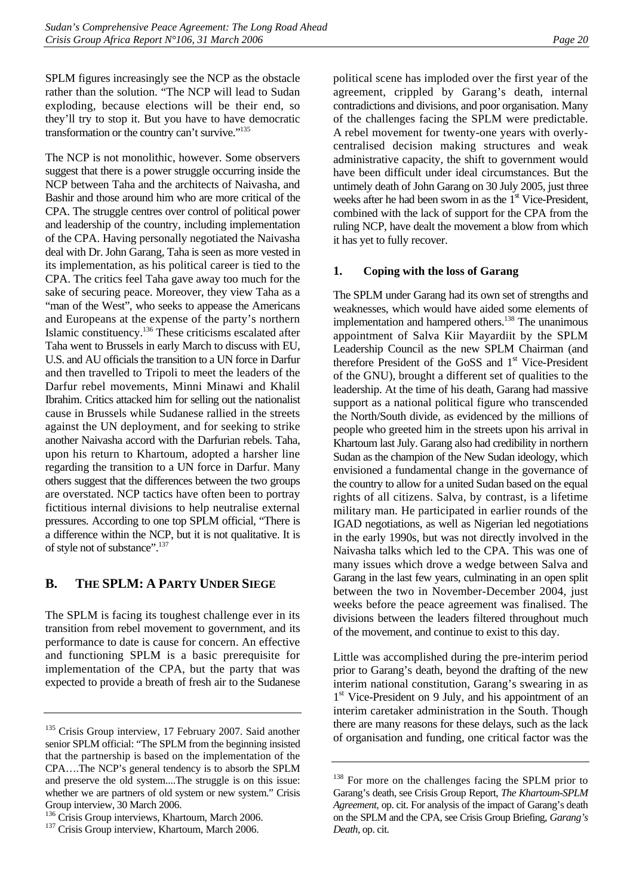SPLM figures increasingly see the NCP as the obstacle rather than the solution. "The NCP will lead to Sudan exploding, because elections will be their end, so they'll try to stop it. But you have to have democratic transformation or the country can't survive.["135](#page-25-2)

The NCP is not monolithic, however. Some observers suggest that there is a power struggle occurring inside the NCP between Taha and the architects of Naivasha, and Bashir and those around him who are more critical of the CPA. The struggle centres over control of political power and leadership of the country, including implementation of the CPA. Having personally negotiated the Naivasha deal with Dr. John Garang, Taha is seen as more vested in its implementation, as his political career is tied to the CPA. The critics feel Taha gave away too much for the sake of securing peace. Moreover, they view Taha as a "man of the West", who seeks to appease the Americans and Europeans at the expense of the party's northern Islamic constituency[.136 T](#page-25-3)hese criticisms escalated after Taha went to Brussels in early March to discuss with EU, U.S. and AU officials the transition to a UN force in Darfur and then travelled to Tripoli to meet the leaders of the Darfur rebel movements, Minni Minawi and Khalil Ibrahim. Critics attacked him for selling out the nationalist cause in Brussels while Sudanese rallied in the streets against the UN deployment, and for seeking to strike another Naivasha accord with the Darfurian rebels. Taha, upon his return to Khartoum, adopted a harsher line regarding the transition to a UN force in Darfur. Many others suggest that the differences between the two groups are overstated. NCP tactics have often been to portray fictitious internal divisions to help neutralise external pressures. According to one top SPLM official, "There is a difference within the NCP, but it is not qualitative. It is of style not of substance".<sup>137</sup>

## <span id="page-25-0"></span>**B. THE SPLM: A PARTY UNDER SIEGE**

The SPLM is facing its toughest challenge ever in its transition from rebel movement to government, and its performance to date is cause for concern. An effective and functioning SPLM is a basic prerequisite for implementation of the CPA, but the party that was expected to provide a breath of fresh air to the Sudanese political scene has imploded over the first year of the agreement, crippled by Garang's death, internal contradictions and divisions, and poor organisation. Many of the challenges facing the SPLM were predictable. A rebel movement for twenty-one years with overlycentralised decision making structures and weak administrative capacity, the shift to government would have been difficult under ideal circumstances. But the untimely death of John Garang on 30 July 2005, just three weeks after he had been sworn in as the  $1<sup>st</sup>$  Vice-President, combined with the lack of support for the CPA from the ruling NCP, have dealt the movement a blow from which it has yet to fully recover.

### <span id="page-25-1"></span>**1. Coping with the loss of Garang**

The SPLM under Garang had its own set of strengths and weaknesses, which would have aided some elements of implementation and hampered others.<sup>138</sup> The unanimous appointment of Salva Kiir Mayardiit by the SPLM Leadership Council as the new SPLM Chairman (and therefore President of the GoSS and  $1<sup>st</sup>$  Vice-President of the GNU), brought a different set of qualities to the leadership. At the time of his death, Garang had massive support as a national political figure who transcended the North/South divide, as evidenced by the millions of people who greeted him in the streets upon his arrival in Khartoum last July. Garang also had credibility in northern Sudan as the champion of the New Sudan ideology, which envisioned a fundamental change in the governance of the country to allow for a united Sudan based on the equal rights of all citizens. Salva, by contrast, is a lifetime military man. He participated in earlier rounds of the IGAD negotiations, as well as Nigerian led negotiations in the early 1990s, but was not directly involved in the Naivasha talks which led to the CPA. This was one of many issues which drove a wedge between Salva and Garang in the last few years, culminating in an open split between the two in November-December 2004, just weeks before the peace agreement was finalised. The divisions between the leaders filtered throughout much of the movement, and continue to exist to this day.

Little was accomplished during the pre-interim period prior to Garang's death, beyond the drafting of the new interim national constitution, Garang's swearing in as 1<sup>st</sup> Vice-President on 9 July, and his appointment of an interim caretaker administration in the South. Though there are many reasons for these delays, such as the lack of organisation and funding, one critical factor was the

<span id="page-25-2"></span><sup>&</sup>lt;sup>135</sup> Crisis Group interview, 17 February 2007. Said another senior SPLM official: "The SPLM from the beginning insisted that the partnership is based on the implementation of the CPA….The NCP's general tendency is to absorb the SPLM and preserve the old system....The struggle is on this issue: whether we are partners of old system or new system." Crisis Group interview, 30 March 2006.

<span id="page-25-3"></span><sup>&</sup>lt;sup>136</sup> Crisis Group interviews, Khartoum, March 2006.<br><sup>137</sup> Crisis Group interview, Khartoum, March 2006.

<span id="page-25-4"></span>

<span id="page-25-5"></span><sup>&</sup>lt;sup>138</sup> For more on the challenges facing the SPLM prior to Garang's death, see Crisis Group Report, *The Khartoum-SPLM Agreement,* op. cit. For analysis of the impact of Garang's death on the SPLM and the CPA, see Crisis Group Briefing, *Garang's Death*, op. cit.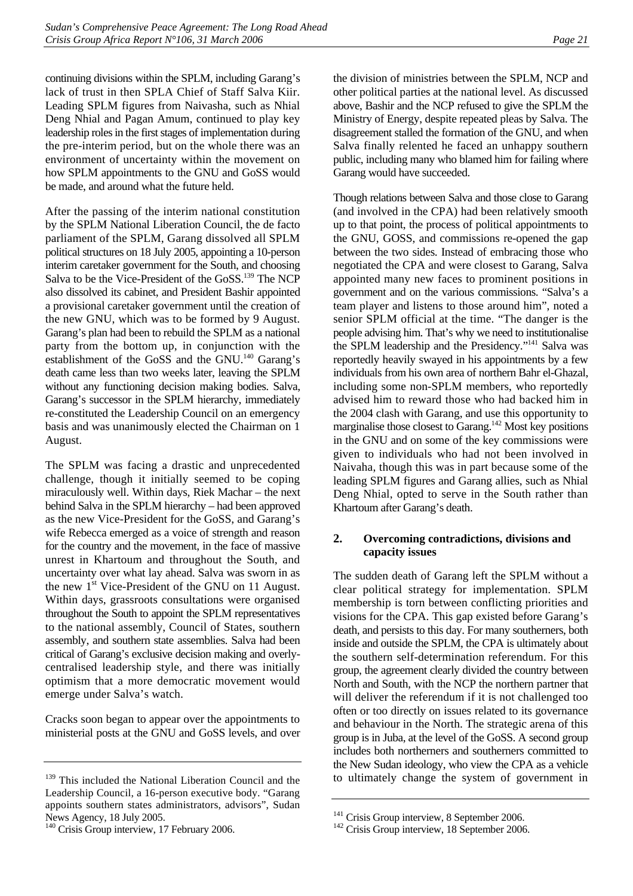continuing divisions within the SPLM, including Garang's lack of trust in then SPLA Chief of Staff Salva Kiir. Leading SPLM figures from Naivasha, such as Nhial Deng Nhial and Pagan Amum, continued to play key leadership roles in the first stages of implementation during the pre-interim period, but on the whole there was an environment of uncertainty within the movement on how SPLM appointments to the GNU and GoSS would be made, and around what the future held.

After the passing of the interim national constitution by the SPLM National Liberation Council, the de facto parliament of the SPLM, Garang dissolved all SPLM political structures on 18 July 2005, appointing a 10-person interim caretaker government for the South, and choosing Salva to be the Vice-President of the GoSS.<sup>139</sup> The NCP also dissolved its cabinet, and President Bashir appointed a provisional caretaker government until the creation of the new GNU, which was to be formed by 9 August. Garang's plan had been to rebuild the SPLM as a national party from the bottom up, in conjunction with the establishment of the GoSS and the GNU.<sup>140</sup> Garang's death came less than two weeks later, leaving the SPLM without any functioning decision making bodies. Salva, Garang's successor in the SPLM hierarchy, immediately re-constituted the Leadership Council on an emergency basis and was unanimously elected the Chairman on 1 August.

The SPLM was facing a drastic and unprecedented challenge, though it initially seemed to be coping miraculously well. Within days, Riek Machar – the next behind Salva in the SPLM hierarchy – had been approved as the new Vice-President for the GoSS, and Garang's wife Rebecca emerged as a voice of strength and reason for the country and the movement, in the face of massive unrest in Khartoum and throughout the South, and uncertainty over what lay ahead. Salva was sworn in as the new  $1<sup>st</sup>$  Vice-President of the GNU on 11 August. Within days, grassroots consultations were organised throughout the South to appoint the SPLM representatives to the national assembly, Council of States, southern assembly, and southern state assemblies. Salva had been critical of Garang's exclusive decision making and overlycentralised leadership style, and there was initially optimism that a more democratic movement would emerge under Salva's watch.

Cracks soon began to appear over the appointments to ministerial posts at the GNU and GoSS levels, and over the division of ministries between the SPLM, NCP and other political parties at the national level. As discussed above, Bashir and the NCP refused to give the SPLM the Ministry of Energy, despite repeated pleas by Salva. The disagreement stalled the formation of the GNU, and when Salva finally relented he faced an unhappy southern public, including many who blamed him for failing where Garang would have succeeded.

Though relations between Salva and those close to Garang (and involved in the CPA) had been relatively smooth up to that point, the process of political appointments to the GNU, GOSS, and commissions re-opened the gap between the two sides. Instead of embracing those who negotiated the CPA and were closest to Garang, Salva appointed many new faces to prominent positions in government and on the various commissions. "Salva's a team player and listens to those around him", noted a senior SPLM official at the time. "The danger is the people advising him. That's why we need to institutionalise the SPLM leadership and the Presidency."<sup>141</sup> Salva was reportedly heavily swayed in his appointments by a few individuals from his own area of northern Bahr el-Ghazal, including some non-SPLM members, who reportedly advised him to reward those who had backed him in the 2004 clash with Garang, and use this opportunity to marginalise those closest to Garang.<sup>142</sup> Most key positions in the GNU and on some of the key commissions were given to individuals who had not been involved in Naivaha, though this was in part because some of the leading SPLM figures and Garang allies, such as Nhial Deng Nhial, opted to serve in the South rather than Khartoum after Garang's death.

### <span id="page-26-0"></span>**2. Overcoming contradictions, divisions and capacity issues**

The sudden death of Garang left the SPLM without a clear political strategy for implementation. SPLM membership is torn between conflicting priorities and visions for the CPA. This gap existed before Garang's death, and persists to this day. For many southerners, both inside and outside the SPLM, the CPA is ultimately about the southern self-determination referendum. For this group, the agreement clearly divided the country between North and South, with the NCP the northern partner that will deliver the referendum if it is not challenged too often or too directly on issues related to its governance and behaviour in the North. The strategic arena of this group is in Juba, at the level of the GoSS. A second group includes both northerners and southerners committed to the New Sudan ideology, who view the CPA as a vehicle to ultimately change the system of government in

<span id="page-26-1"></span><sup>&</sup>lt;sup>139</sup> This included the National Liberation Council and the Leadership Council, a 16-person executive body. "Garang appoints southern states administrators, advisors", Sudan News Agency, 18 July 2005.

<span id="page-26-2"></span><sup>&</sup>lt;sup>140</sup> Crisis Group interview, 17 February 2006.

<span id="page-26-4"></span><span id="page-26-3"></span>

<sup>&</sup>lt;sup>141</sup> Crisis Group interview, 8 September 2006.<br><sup>142</sup> Crisis Group interview, 18 September 2006.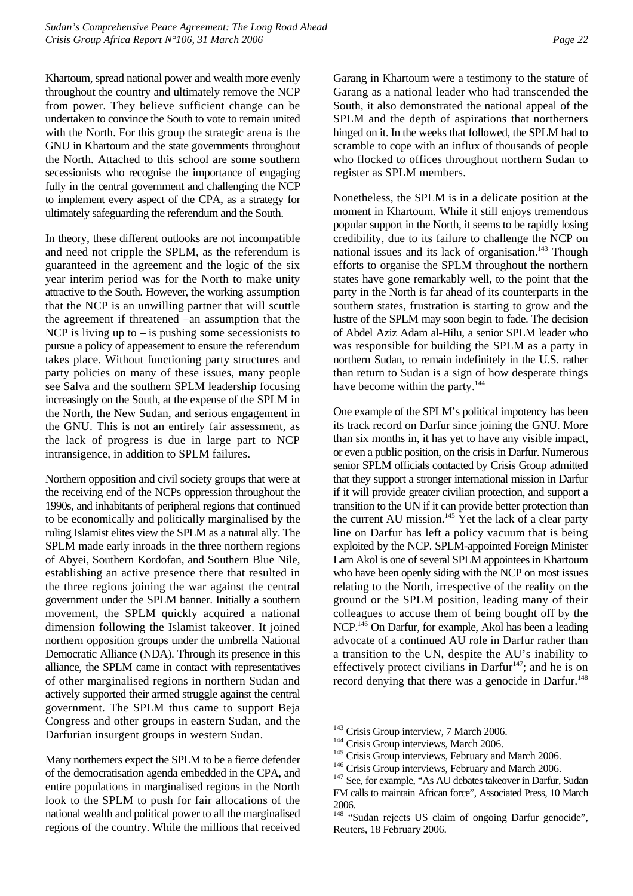Khartoum, spread national power and wealth more evenly throughout the country and ultimately remove the NCP from power. They believe sufficient change can be undertaken to convince the South to vote to remain united with the North. For this group the strategic arena is the GNU in Khartoum and the state governments throughout the North. Attached to this school are some southern secessionists who recognise the importance of engaging fully in the central government and challenging the NCP to implement every aspect of the CPA, as a strategy for ultimately safeguarding the referendum and the South.

In theory, these different outlooks are not incompatible and need not cripple the SPLM, as the referendum is guaranteed in the agreement and the logic of the six year interim period was for the North to make unity attractive to the South. However, the working assumption that the NCP is an unwilling partner that will scuttle the agreement if threatened –an assumption that the NCP is living up to  $-$  is pushing some secessionists to pursue a policy of appeasement to ensure the referendum takes place. Without functioning party structures and party policies on many of these issues, many people see Salva and the southern SPLM leadership focusing increasingly on the South, at the expense of the SPLM in the North, the New Sudan, and serious engagement in the GNU. This is not an entirely fair assessment, as the lack of progress is due in large part to NCP intransigence, in addition to SPLM failures.

Northern opposition and civil society groups that were at the receiving end of the NCPs oppression throughout the 1990s, and inhabitants of peripheral regions that continued to be economically and politically marginalised by the ruling Islamist elites view the SPLM as a natural ally. The SPLM made early inroads in the three northern regions of Abyei, Southern Kordofan, and Southern Blue Nile, establishing an active presence there that resulted in the three regions joining the war against the central government under the SPLM banner. Initially a southern movement, the SPLM quickly acquired a national dimension following the Islamist takeover. It joined northern opposition groups under the umbrella National Democratic Alliance (NDA). Through its presence in this alliance, the SPLM came in contact with representatives of other marginalised regions in northern Sudan and actively supported their armed struggle against the central government. The SPLM thus came to support Beja Congress and other groups in eastern Sudan, and the Darfurian insurgent groups in western Sudan.

Garang in Khartoum were a testimony to the stature of Garang as a national leader who had transcended the South, it also demonstrated the national appeal of the SPLM and the depth of aspirations that northerners hinged on it. In the weeks that followed, the SPLM had to scramble to cope with an influx of thousands of people who flocked to offices throughout northern Sudan to register as SPLM members.

Nonetheless, the SPLM is in a delicate position at the moment in Khartoum. While it still enjoys tremendous popular support in the North, it seems to be rapidly losing credibility, due to its failure to challenge the NCP on national issues and its lack of organisation.<sup>143</sup> Though efforts to organise the SPLM throughout the northern states have gone remarkably well, to the point that the party in the North is far ahead of its counterparts in the southern states, frustration is starting to grow and the lustre of the SPLM may soon begin to fade. The decision of Abdel Aziz Adam al-Hilu, a senior SPLM leader who was responsible for building the SPLM as a party in northern Sudan, to remain indefinitely in the U.S. rather than return to Sudan is a sign of how desperate things have become within the party.<sup>144</sup>

One example of the SPLM's political impotency has been its track record on Darfur since joining the GNU. More than six months in, it has yet to have any visible impact, or even a public position, on the crisis in Darfur. Numerous senior SPLM officials contacted by Crisis Group admitted that they support a stronger international mission in Darfur if it will provide greater civilian protection, and support a transition to the UN if it can provide better protection than the current AU mission.<sup>145</sup> Yet the lack of a clear party line on Darfur has left a policy vacuum that is being exploited by the NCP. SPLM-appointed Foreign Minister Lam Akol is one of several SPLM appointees in Khartoum who have been openly siding with the NCP on most issues relating to the North, irrespective of the reality on the ground or the SPLM position, leading many of their colleagues to accuse them of being bought off by the NCP.<sup>146</sup> On Darfur, for example, Akol has been a leading advocate of a continued AU role in Darfur rather than a transition to the UN, despite the AU's inability to effectively protect civilians in Darfur<sup>147</sup>; and he is on record denying that there was a genocide in Darfur.<sup>148</sup>

Many northerners expect the SPLM to be a fierce defender of the democratisation agenda embedded in the CPA, and entire populations in marginalised regions in the North look to the SPLM to push for fair allocations of the national wealth and political power to all the marginalised regions of the country. While the millions that received

<span id="page-27-0"></span>

<span id="page-27-1"></span>

<span id="page-27-2"></span>

<span id="page-27-4"></span><span id="page-27-3"></span>

<sup>&</sup>lt;sup>143</sup> Crisis Group interview, 7 March 2006.<br><sup>144</sup> Crisis Group interviews, March 2006.<br><sup>145</sup> Crisis Group interviews, February and March 2006.<br><sup>146</sup> Crisis Group interviews, February and March 2006.<br><sup>147</sup> See, for example FM calls to maintain African force", Associated Press, 10 March 2006.

<span id="page-27-5"></span><sup>&</sup>lt;sup>148</sup> "Sudan rejects US claim of ongoing Darfur genocide", Reuters, 18 February 2006.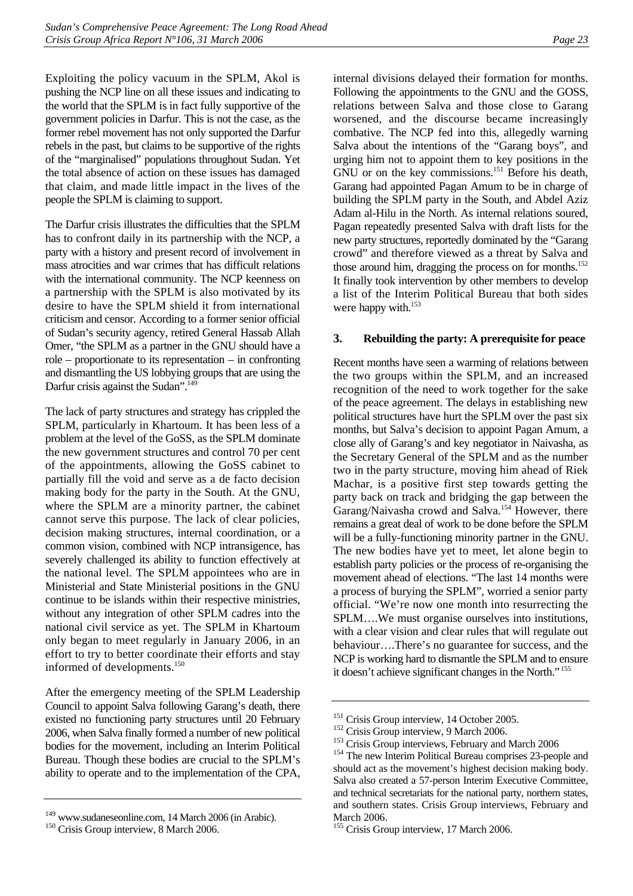Exploiting the policy vacuum in the SPLM, Akol is pushing the NCP line on all these issues and indicating to the world that the SPLM is in fact fully supportive of the government policies in Darfur. This is not the case, as the former rebel movement has not only supported the Darfur rebels in the past, but claims to be supportive of the rights of the "marginalised" populations throughout Sudan. Yet the total absence of action on these issues has damaged that claim, and made little impact in the lives of the people the SPLM is claiming to support.

The Darfur crisis illustrates the difficulties that the SPLM has to confront daily in its partnership with the NCP, a party with a history and present record of involvement in mass atrocities and war crimes that has difficult relations with the international community. The NCP keenness on a partnership with the SPLM is also motivated by its desire to have the SPLM shield it from international criticism and censor. According to a former senior official of Sudan's security agency, retired General Hassab Allah Omer, "the SPLM as a partner in the GNU should have a role – proportionate to its representation – in confronting and dismantling the US lobbying groups that are using the Darfur crisis against the Sudan".<sup>149</sup>

The lack of party structures and strategy has crippled the SPLM, particularly in Khartoum. It has been less of a problem at the level of the GoSS, as the SPLM dominate the new government structures and control 70 per cent of the appointments, allowing the GoSS cabinet to partially fill the void and serve as a de facto decision making body for the party in the South. At the GNU, where the SPLM are a minority partner, the cabinet cannot serve this purpose. The lack of clear policies, decision making structures, internal coordination, or a common vision, combined with NCP intransigence, has severely challenged its ability to function effectively at the national level. The SPLM appointees who are in Ministerial and State Ministerial positions in the GNU continue to be islands within their respective ministries, without any integration of other SPLM cadres into the national civil service as yet. The SPLM in Khartoum only began to meet regularly in January 2006, in an effort to try to better coordinate their efforts and stay informed of developments.<sup>150</sup>

After the emergency meeting of the SPLM Leadership Council to appoint Salva following Garang's death, there existed no functioning party structures until 20 February 2006, when Salva finally formed a number of new political bodies for the movement, including an Interim Political Bureau. Though these bodies are crucial to the SPLM's ability to operate and to the implementation of the CPA,

internal divisions delayed their formation for months. Following the appointments to the GNU and the GOSS, relations between Salva and those close to Garang worsened, and the discourse became increasingly combative. The NCP fed into this, allegedly warning Salva about the intentions of the "Garang boys", and urging him not to appoint them to key positions in the  $\overrightarrow{GNU}$  or on the key commissions.<sup>151</sup> Before his death, Garang had appointed Pagan Amum to be in charge of building the SPLM party in the South, and Abdel Aziz Adam al-Hilu in the North. As internal relations soured, Pagan repeatedly presented Salva with draft lists for the new party structures, reportedly dominated by the "Garang crowd" and therefore viewed as a threat by Salva and those around him, dragging the process on for months.<sup>152</sup> It finally took intervention by other members to develop a list of the Interim Political Bureau that both sides were happy with.<sup>153</sup>

#### <span id="page-28-0"></span>**3. Rebuilding the party: A prerequisite for peace**

Recent months have seen a warming of relations between the two groups within the SPLM, and an increased recognition of the need to work together for the sake of the peace agreement. The delays in establishing new political structures have hurt the SPLM over the past six months, but Salva's decision to appoint Pagan Amum, a close ally of Garang's and key negotiator in Naivasha, as the Secretary General of the SPLM and as the number two in the party structure, moving him ahead of Riek Machar, is a positive first step towards getting the party back on track and bridging the gap between the Garang/Naivasha crowd and Salva.<sup>154</sup> However, there remains a great deal of work to be done before the SPLM will be a fully-functioning minority partner in the GNU. The new bodies have yet to meet, let alone begin to establish party policies or the process of re-organising the movement ahead of elections. "The last 14 months were a process of burying the SPLM", worried a senior party official. "We're now one month into resurrecting the SPLM….We must organise ourselves into institutions, with a clear vision and clear rules that will regulate out behaviour….There's no guarantee for success, and the NCP is working hard to dismantle the SPLM and to ensure it doesn't achieve significant changes in the North." [155](#page-28-7)

<span id="page-28-1"></span><sup>&</sup>lt;sup>149</sup> www.sudaneseonline.com, 14 March 2006 (in Arabic).<br><sup>150</sup> Crisis Group interview, 8 March 2006.

<span id="page-28-2"></span>

<span id="page-28-3"></span>

<span id="page-28-4"></span>

<span id="page-28-6"></span><span id="page-28-5"></span>

<sup>&</sup>lt;sup>151</sup> Crisis Group interview, 14 October 2005.<br><sup>152</sup> Crisis Group interview, 9 March 2006.<br><sup>153</sup> Crisis Group interviews, February and March 2006<br><sup>154</sup> The new Interim Political Bureau comprises 23-people and should act as the movement's highest decision making body. Salva also created a 57-person Interim Executive Committee, and technical secretariats for the national party, northern states, and southern states. Crisis Group interviews, February and March 2006.

<span id="page-28-7"></span><sup>&</sup>lt;sup>155</sup> Crisis Group interview, 17 March 2006.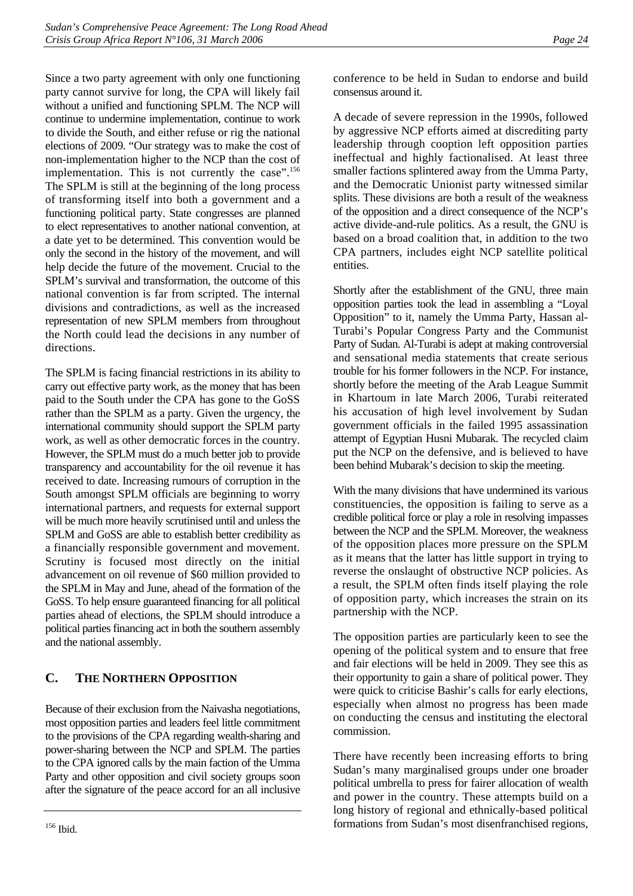Since a two party agreement with only one functioning party cannot survive for long, the CPA will likely fail without a unified and functioning SPLM. The NCP will continue to undermine implementation, continue to work to divide the South, and either refuse or rig the national elections of 2009. "Our strategy was to make the cost of non-implementation higher to the NCP than the cost of implementation. This is not currently the case".<sup>156</sup> The SPLM is still at the beginning of the long process of transforming itself into both a government and a functioning political party. State congresses are planned to elect representatives to another national convention, at a date yet to be determined. This convention would be only the second in the history of the movement, and will help decide the future of the movement. Crucial to the SPLM's survival and transformation, the outcome of this national convention is far from scripted. The internal divisions and contradictions, as well as the increased representation of new SPLM members from throughout the North could lead the decisions in any number of directions.

The SPLM is facing financial restrictions in its ability to carry out effective party work, as the money that has been paid to the South under the CPA has gone to the GoSS rather than the SPLM as a party. Given the urgency, the international community should support the SPLM party work, as well as other democratic forces in the country. However, the SPLM must do a much better job to provide transparency and accountability for the oil revenue it has received to date. Increasing rumours of corruption in the South amongst SPLM officials are beginning to worry international partners, and requests for external support will be much more heavily scrutinised until and unless the SPLM and GoSS are able to establish better credibility as a financially responsible government and movement. Scrutiny is focused most directly on the initial advancement on oil revenue of \$60 million provided to the SPLM in May and June, ahead of the formation of the GoSS. To help ensure guaranteed financing for all political parties ahead of elections, the SPLM should introduce a political parties financing act in both the southern assembly and the national assembly.

## <span id="page-29-0"></span>**C. THE NORTHERN OPPOSITION**

<span id="page-29-1"></span>Because of their exclusion from the Naivasha negotiations, most opposition parties and leaders feel little commitment to the provisions of the CPA regarding wealth-sharing and power-sharing between the NCP and SPLM. The parties to the CPA ignored calls by the main faction of the Umma Party and other opposition and civil society groups soon after the signature of the peace accord for an all inclusive conference to be held in Sudan to endorse and build consensus around it.

A decade of severe repression in the 1990s, followed by aggressive NCP efforts aimed at discrediting party leadership through cooption left opposition parties ineffectual and highly factionalised. At least three smaller factions splintered away from the Umma Party, and the Democratic Unionist party witnessed similar splits. These divisions are both a result of the weakness of the opposition and a direct consequence of the NCP's active divide-and-rule politics. As a result, the GNU is based on a broad coalition that, in addition to the two CPA partners, includes eight NCP satellite political entities.

Shortly after the establishment of the GNU, three main opposition parties took the lead in assembling a "Loyal Opposition" to it, namely the Umma Party, Hassan al-Turabi's Popular Congress Party and the Communist Party of Sudan. Al-Turabi is adept at making controversial and sensational media statements that create serious trouble for his former followers in the NCP. For instance, shortly before the meeting of the Arab League Summit in Khartoum in late March 2006, Turabi reiterated his accusation of high level involvement by Sudan government officials in the failed 1995 assassination attempt of Egyptian Husni Mubarak. The recycled claim put the NCP on the defensive, and is believed to have been behind Mubarak's decision to skip the meeting.

With the many divisions that have undermined its various constituencies, the opposition is failing to serve as a credible political force or play a role in resolving impasses between the NCP and the SPLM. Moreover, the weakness of the opposition places more pressure on the SPLM as it means that the latter has little support in trying to reverse the onslaught of obstructive NCP policies. As a result, the SPLM often finds itself playing the role of opposition party, which increases the strain on its partnership with the NCP.

The opposition parties are particularly keen to see the opening of the political system and to ensure that free and fair elections will be held in 2009. They see this as their opportunity to gain a share of political power. They were quick to criticise Bashir's calls for early elections, especially when almost no progress has been made on conducting the census and instituting the electoral commission.

There have recently been increasing efforts to bring Sudan's many marginalised groups under one broader political umbrella to press for fairer allocation of wealth and power in the country. These attempts build on a long history of regional and ethnically-based political formations from Sudan's most disenfranchised regions,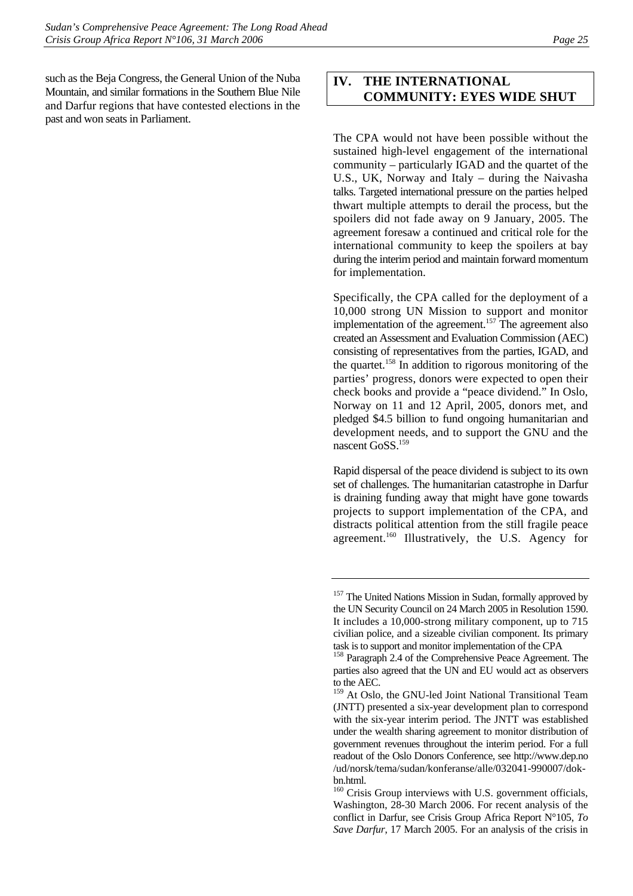such as the Beja Congress, the General Union of the Nuba Mountain, and similar formations in the Southern Blue Nile and Darfur regions that have contested elections in the past and won seats in Parliament.

## <span id="page-30-0"></span>**IV. THE INTERNATIONAL COMMUNITY: EYES WIDE SHUT**

The CPA would not have been possible without the sustained high-level engagement of the international community – particularly IGAD and the quartet of the U.S., UK, Norway and Italy – during the Naivasha talks. Targeted international pressure on the parties helped thwart multiple attempts to derail the process, but the spoilers did not fade away on 9 January, 2005. The agreement foresaw a continued and critical role for the international community to keep the spoilers at bay during the interim period and maintain forward momentum for implementation.

Specifically, the CPA called for the deployment of a 10,000 strong UN Mission to support and monitor implementation of the agreement.<sup>157</sup> The agreement also created an Assessment and Evaluation Commission (AEC) consisting of representatives from the parties, IGAD, and the quartet.<sup>158</sup> In addition to rigorous monitoring of the parties' progress, donors were expected to open their check books and provide a "peace dividend." In Oslo, Norway on 11 and 12 April, 2005, donors met, and pledged \$4.5 billion to fund ongoing humanitarian and development needs, and to support the GNU and the nascent GoSS.<sup>159</sup>

Rapid dispersal of the peace dividend is subject to its own set of challenges. The humanitarian catastrophe in Darfur is draining funding away that might have gone towards projects to support implementation of the CPA, and distracts political attention from the still fragile peace agreement.<sup>160</sup> Illustratively, the U.S. Agency for

<span id="page-30-1"></span><sup>&</sup>lt;sup>157</sup> The United Nations Mission in Sudan, formally approved by the UN Security Council on 24 March 2005 in Resolution 1590. It includes a 10,000-strong military component, up to 715 civilian police, and a sizeable civilian component. Its primary task is to support and monitor implementation of the CPA

<span id="page-30-2"></span><sup>&</sup>lt;sup>158</sup> Paragraph 2.4 of the Comprehensive Peace Agreement. The parties also agreed that the UN and EU would act as observers to the AEC.

<span id="page-30-3"></span><sup>&</sup>lt;sup>159</sup> At Oslo, the GNU-led Joint National Transitional Team (JNTT) presented a six-year development plan to correspond with the six-year interim period. The JNTT was established under the wealth sharing agreement to monitor distribution of government revenues throughout the interim period. For a full readout of the Oslo Donors Conference, see http://www.dep.no /ud/norsk/tema/sudan/konferanse/alle/032041-990007/dokbn.html.

<span id="page-30-4"></span><sup>&</sup>lt;sup>160</sup> Crisis Group interviews with U.S. government officials, Washington, 28-30 March 2006. For recent analysis of the conflict in Darfur, see Crisis Group Africa Report N°105, *To Save Darfur*, 17 March 2005. For an analysis of the crisis in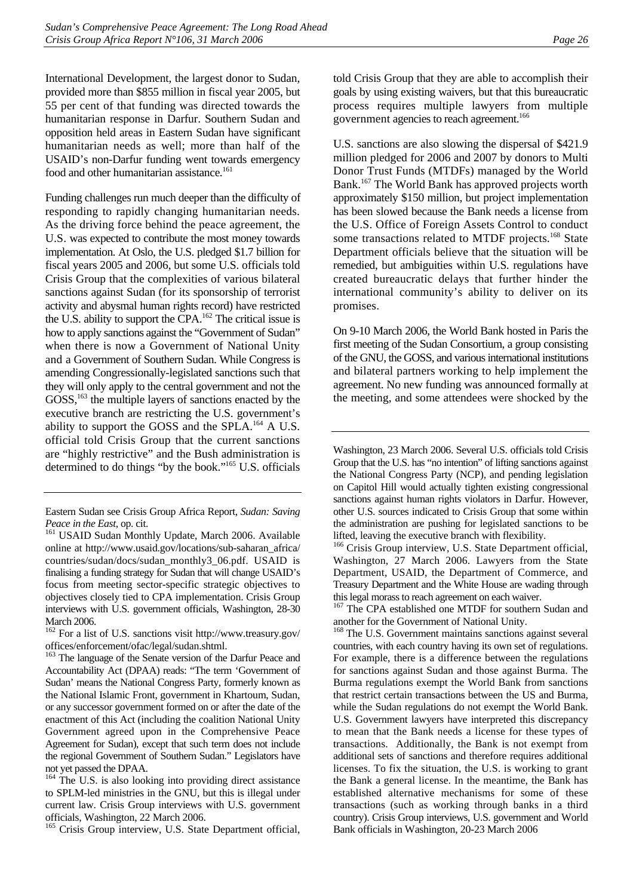International Development, the largest donor to Sudan, provided more than \$855 million in fiscal year 2005, but 55 per cent of that funding was directed towards the humanitarian response in Darfur. Southern Sudan and opposition held areas in Eastern Sudan have significant humanitarian needs as well; more than half of the USAID's non-Darfur funding went towards emergency food and other humanitarian assistance.<sup>161</sup>

Funding challenges run much deeper than the difficulty of responding to rapidly changing humanitarian needs. As the driving force behind the peace agreement, the U.S. was expected to contribute the most money towards implementation. At Oslo, the U.S. pledged \$1.7 billion for fiscal years 2005 and 2006, but some U.S. officials told Crisis Group that the complexities of various bilateral sanctions against Sudan (for its sponsorship of terrorist activity and abysmal human rights record) have restricted the U.S. ability to support the  $\text{CPA}$ .<sup>162</sup> The critical issue is how to apply sanctions against the "Government of Sudan" when there is now a Government of National Unity and a Government of Southern Sudan. While Congress is amending Congressionally-legislated sanctions such that they will only apply to the central government and not the GOSS,<sup>163</sup> the multiple layers of sanctions enacted by the executive branch are restricting the U.S. government's ability to support the GOSS and the SPLA.<sup>164</sup> A U.S. official told Crisis Group that the current sanctions are "highly restrictive" and the Bush administration is determined to do things "by the book.["165 U](#page-31-4).S. officials

<span id="page-31-4"></span><sup>165</sup> Crisis Group interview, U.S. State Department official,

told Crisis Group that they are able to accomplish their goals by using existing waivers, but that this bureaucratic process requires multiple lawyers from multiple government agencies to reach agreement.<sup>166</sup>

U.S. sanctions are also slowing the dispersal of \$421.9 million pledged for 2006 and 2007 by donors to Multi Donor Trust Funds (MTDFs) managed by the World Bank.[167 T](#page-31-6)he World Bank has approved projects worth approximately \$150 million, but project implementation has been slowed because the Bank needs a license from the U.S. Office of Foreign Assets Control to conduct some transactions related to MTDF projects.<sup>168</sup> State Department officials believe that the situation will be remedied, but ambiguities within U.S. regulations have created bureaucratic delays that further hinder the international community's ability to deliver on its promises.

On 9-10 March 2006, the World Bank hosted in Paris the first meeting of the Sudan Consortium, a group consisting of the GNU, the GOSS, and various international institutions and bilateral partners working to help implement the agreement. No new funding was announced formally at the meeting, and some attendees were shocked by the

<span id="page-31-6"></span><sup>167</sup> The CPA established one MTDF for southern Sudan and another for the Government of National Unity.

<span id="page-31-7"></span><sup>168</sup> The U.S. Government maintains sanctions against several countries, with each country having its own set of regulations. For example, there is a difference between the regulations for sanctions against Sudan and those against Burma. The Burma regulations exempt the World Bank from sanctions that restrict certain transactions between the US and Burma, while the Sudan regulations do not exempt the World Bank. U.S. Government lawyers have interpreted this discrepancy to mean that the Bank needs a license for these types of transactions. Additionally, the Bank is not exempt from additional sets of sanctions and therefore requires additional licenses. To fix the situation, the U.S. is working to grant the Bank a general license. In the meantime, the Bank has established alternative mechanisms for some of these transactions (such as working through banks in a third country). Crisis Group interviews, U.S. government and World Bank officials in Washington, 20-23 March 2006

Eastern Sudan see Crisis Group Africa Report, *Sudan: Saving* 

<span id="page-31-0"></span>*Peace in the East*, op. cit. <sup>161</sup> USAID Sudan Monthly Update, March 2006. Available online at http://www.usaid.gov/locations/sub-saharan\_africa/ countries/sudan/docs/sudan\_monthly3\_06.pdf. USAID is finalising a funding strategy for Sudan that will change USAID's focus from meeting sector-specific strategic objectives to objectives closely tied to CPA implementation. Crisis Group interviews with U.S. government officials, Washington, 28-30 March 2006.

<span id="page-31-1"></span><sup>162</sup> For a list of U.S. sanctions visit http://www.treasury.gov/ offices/enforcement/ofac/legal/sudan.shtml.

<span id="page-31-2"></span><sup>&</sup>lt;sup>163</sup> The language of the Senate version of the Darfur Peace and Accountability Act (DPAA) reads: "The term 'Government of Sudan' means the National Congress Party, formerly known as the National Islamic Front, government in Khartoum, Sudan, or any successor government formed on or after the date of the enactment of this Act (including the coalition National Unity Government agreed upon in the Comprehensive Peace Agreement for Sudan), except that such term does not include the regional Government of Southern Sudan." Legislators have not yet passed the DPAA.

<span id="page-31-3"></span><sup>&</sup>lt;sup>164</sup> The U.S. is also looking into providing direct assistance to SPLM-led ministries in the GNU, but this is illegal under current law. Crisis Group interviews with U.S. government officials, Washington, 22 March 2006.

Washington, 23 March 2006. Several U.S. officials told Crisis Group that the U.S. has "no intention" of lifting sanctions against the National Congress Party (NCP), and pending legislation on Capitol Hill would actually tighten existing congressional sanctions against human rights violators in Darfur. However, other U.S. sources indicated to Crisis Group that some within the administration are pushing for legislated sanctions to be

<span id="page-31-5"></span>lifted, leaving the executive branch with flexibility.<br><sup>166</sup> Crisis Group interview, U.S. State Department official, Washington, 27 March 2006. Lawyers from the State Department, USAID, the Department of Commerce, and Treasury Department and the White House are wading through this legal morass to reach agreement on each waiver.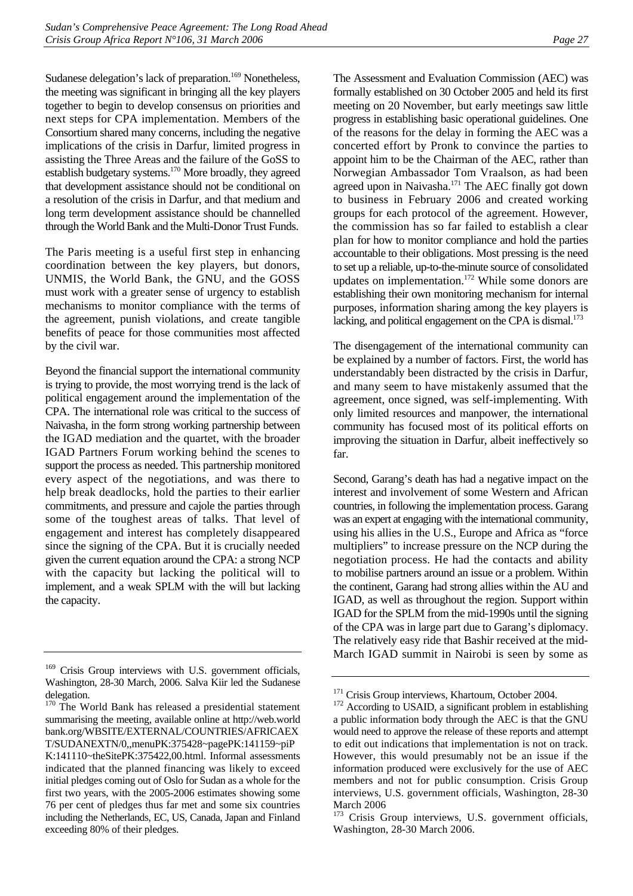Sudanese delegation's lack of preparation.<sup>169</sup> Nonetheless, the meeting was significant in bringing all the key players together to begin to develop consensus on priorities and next steps for CPA implementation. Members of the Consortium shared many concerns, including the negative implications of the crisis in Darfur, limited progress in assisting the Three Areas and the failure of the GoSS to establish budgetary systems.[170 M](#page-32-1)ore broadly, they agreed that development assistance should not be conditional on a resolution of the crisis in Darfur, and that medium and long term development assistance should be channelled through the World Bank and the Multi-Donor Trust Funds.

The Paris meeting is a useful first step in enhancing coordination between the key players, but donors, UNMIS, the World Bank, the GNU, and the GOSS must work with a greater sense of urgency to establish mechanisms to monitor compliance with the terms of the agreement, punish violations, and create tangible benefits of peace for those communities most affected by the civil war.

Beyond the financial support the international community is trying to provide, the most worrying trend is the lack of political engagement around the implementation of the CPA. The international role was critical to the success of Naivasha, in the form strong working partnership between the IGAD mediation and the quartet, with the broader IGAD Partners Forum working behind the scenes to support the process as needed. This partnership monitored every aspect of the negotiations, and was there to help break deadlocks, hold the parties to their earlier commitments, and pressure and cajole the parties through some of the toughest areas of talks. That level of engagement and interest has completely disappeared since the signing of the CPA. But it is crucially needed given the current equation around the CPA: a strong NCP with the capacity but lacking the political will to implement, and a weak SPLM with the will but lacking the capacity.

The Assessment and Evaluation Commission (AEC) was formally established on 30 October 2005 and held its first meeting on 20 November, but early meetings saw little progress in establishing basic operational guidelines. One of the reasons for the delay in forming the AEC was a concerted effort by Pronk to convince the parties to appoint him to be the Chairman of the AEC, rather than Norwegian Ambassador Tom Vraalson, as had been agreed upon in Naivasha.<sup>171</sup> The AEC finally got down to business in February 2006 and created working groups for each protocol of the agreement. However, the commission has so far failed to establish a clear plan for how to monitor compliance and hold the parties accountable to their obligations. Most pressing is the need to set up a reliable, up-to-the-minute source of consolidated updates on implementation. $172$  While some donors are establishing their own monitoring mechanism for internal purposes, information sharing among the key players is lacking, and political engagement on the CPA is dismal. $173$ 

The disengagement of the international community can be explained by a number of factors. First, the world has understandably been distracted by the crisis in Darfur, and many seem to have mistakenly assumed that the agreement, once signed, was self-implementing. With only limited resources and manpower, the international community has focused most of its political efforts on improving the situation in Darfur, albeit ineffectively so far.

Second, Garang's death has had a negative impact on the interest and involvement of some Western and African countries, in following the implementation process. Garang was an expert at engaging with the international community, using his allies in the U.S., Europe and Africa as "force multipliers" to increase pressure on the NCP during the negotiation process. He had the contacts and ability to mobilise partners around an issue or a problem. Within the continent, Garang had strong allies within the AU and IGAD, as well as throughout the region. Support within IGAD for the SPLM from the mid-1990s until the signing of the CPA was in large part due to Garang's diplomacy. The relatively easy ride that Bashir received at the mid-March IGAD summit in Nairobi is seen by some as

<span id="page-32-0"></span><sup>&</sup>lt;sup>169</sup> Crisis Group interviews with U.S. government officials, Washington, 28-30 March, 2006. Salva Kiir led the Sudanese delegation.

<span id="page-32-1"></span><sup>&</sup>lt;sup>170</sup> The World Bank has released a presidential statement summarising the meeting, available online at http://web.world bank.org/WBSITE/EXTERNAL/COUNTRIES/AFRICAEX T/SUDANEXTN/0,,menuPK:375428~pagePK:141159~piP K:141110~theSitePK:375422,00.html. Informal assessments indicated that the planned financing was likely to exceed initial pledges coming out of Oslo for Sudan as a whole for the first two years, with the 2005-2006 estimates showing some 76 per cent of pledges thus far met and some six countries including the Netherlands, EC, US, Canada, Japan and Finland exceeding 80% of their pledges.

<span id="page-32-3"></span>

<span id="page-32-2"></span><sup>&</sup>lt;sup>171</sup> Crisis Group interviews, Khartoum, October 2004.  $172$  According to USAID, a significant problem in establishing a public information body through the AEC is that the GNU would need to approve the release of these reports and attempt to edit out indications that implementation is not on track. However, this would presumably not be an issue if the information produced were exclusively for the use of AEC members and not for public consumption. Crisis Group interviews, U.S. government officials, Washington, 28-30 March 2006

<span id="page-32-4"></span><sup>&</sup>lt;sup>173</sup> Crisis Group interviews, U.S. government officials, Washington, 28-30 March 2006.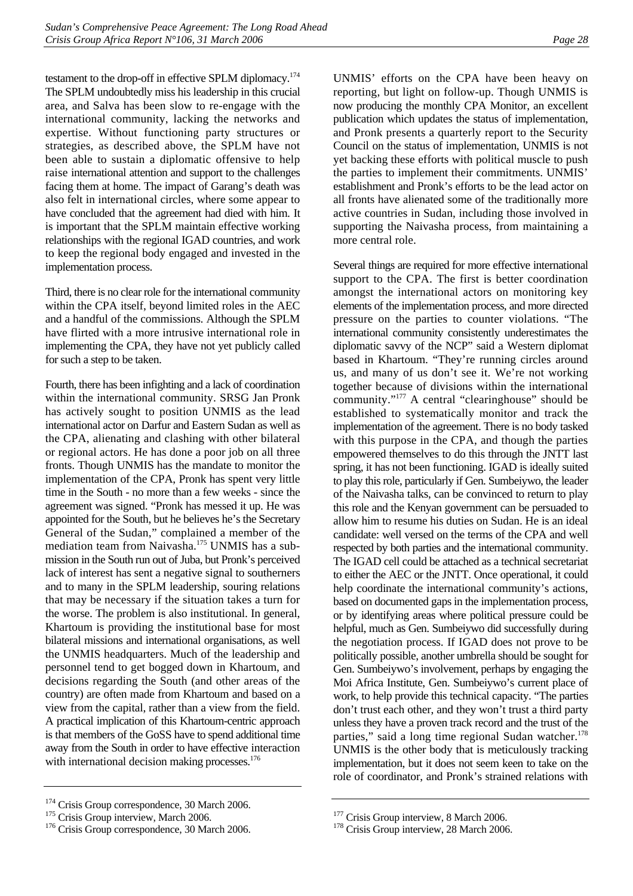testament to the drop-off in effective SPLM diplomacy[.174](#page-33-0) The SPLM undoubtedly miss his leadership in this crucial area, and Salva has been slow to re-engage with the international community, lacking the networks and expertise. Without functioning party structures or strategies, as described above, the SPLM have not been able to sustain a diplomatic offensive to help raise international attention and support to the challenges facing them at home. The impact of Garang's death was also felt in international circles, where some appear to have concluded that the agreement had died with him. It is important that the SPLM maintain effective working relationships with the regional IGAD countries, and work to keep the regional body engaged and invested in the implementation process.

Third, there is no clear role for the international community within the CPA itself, beyond limited roles in the AEC and a handful of the commissions. Although the SPLM have flirted with a more intrusive international role in implementing the CPA, they have not yet publicly called for such a step to be taken.

Fourth, there has been infighting and a lack of coordination within the international community. SRSG Jan Pronk has actively sought to position UNMIS as the lead international actor on Darfur and Eastern Sudan as well as the CPA, alienating and clashing with other bilateral or regional actors. He has done a poor job on all three fronts. Though UNMIS has the mandate to monitor the implementation of the CPA, Pronk has spent very little time in the South - no more than a few weeks - since the agreement was signed. "Pronk has messed it up. He was appointed for the South, but he believes he's the Secretary General of the Sudan," complained a member of the mediation team from Naivasha.<sup>175</sup> UNMIS has a submission in the South run out of Juba, but Pronk's perceived lack of interest has sent a negative signal to southerners and to many in the SPLM leadership, souring relations that may be necessary if the situation takes a turn for the worse. The problem is also institutional. In general, Khartoum is providing the institutional base for most bilateral missions and international organisations, as well the UNMIS headquarters. Much of the leadership and personnel tend to get bogged down in Khartoum, and decisions regarding the South (and other areas of the country) are often made from Khartoum and based on a view from the capital, rather than a view from the field. A practical implication of this Khartoum-centric approach is that members of the GoSS have to spend additional time away from the South in order to have effective interaction with international decision making processes.<sup>176</sup>

UNMIS' efforts on the CPA have been heavy on reporting, but light on follow-up. Though UNMIS is now producing the monthly CPA Monitor, an excellent publication which updates the status of implementation, and Pronk presents a quarterly report to the Security Council on the status of implementation, UNMIS is not yet backing these efforts with political muscle to push the parties to implement their commitments. UNMIS' establishment and Pronk's efforts to be the lead actor on all fronts have alienated some of the traditionally more active countries in Sudan, including those involved in supporting the Naivasha process, from maintaining a more central role.

Several things are required for more effective international support to the CPA. The first is better coordination amongst the international actors on monitoring key elements of the implementation process, and more directed pressure on the parties to counter violations. "The international community consistently underestimates the diplomatic savvy of the NCP" said a Western diplomat based in Khartoum. "They're running circles around us, and many of us don't see it. We're not working together because of divisions within the international community.["177](#page-33-3) A central "clearinghouse" should be established to systematically monitor and track the implementation of the agreement. There is no body tasked with this purpose in the CPA, and though the parties empowered themselves to do this through the JNTT last spring, it has not been functioning. IGAD is ideally suited to play this role, particularly if Gen. Sumbeiywo, the leader of the Naivasha talks, can be convinced to return to play this role and the Kenyan government can be persuaded to allow him to resume his duties on Sudan. He is an ideal candidate: well versed on the terms of the CPA and well respected by both parties and the international community. The IGAD cell could be attached as a technical secretariat to either the AEC or the JNTT. Once operational, it could help coordinate the international community's actions, based on documented gaps in the implementation process, or by identifying areas where political pressure could be helpful, much as Gen. Sumbeiywo did successfully during the negotiation process. If IGAD does not prove to be politically possible, another umbrella should be sought for Gen. Sumbeiywo's involvement, perhaps by engaging the Moi Africa Institute, Gen. Sumbeiywo's current place of work, to help provide this technical capacity. "The parties don't trust each other, and they won't trust a third party unless they have a proven track record and the trust of the parties," said a long time regional Sudan watcher.<sup>178</sup> UNMIS is the other body that is meticulously tracking implementation, but it does not seem keen to take on the role of coordinator, and Pronk's strained relations with

<span id="page-33-0"></span><sup>&</sup>lt;sup>174</sup> Crisis Group correspondence, 30 March 2006.<br><sup>175</sup> Crisis Group interview, March 2006.<br><sup>176</sup> Crisis Group correspondence, 30 March 2006.

<span id="page-33-1"></span>

<span id="page-33-2"></span>

<span id="page-33-4"></span>

<span id="page-33-3"></span><sup>&</sup>lt;sup>177</sup> Crisis Group interview, 8 March 2006.<br><sup>178</sup> Crisis Group interview, 28 March 2006.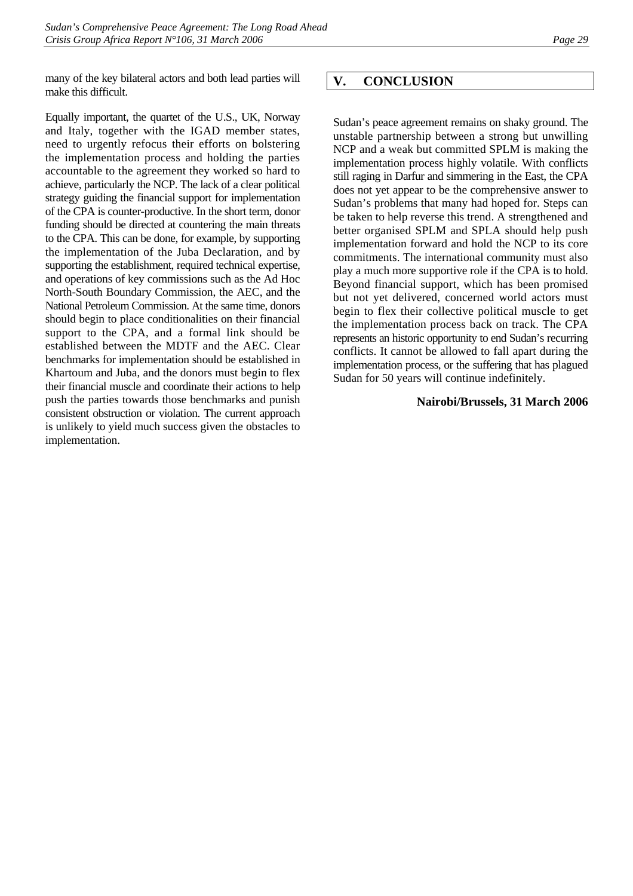many of the key bilateral actors and both lead parties will make this difficult.

Equally important, the quartet of the U.S., UK, Norway and Italy, together with the IGAD member states, need to urgently refocus their efforts on bolstering the implementation process and holding the parties accountable to the agreement they worked so hard to achieve, particularly the NCP. The lack of a clear political strategy guiding the financial support for implementation of the CPA is counter-productive. In the short term, donor funding should be directed at countering the main threats to the CPA. This can be done, for example, by supporting the implementation of the Juba Declaration, and by supporting the establishment, required technical expertise, and operations of key commissions such as the Ad Hoc North-South Boundary Commission, the AEC, and the National Petroleum Commission. At the same time, donors should begin to place conditionalities on their financial support to the CPA, and a formal link should be established between the MDTF and the AEC. Clear benchmarks for implementation should be established in Khartoum and Juba, and the donors must begin to flex their financial muscle and coordinate their actions to help push the parties towards those benchmarks and punish consistent obstruction or violation. The current approach is unlikely to yield much success given the obstacles to implementation.

## <span id="page-34-0"></span>**V. CONCLUSION**

Sudan's peace agreement remains on shaky ground. The unstable partnership between a strong but unwilling NCP and a weak but committed SPLM is making the implementation process highly volatile. With conflicts still raging in Darfur and simmering in the East, the CPA does not yet appear to be the comprehensive answer to Sudan's problems that many had hoped for. Steps can be taken to help reverse this trend. A strengthened and better organised SPLM and SPLA should help push implementation forward and hold the NCP to its core commitments. The international community must also play a much more supportive role if the CPA is to hold. Beyond financial support, which has been promised but not yet delivered, concerned world actors must begin to flex their collective political muscle to get the implementation process back on track. The CPA represents an historic opportunity to end Sudan's recurring conflicts. It cannot be allowed to fall apart during the implementation process, or the suffering that has plagued Sudan for 50 years will continue indefinitely.

#### **Nairobi/Brussels, 31 March 2006**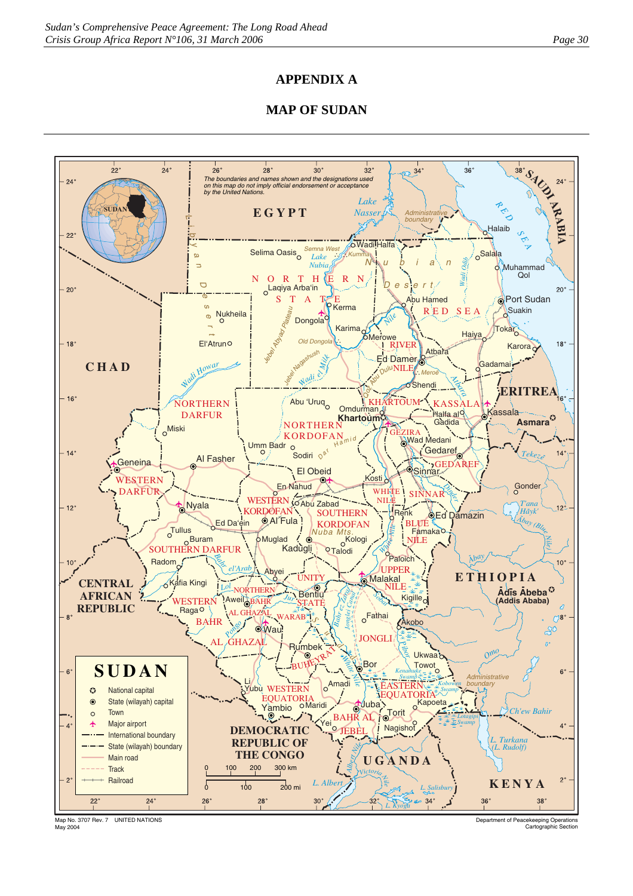## **APPENDIX A**

## **MAP OF SUDAN**



Map No. 3707 Rev. 7 UNITED NATIONS May 2004

Department of Peacekeeping Operations Cartographic Section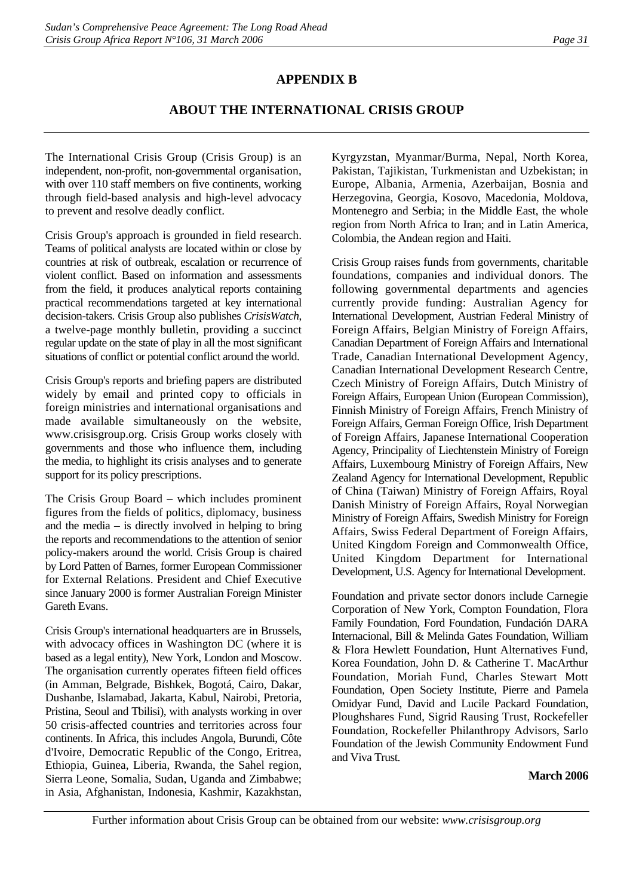## **APPENDIX B**

## **ABOUT THE INTERNATIONAL CRISIS GROUP**

The International Crisis Group (Crisis Group) is an independent, non-profit, non-governmental organisation, with over 110 staff members on five continents, working through field-based analysis and high-level advocacy to prevent and resolve deadly conflict.

Crisis Group's approach is grounded in field research. Teams of political analysts are located within or close by countries at risk of outbreak, escalation or recurrence of violent conflict. Based on information and assessments from the field, it produces analytical reports containing practical recommendations targeted at key international decision-takers. Crisis Group also publishes *CrisisWatch*, a twelve-page monthly bulletin, providing a succinct regular update on the state of play in all the most significant situations of conflict or potential conflict around the world.

Crisis Group's reports and briefing papers are distributed widely by email and printed copy to officials in foreign ministries and international organisations and made available simultaneously on the website, www.crisisgroup.org. Crisis Group works closely with governments and those who influence them, including the media, to highlight its crisis analyses and to generate support for its policy prescriptions.

The Crisis Group Board – which includes prominent figures from the fields of politics, diplomacy, business and the media  $-$  is directly involved in helping to bring the reports and recommendations to the attention of senior policy-makers around the world. Crisis Group is chaired by Lord Patten of Barnes, former European Commissioner for External Relations. President and Chief Executive since January 2000 is former Australian Foreign Minister Gareth Evans.

Crisis Group's international headquarters are in Brussels, with advocacy offices in Washington DC (where it is based as a legal entity), New York, London and Moscow. The organisation currently operates fifteen field offices (in Amman, Belgrade, Bishkek, Bogotá, Cairo, Dakar, Dushanbe, Islamabad, Jakarta, Kabul, Nairobi, Pretoria, Pristina, Seoul and Tbilisi), with analysts working in over 50 crisis-affected countries and territories across four continents. In Africa, this includes Angola, Burundi, Côte d'Ivoire, Democratic Republic of the Congo, Eritrea, Ethiopia, Guinea, Liberia, Rwanda, the Sahel region, Sierra Leone, Somalia, Sudan, Uganda and Zimbabwe; in Asia, Afghanistan, Indonesia, Kashmir, Kazakhstan,

Kyrgyzstan, Myanmar/Burma, Nepal, North Korea, Pakistan, Tajikistan, Turkmenistan and Uzbekistan; in Europe, Albania, Armenia, Azerbaijan, Bosnia and Herzegovina, Georgia, Kosovo, Macedonia, Moldova, Montenegro and Serbia; in the Middle East, the whole region from North Africa to Iran; and in Latin America, Colombia, the Andean region and Haiti.

Crisis Group raises funds from governments, charitable foundations, companies and individual donors. The following governmental departments and agencies currently provide funding: Australian Agency for International Development, Austrian Federal Ministry of Foreign Affairs, Belgian Ministry of Foreign Affairs, Canadian Department of Foreign Affairs and International Trade, Canadian International Development Agency, Canadian International Development Research Centre, Czech Ministry of Foreign Affairs, Dutch Ministry of Foreign Affairs, European Union (European Commission), Finnish Ministry of Foreign Affairs, French Ministry of Foreign Affairs, German Foreign Office, Irish Department of Foreign Affairs, Japanese International Cooperation Agency, Principality of Liechtenstein Ministry of Foreign Affairs, Luxembourg Ministry of Foreign Affairs, New Zealand Agency for International Development, Republic of China (Taiwan) Ministry of Foreign Affairs, Royal Danish Ministry of Foreign Affairs, Royal Norwegian Ministry of Foreign Affairs, Swedish Ministry for Foreign Affairs, Swiss Federal Department of Foreign Affairs, United Kingdom Foreign and Commonwealth Office, United Kingdom Department for International Development, U.S. Agency for International Development.

Foundation and private sector donors include Carnegie Corporation of New York, Compton Foundation, Flora Family Foundation, Ford Foundation, Fundación DARA Internacional, Bill & Melinda Gates Foundation, William & Flora Hewlett Foundation, Hunt Alternatives Fund, Korea Foundation, John D. & Catherine T. MacArthur Foundation, Moriah Fund, Charles Stewart Mott Foundation, Open Society Institute, Pierre and Pamela Omidyar Fund, David and Lucile Packard Foundation, Ploughshares Fund, Sigrid Rausing Trust, Rockefeller Foundation, Rockefeller Philanthropy Advisors, Sarlo Foundation of the Jewish Community Endowment Fund and Viva Trust.

### **March 2006**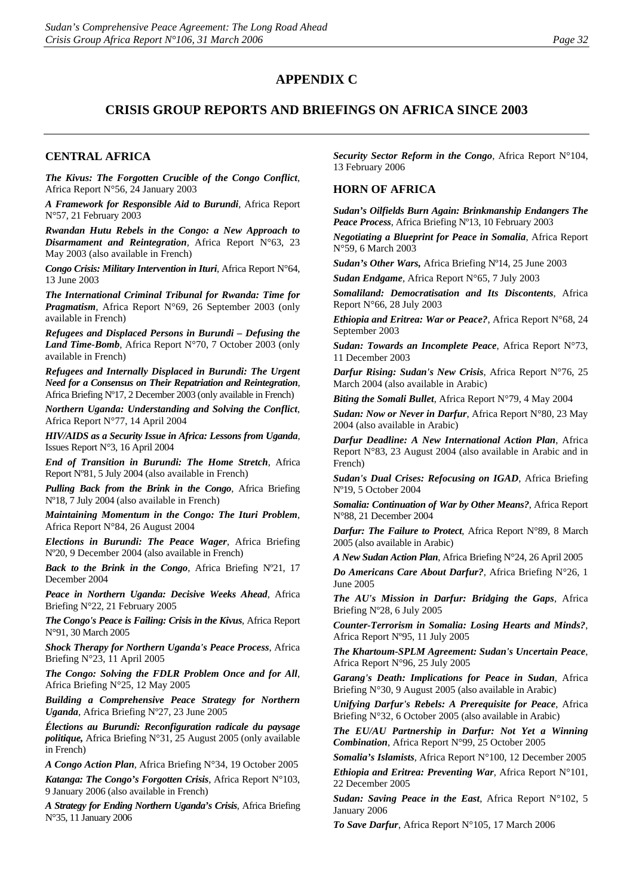### **APPENDIX C**

### **CRISIS GROUP REPORTS AND BRIEFINGS ON AFRICA SINCE 2003**

#### **CENTRAL AFRICA**

*The Kivus: The Forgotten Crucible of the Congo Conflict*, Africa Report N°56, 24 January 2003

*A Framework for Responsible Aid to Burundi*, Africa Report N°57, 21 February 2003

*Rwandan Hutu Rebels in the Congo: a New Approach to Disarmament and Reintegration,* Africa Report N°63, 23 May 2003 (also available in French)

*Congo Crisis: Military Intervention in Ituri*, Africa Report N°64, 13 June 2003

*The International Criminal Tribunal for Rwanda: Time for Pragmatism*, Africa Report N°69, 26 September 2003 (only available in French)

*Refugees and Displaced Persons in Burundi – Defusing the Land Time-Bomb*, Africa Report N°70, 7 October 2003 (only available in French)

*Refugees and Internally Displaced in Burundi: The Urgent Need for a Consensus on Their Repatriation and Reintegration*, Africa Briefing Nº17, 2 December 2003 (only available in French)

*Northern Uganda: Understanding and Solving the Conflict*, Africa Report N°77, 14 April 2004

*HIV/AIDS as a Security Issue in Africa: Lessons from Uganda*, Issues Report N°3, 16 April 2004

*End of Transition in Burundi: The Home Stretch*, Africa Report Nº81, 5 July 2004 (also available in French)

*Pulling Back from the Brink in the Congo*, Africa Briefing Nº18, 7 July 2004 (also available in French)

*Maintaining Momentum in the Congo: The Ituri Problem*, Africa Report N°84, 26 August 2004

*Elections in Burundi: The Peace Wager*, Africa Briefing Nº20, 9 December 2004 (also available in French)

*Back to the Brink in the Congo*, Africa Briefing Nº21, 17 December 2004

*Peace in Northern Uganda: Decisive Weeks Ahead*, Africa Briefing N°22, 21 February 2005

*The Congo's Peace is Failing: Crisis in the Kivus*, Africa Report N°91, 30 March 2005

*Shock Therapy for Northern Uganda's Peace Process*, Africa Briefing N°23, 11 April 2005

*The Congo: Solving the FDLR Problem Once and for All*, Africa Briefing N°25, 12 May 2005

*Building a Comprehensive Peace Strategy for Northern Uganda*, Africa Briefing Nº27, 23 June 2005

*Élections au Burundi: Reconfiguration radicale du paysage politique,* Africa Briefing N°31, 25 August 2005 (only available in French)

*A Congo Action Plan*, Africa Briefing N°34, 19 October 2005

*Katanga: The Congo's Forgotten Crisis*, Africa Report N°103, 9 January 2006 (also available in French)

*A Strategy for Ending Northern Uganda's Crisis*, Africa Briefing N°35, 11 January 2006

*Security Sector Reform in the Congo*, Africa Report N°104, 13 February 2006

#### **HORN OF AFRICA**

*Sudan's Oilfields Burn Again: Brinkmanship Endangers The Peace Process*, Africa Briefing Nº13, 10 February 2003

*Negotiating a Blueprint for Peace in Somalia*, Africa Report N°59, 6 March 2003

*Sudan's Other Wars,* Africa Briefing Nº14, 25 June 2003

*Sudan Endgame*, Africa Report N°65, 7 July 2003

*Somaliland: Democratisation and Its Discontents*, Africa Report N°66, 28 July 2003

*Ethiopia and Eritrea: War or Peace?*, Africa Report N°68, 24 September 2003

*Sudan: Towards an Incomplete Peace*, Africa Report N°73, 11 December 2003

*Darfur Rising: Sudan's New Crisis*, Africa Report N°76, 25 March 2004 (also available in Arabic)

*Biting the Somali Bullet*, Africa Report N°79, 4 May 2004

*Sudan: Now or Never in Darfur*, Africa Report N°80, 23 May 2004 (also available in Arabic)

*Darfur Deadline: A New International Action Plan*, Africa Report N°83, 23 August 2004 (also available in Arabic and in French)

*Sudan's Dual Crises: Refocusing on IGAD*, Africa Briefing Nº19, 5 October 2004

*Somalia: Continuation of War by Other Means?*, Africa Report N°88, 21 December 2004

*Darfur: The Failure to Protect*, Africa Report N°89, 8 March 2005 (also available in Arabic)

*A New Sudan Action Plan*, Africa Briefing N°24, 26 April 2005

*Do Americans Care About Darfur?*, Africa Briefing N°26, 1 June 2005

*The AU's Mission in Darfur: Bridging the Gaps*, Africa Briefing Nº28, 6 July 2005

*Counter-Terrorism in Somalia: Losing Hearts and Minds?*, Africa Report Nº95, 11 July 2005

*The Khartoum-SPLM Agreement: Sudan's Uncertain Peace*, Africa Report N°96, 25 July 2005

*Garang's Death: Implications for Peace in Sudan*, Africa Briefing N°30, 9 August 2005 (also available in Arabic)

*Unifying Darfur's Rebels: A Prerequisite for Peace*, Africa Briefing N°32, 6 October 2005 (also available in Arabic)

*The EU/AU Partnership in Darfur: Not Yet a Winning Combination*, Africa Report N°99, 25 October 2005

*Somalia's Islamists*, Africa Report N°100, 12 December 2005

*Ethiopia and Eritrea: Preventing War*, Africa Report N°101, 22 December 2005

*Sudan: Saving Peace in the East*, Africa Report N°102, 5 January 2006

*To Save Darfur*, Africa Report N°105, 17 March 2006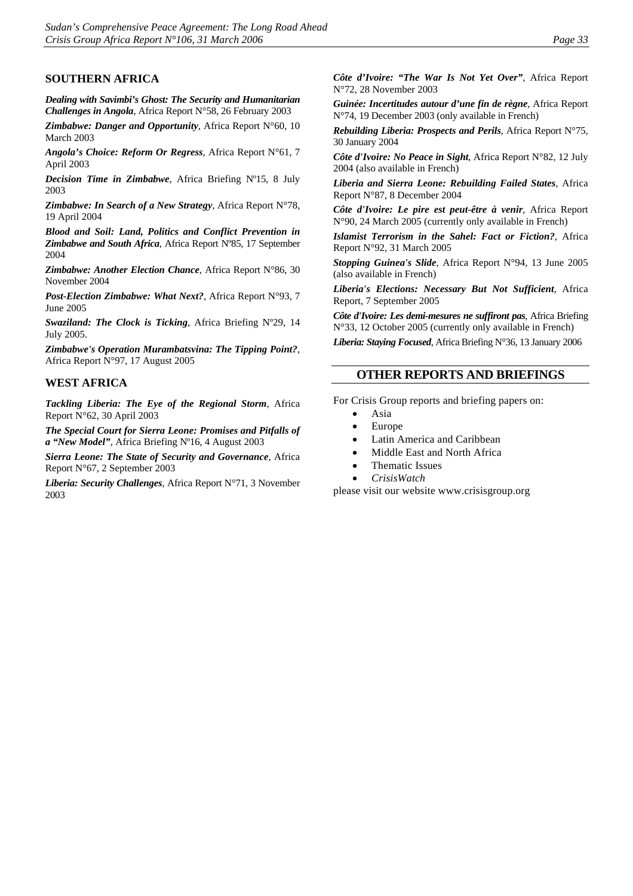### **SOUTHERN AFRICA**

*Dealing with Savimbi's Ghost: The Security and Humanitarian Challenges in Angola*, Africa Report N°58, 26 February 2003

*Zimbabwe: Danger and Opportunity*, Africa Report N°60, 10 March 2003

*Angola's Choice: Reform Or Regress*, Africa Report N°61, 7 April 2003

*Decision Time in Zimbabwe*, Africa Briefing Nº15, 8 July 2003

*Zimbabwe: In Search of a New Strategy*, Africa Report N°78, 19 April 2004

*Blood and Soil: Land, Politics and Conflict Prevention in Zimbabwe and South Africa*, Africa Report Nº85, 17 September 2004

*Zimbabwe: Another Election Chance*, Africa Report N°86, 30 November 2004

*Post-Election Zimbabwe: What Next?*, Africa Report N°93, 7 June 2005

*Swaziland: The Clock is Ticking*, Africa Briefing Nº29, 14 July 2005.

*Zimbabwe's Operation Murambatsvina: The Tipping Point?*, Africa Report N°97, 17 August 2005

### **WEST AFRICA**

*Tackling Liberia: The Eye of the Regional Storm*, Africa Report N°62, 30 April 2003

*The Special Court for Sierra Leone: Promises and Pitfalls of a "New Model"*, Africa Briefing Nº16, 4 August 2003

*Sierra Leone: The State of Security and Governance*, Africa Report N°67, 2 September 2003

*Liberia: Security Challenges*, Africa Report N°71, 3 November 2003

*Côte d'Ivoire: "The War Is Not Yet Over"*, Africa Report N°72, 28 November 2003

*Guinée: Incertitudes autour d'une fin de règne*, Africa Report N°74, 19 December 2003 (only available in French)

*Rebuilding Liberia: Prospects and Perils*, Africa Report N°75, 30 January 2004

*Côte d'Ivoire: No Peace in Sight*, Africa Report N°82, 12 July 2004 (also available in French)

*Liberia and Sierra Leone: Rebuilding Failed States*, Africa Report N°87, 8 December 2004

*Côte d'Ivoire: Le pire est peut-être à venir*, Africa Report N°90, 24 March 2005 (currently only available in French)

*Islamist Terrorism in the Sahel: Fact or Fiction?*, Africa Report N°92, 31 March 2005

*Stopping Guinea's Slide*, Africa Report N°94, 13 June 2005 (also available in French)

*Liberia's Elections: Necessary But Not Sufficient*, Africa Report, 7 September 2005

*Côte d'Ivoire: Les demi-mesures ne suffiront pas*, Africa Briefing N°33, 12 October 2005 (currently only available in French)

*Liberia: Staying Focused*, Africa Briefing N°36, 13 January 2006

#### **OTHER REPORTS AND BRIEFINGS**

For Crisis Group reports and briefing papers on:

- Asia
- Europe
- Latin America and Caribbean
- Middle East and North Africa
- Thematic Issues
- *CrisisWatch*

please visit our website [www.crisisgroup.org](http://www.crisisgroup.org/)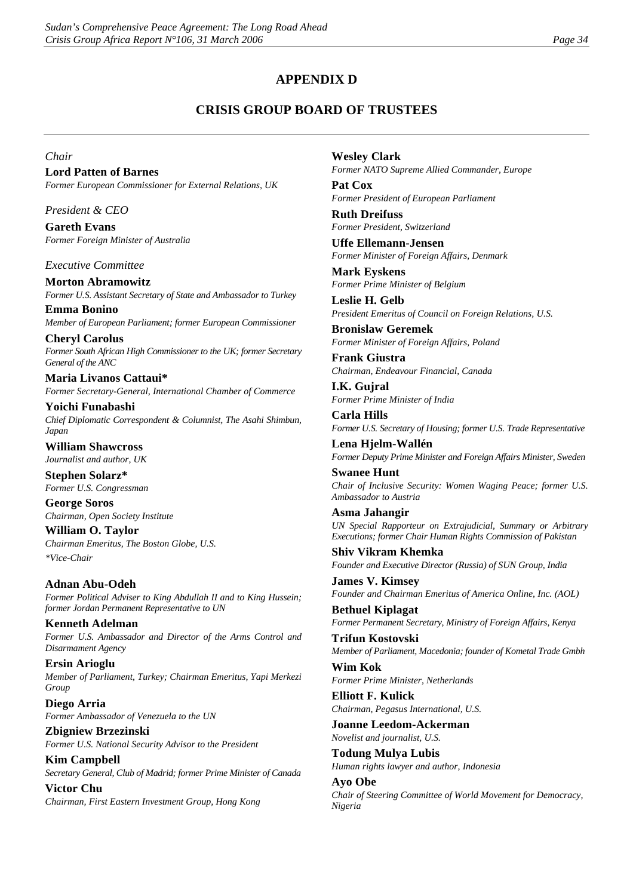## **APPENDIX D**

## **CRISIS GROUP BOARD OF TRUSTEES**

*Chair*

**Lord Patten of Barnes** *Former European Commissioner for External Relations, UK*

*President & CEO*

**Gareth Evans** *Former Foreign Minister of Australia*

*Executive Committee*

**Morton Abramowitz** *Former U.S. Assistant Secretary of State and Ambassador to Turkey*

**Emma Bonino** *Member of European Parliament; former European Commissioner*

**Cheryl Carolus** *Former South African High Commissioner to the UK; former Secretary General of the ANC*

**Maria Livanos Cattaui\*** *Former Secretary-General, International Chamber of Commerce*

**Yoichi Funabashi** *Chief Diplomatic Correspondent & Columnist, The Asahi Shimbun, Japan* 

**William Shawcross** *Journalist and author, UK*

**Stephen Solarz\*** *Former U.S. Congressman*

**George Soros** *Chairman, Open Society Institute*

**William O. Taylor** *Chairman Emeritus, The Boston Globe, U.S. \*Vice-Chair*

**Adnan Abu-Odeh** *Former Political Adviser to King Abdullah II and to King Hussein; former Jordan Permanent Representative to UN*

**Kenneth Adelman** *Former U.S. Ambassador and Director of the Arms Control and Disarmament Agency*

**Ersin Arioglu** *Member of Parliament, Turkey; Chairman Emeritus, Yapi Merkezi Group*

**Diego Arria** *Former Ambassador of Venezuela to the UN*

**Zbigniew Brzezinski** *Former U.S. National Security Advisor to the President* **Kim Campbell**

*Secretary General, Club of Madrid; former Prime Minister of Canada*

**Victor Chu** *Chairman, First Eastern Investment Group, Hong Kong* **Wesley Clark** *Former NATO Supreme Allied Commander, Europe*

**Pat Cox** *Former President of European Parliament*

**Ruth Dreifuss** *Former President, Switzerland*

**Uffe Ellemann-Jensen** *Former Minister of Foreign Affairs, Denmark*

**Mark Eyskens** *Former Prime Minister of Belgium*

**Leslie H. Gelb** *President Emeritus of Council on Foreign Relations, U.S.* 

**Bronislaw Geremek** *Former Minister of Foreign Affairs, Poland*

**Frank Giustra** *Chairman, Endeavour Financial, Canada*

**I.K. Gujral** *Former Prime Minister of India*

**Carla Hills** *Former U.S. Secretary of Housing; former U.S. Trade Representative*

**Lena Hjelm-Wallén** *Former Deputy Prime Minister and Foreign Affairs Minister, Sweden* 

**Swanee Hunt** *Chair of Inclusive Security: Women Waging Peace; former U.S. Ambassador to Austria*

**Asma Jahangir** *UN Special Rapporteur on Extrajudicial, Summary or Arbitrary Executions; former Chair Human Rights Commission of Pakistan*

**Shiv Vikram Khemka** *Founder and Executive Director (Russia) of SUN Group, India*

**James V. Kimsey**  *Founder and Chairman Emeritus of America Online, Inc. (AOL)*

**Bethuel Kiplagat** *Former Permanent Secretary, Ministry of Foreign Affairs, Kenya*

**Trifun Kostovski** *Member of Parliament, Macedonia; founder of Kometal Trade Gmbh* 

**Wim Kok** *Former Prime Minister, Netherlands*

**Elliott F. Kulick** *Chairman, Pegasus International, U.S.*

**Joanne Leedom-Ackerman** *Novelist and journalist, U.S.*

**Todung Mulya Lubis** *Human rights lawyer and author, Indonesia*

**Ayo Obe** *Chair of Steering Committee of World Movement for Democracy, Nigeria*